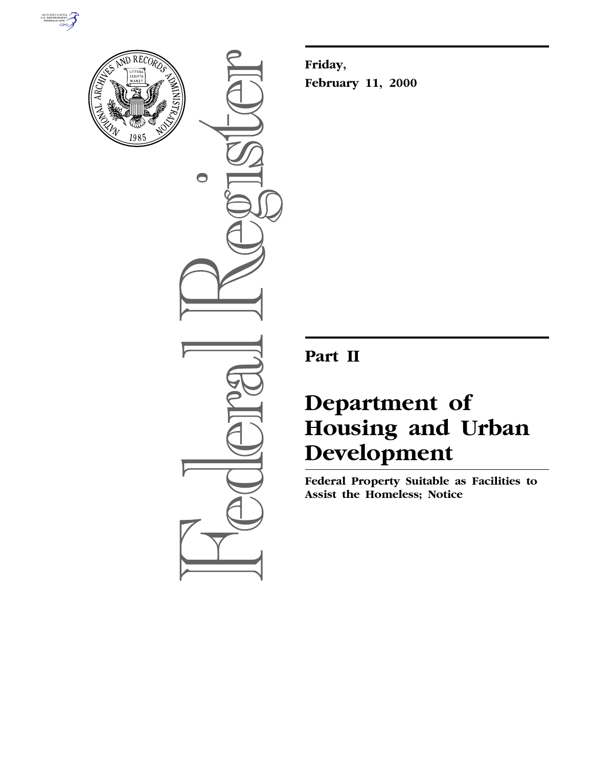



 $\bigcirc$ 

**Friday, February 11, 2000**

**Part II**

# **Department of Housing and Urban Development**

**Federal Property Suitable as Facilities to Assist the Homeless; Notice**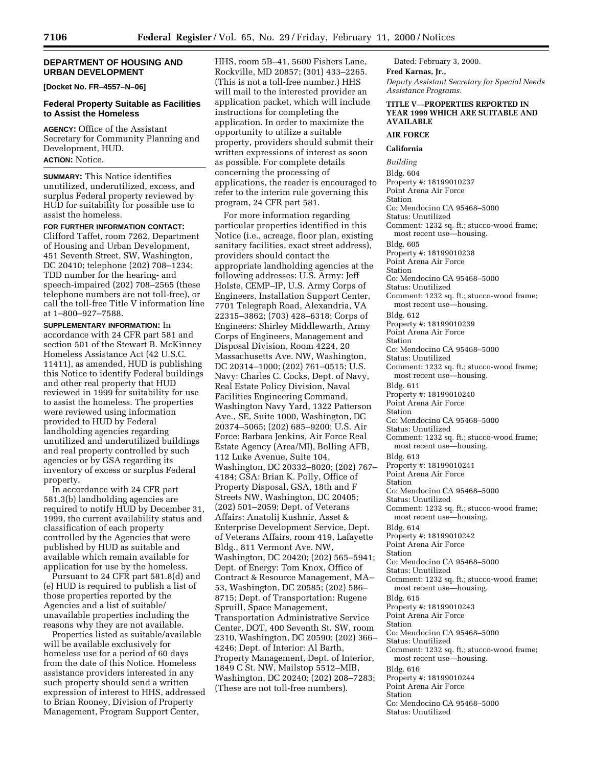# **DEPARTMENT OF HOUSING AND URBAN DEVELOPMENT**

**[Docket No. FR–4557–N–06]**

# **Federal Property Suitable as Facilities to Assist the Homeless**

**AGENCY:** Office of the Assistant Secretary for Community Planning and Development, HUD.

# **ACTION:** Notice.

**SUMMARY:** This Notice identifies unutilized, underutilized, excess, and surplus Federal property reviewed by HUD for suitability for possible use to assist the homeless.

# **FOR FURTHER INFORMATION CONTACT:**

Clifford Taffet, room 7262, Department of Housing and Urban Development, 451 Seventh Street, SW, Washington, DC 20410; telephone (202) 708–1234; TDD number for the hearing- and speech-impaired (202) 708–2565 (these telephone numbers are not toll-free), or call the toll-free Title V information line at 1–800–927–7588.

**SUPPLEMENTARY INFORMATION:** In accordance with 24 CFR part 581 and section 501 of the Stewart B. McKinney Homeless Assistance Act (42 U.S.C. 11411), as amended, HUD is publishing this Notice to identify Federal buildings and other real property that HUD reviewed in 1999 for suitability for use to assist the homeless. The properties were reviewed using information provided to HUD by Federal landholding agencies regarding unutilized and underutilized buildings and real property controlled by such agencies or by GSA regarding its inventory of excess or surplus Federal property.

In accordance with 24 CFR part 581.3(b) landholding agencies are required to notify HUD by December 31, 1999, the current availability status and classification of each property controlled by the Agencies that were published by HUD as suitable and available which remain available for application for use by the homeless.

Pursuant to 24 CFR part 581.8(d) and (e) HUD is required to publish a list of those properties reported by the Agencies and a list of suitable/ unavailable properties including the reasons why they are not available.

Properties listed as suitable/available will be available exclusively for homeless use for a period of 60 days from the date of this Notice. Homeless assistance providers interested in any such property should send a written expression of interest to HHS, addressed to Brian Rooney, Division of Property Management, Program Support Center,

HHS, room 5B–41, 5600 Fishers Lane, Rockville, MD 20857; (301) 433–2265. (This is not a toll-free number.) HHS will mail to the interested provider an application packet, which will include instructions for completing the application. In order to maximize the opportunity to utilize a suitable property, providers should submit their written expressions of interest as soon as possible. For complete details concerning the processing of applications, the reader is encouraged to refer to the interim rule governing this program, 24 CFR part 581.

For more information regarding particular properties identified in this Notice (i.e., acreage, floor plan, existing sanitary facilities, exact street address), providers should contact the appropriate landholding agencies at the following addresses: U.S. Army: Jeff Holste, CEMP–IP, U.S. Army Corps of Engineers, Installation Support Center, 7701 Telegraph Road, Alexandria, VA 22315–3862; (703) 428–6318; Corps of Engineers: Shirley Middlewarth, Army Corps of Engineers, Management and Disposal Division, Room 4224, 20 Massachusetts Ave. NW, Washington, DC 20314–1000; (202) 761–0515; U.S. Navy: Charles C. Cocks, Dept. of Navy, Real Estate Policy Division, Naval Facilities Engineering Command, Washington Navy Yard, 1322 Patterson Ave., SE, Suite 1000, Washington, DC 20374–5065; (202) 685–9200; U.S. Air Force: Barbara Jenkins, Air Force Real Estate Agency (Area/MI), Bolling AFB, 112 Luke Avenue, Suite 104, Washington, DC 20332–8020; (202) 767– 4184; GSA: Brian K. Polly, Office of Property Disposal, GSA, 18th and F Streets NW, Washington, DC 20405; (202) 501–2059; Dept. of Veterans Affairs: Anatolij Kushnir, Asset & Enterprise Development Service, Dept. of Veterans Affairs, room 419, Lafayette Bldg., 811 Vermont Ave. NW, Washington, DC 20420; (202) 565–5941; Dept. of Energy: Tom Knox, Office of Contract & Resource Management, MA– 53, Washington, DC 20585; (202) 586– 8715; Dept. of Transportation: Rugene Spruill, Space Management, Transportation Administrative Service Center, DOT, 400 Seventh St. SW, room 2310, Washington, DC 20590; (202) 366– 4246; Dept. of Interior: Al Barth, Property Management, Dept. of Interior, 1849 C St. NW, Mailstop 5512–MIB, Washington, DC 20240; (202) 208–7283; (These are not toll-free numbers).

Dated: February 3, 2000.

**Fred Karnas, Jr.,** *Deputy Assistant Secretary for Special Needs Assistance Programs.*

#### **TITLE V—PROPERTIES REPORTED IN YEAR 1999 WHICH ARE SUITABLE AND AVAILABLE**

# **AIR FORCE**

### **California**

*Building* Bldg. 604 Property #: 18199010237 Point Arena Air Force Station Co: Mendocino CA 95468–5000 Status: Unutilized Comment: 1232 sq. ft.; stucco-wood frame; most recent use—housing. Bldg. 605 Property #: 18199010238 Point Arena Air Force Station Co: Mendocino CA 95468–5000 Status: Unutilized Comment: 1232 sq. ft.; stucco-wood frame; most recent use—housing. Bldg. 612 Property #: 18199010239 Point Arena Air Force Station Co: Mendocino CA 95468–5000 Status: Unutilized Comment: 1232 sq. ft.; stucco-wood frame; most recent use—housing. Bldg. 611 Property #: 18199010240 Point Arena Air Force Station Co: Mendocino CA 95468–5000 Status: Unutilized Comment: 1232 sq. ft.; stucco-wood frame; most recent use—housing. Bldg. 613 Property #: 18199010241 Point Arena Air Force Station Co: Mendocino CA 95468–5000 Status: Unutilized Comment: 1232 sq. ft.; stucco-wood frame; most recent use—housing. Bldg. 614 Property #: 18199010242 Point Arena Air Force Station Co: Mendocino CA 95468–5000 Status: Unutilized Comment: 1232 sq. ft.; stucco-wood frame; most recent use—housing. Bldg. 615 Property #: 18199010243 Point Arena Air Force Station Co: Mendocino CA 95468–5000 Status: Unutilized Comment: 1232 sq. ft.; stucco-wood frame; most recent use—housing. Bldg. 616 Property #: 18199010244 Point Arena Air Force Station Co: Mendocino CA 95468–5000 Status: Unutilized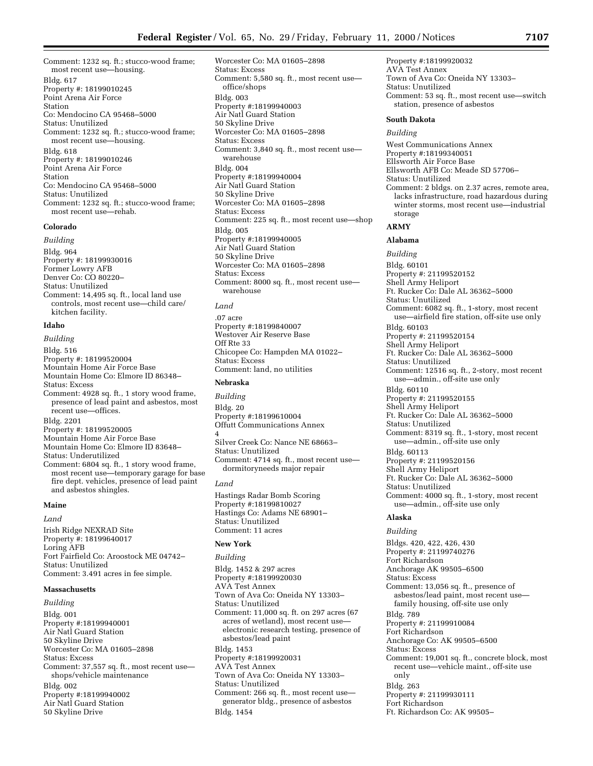Comment: 1232 sq. ft.; stucco-wood frame; most recent use—housing. Bldg. 617 Property #: 18199010245 Point Arena Air Force Station Co: Mendocino CA 95468–5000 Status: Unutilized Comment: 1232 sq. ft.; stucco-wood frame; most recent use—housing. Bldg. 618 Property #: 18199010246 Point Arena Air Force Station Co: Mendocino CA 95468–5000 Status: Unutilized Comment: 1232 sq. ft.; stucco-wood frame; most recent use—rehab.

# **Colorado**

*Building* Bldg. 964 Property #: 18199930016 Former Lowry AFB Denver Co: CO 80220– Status: Unutilized Comment: 14,495 sq. ft., local land use controls, most recent use—child care/ kitchen facility.

# **Idaho**

*Building* Bldg. 516 Property #: 18199520004 Mountain Home Air Force Base Mountain Home Co: Elmore ID 86348– Status: Excess Comment: 4928 sq. ft., 1 story wood frame, presence of lead paint and asbestos, most recent use—offices. Bldg. 2201 Property #: 18199520005 Mountain Home Air Force Base Mountain Home Co: Elmore ID 83648– Status: Underutilized Comment: 6804 sq. ft., 1 story wood frame, most recent use—temporary garage for base fire dept. vehicles, presence of lead paint

# **Maine**

*Land* Irish Ridge NEXRAD Site Property #: 18199640017

and asbestos shingles.

Loring AFB Fort Fairfield Co: Aroostock ME 04742– Status: Unutilized Comment: 3.491 acres in fee simple.

# **Massachusetts**

*Building* Bldg. 001 Property #:18199940001 Air Natl Guard Station 50 Skyline Drive Worcester Co: MA 01605–2898 Status: Excess Comment: 37,557 sq. ft., most recent use shops/vehicle maintenance Bldg. 002 Property #:18199940002 Air Natl Guard Station 50 Skyline Drive

Worcester Co: MA 01605–2898 Status: Excess Comment: 5,580 sq. ft., most recent use office/shops Bldg. 003 Property #:18199940003 Air Natl Guard Station 50 Skyline Drive Worcester Co: MA 01605–2898 Status: Excess Comment: 3,840 sq. ft., most recent use warehouse Bldg. 004 Property #:18199940004 Air Natl Guard Station 50 Skyline Drive Worcester Co: MA 01605–2898 Status: Excess Comment: 225 sq. ft., most recent use—shop Bldg. 005 Property #:18199940005 Air Natl Guard Station 50 Skyline Drive Worcester Co: MA 01605–2898 Status: Excess Comment: 8000 sq. ft., most recent use warehouse

# *Land*

.07 acre Property #:18199840007 Westover Air Reserve Base Off Rte 33 Chicopee Co: Hampden MA 01022– Status: Excess Comment: land, no utilities

# **Nebraska**

*Building* Bldg. 20 Property #:18199610004 Offutt Communications Annex 4 Silver Creek Co: Nance NE 68663– Status: Unutilized Comment: 4714 sq. ft., most recent use dormitoryneeds major repair

#### *Land*

Hastings Radar Bomb Scoring Property #:18199810027 Hastings Co: Adams NE 68901– Status: Unutilized Comment: 11 acres

# **New York**

*Building* Bldg. 1452 & 297 acres Property #:18199920030 AVA Test Annex Town of Ava Co: Oneida NY 13303– Status: Unutilized Comment: 11,000 sq. ft. on 297 acres (67 acres of wetland), most recent use electronic research testing, presence of asbestos/lead paint Bldg. 1453 Property #:18199920031 AVA Test Annex Town of Ava Co: Oneida NY 13303– Status: Unutilized Comment: 266 sq. ft., most recent use generator bldg., presence of asbestos Bldg. 1454

Property #:18199920032 AVA Test Annex Town of Ava Co: Oneida NY 13303– Status: Unutilized Comment: 53 sq. ft., most recent use—switch station, presence of asbestos

#### **South Dakota**

*Building*

West Communications Annex Property #:18199340051 Ellsworth Air Force Base Ellsworth AFB Co: Meade SD 57706– Status: Unutilized Comment: 2 bldgs. on 2.37 acres, remote area, lacks infrastructure, road hazardous during winter storms, most recent use—industrial storage **ARMY Alabama** *Building* Bldg. 60101 Property #: 21199520152 Shell Army Heliport Ft. Rucker Co: Dale AL 36362–5000 Status: Unutilized

Comment: 6082 sq. ft., 1-story, most recent use—airfield fire station, off-site use only Bldg. 60103 Property #: 21199520154 Shell Army Heliport Ft. Rucker Co: Dale AL 36362–5000

Status: Unutilized

Comment: 12516 sq. ft., 2-story, most recent use—admin., off-site use only

Bldg. 60110 Property #: 21199520155

Shell Army Heliport Ft. Rucker Co: Dale AL 36362–5000

Status: Unutilized

Comment: 8319 sq. ft., 1-story, most recent use—admin., off-site use only

Bldg. 60113 Property #: 21199520156 Shell Army Heliport Ft. Rucker Co: Dale AL 36362–5000 Status: Unutilized Comment: 4000 sq. ft., 1-story, most recent use—admin., off-site use only

#### **Alaska**

*Building* Bldgs. 420, 422, 426, 430 Property #: 21199740276 Fort Richardson Anchorage AK 99505–6500 Status: Excess Comment: 13,056 sq. ft., presence of asbestos/lead paint, most recent use family housing, off-site use only Bldg. 789 Property #: 21199910084 Fort Richardson Anchorage Co: AK 99505–6500 Status: Excess Comment: 19,001 sq. ft., concrete block, most recent use—vehicle maint., off-site use only Bldg. 263 Property #: 21199930111 Fort Richardson Ft. Richardson Co: AK 99505–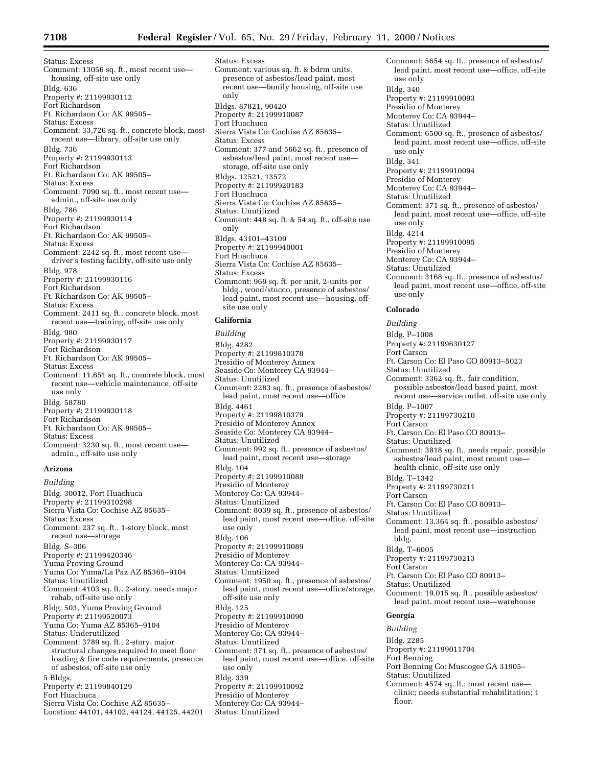Status: Excess Comment: 13056 sq. ft., most recent use housing, off-site use only Bldg. 636 Property #: 21199930112 Fort Richardson Ft. Richardson Co: AK 99505– Status: Excess Comment: 33,726 sq. ft., concrete block, most recent use—library, off-site use only Bldg. 736 Property #: 21199930113 Fort Richardson Ft. Richardson Co: AK 99505– Status: Excess Comment: 7090 sq. ft., most recent use admin., off-site use only Bldg. 786 Property #: 21199930114 Fort Richardson Ft. Richardson Co: AK 99505– Status: Excess Comment: 2242 sq. ft., most recent use driver's testing facility, off-site use only Bldg. 978 Property #: 21199930116 Fort Richardson Ft. Richardson Co: AK 99505– Status: Excess Comment: 2411 sq. ft., concrete block, most recent use—training, off-site use only Bldg. 980 Property #: 21199930117 Fort Richardson Ft. Richardson Co: AK 99505– Status: Excess Comment: 11,651 sq. ft., concrete block, most recent use—vehicle maintenance, off-site use only Bldg. 58780 Property #: 21199930118 Fort Richardson Ft. Richardson Co: AK 99505– Status: Excess Comment: 3230 sq. ft., most recent use admin., off-site use only

# **Arizona** *Building*

Bldg. 30012, Fort Huachuca Property #: 21199310298 Sierra Vista Co: Cochise AZ 85635– Status: Excess Comment: 237 sq. ft., 1-story block, most recent use—storage Bldg. S–306 Property #: 21199420346 Yuma Proving Ground Yuma Co: Yuma/La Paz AZ 85365–9104 Status: Unutilized Comment: 4103 sq. ft., 2-story, needs major rehab, off-site use only Bldg. 503, Yuma Proving Ground Property #: 21199520073 Yuma Co: Yuma AZ 85365–9104 Status: Underutilized Comment: 3789 sq. ft., 2-story, major structural changes required to meet floor loading & fire code requirements, presence of asbestos, off-site use only 5 Bldgs. Property #: 21199840129 Fort Huachuca Sierra Vista Co: Cochise AZ 85635– Location: 44101, 44102, 44124, 44125, 44201 Status: Excess Comment: various sq. ft. & bdrm units, presence of asbestos/lead paint, most recent use—family housing, off-site use only Bldgs. 87821, 90420 Property #: 21199910087 Fort Huachuca Sierra Vista Co: Cochise AZ 85635– Status: Excess Comment: 377 and 5662 sq. ft., presence of asbestos/lead paint, most recent use storage, off-site use only Bldgs. 12521, 13572 Property #: 21199920183 Fort Huachuca Sierra Vista Co: Cochise AZ 85635– Status: Unutilized Comment: 448 sq. ft. & 54 sq. ft., off-site use only Bldgs. 43101–43109 Property #: 21199940001 Fort Huachuca Sierra Vista Co: Cochise AZ 85635– Status: Excess Comment: 969 sq. ft. per unit, 2-units per bldg., wood/stucco, presence of asbestos/ lead paint, most recent use—housing, offsite use only

# **California**

*Building* Bldg. 4282 Property #: 21199810378 Presidio of Monterey Annex Seaside Co: Monterey CA 93944– Status: Unutilized Comment: 2283 sq. ft., presence of asbestos/ lead paint, most recent use—office Bldg. 4461 Property #: 21199810379 Presidio of Monterey Annex Seaside Co: Monterey CA 93944– Status: Unutilized Comment: 992 sq. ft., presence of asbestos/ lead paint, most recent use—storage Bldg. 104 Property #: 21199910088 Presidio of Monterey Monterey Co: CA 93944– Status: Unutilized Comment: 8039 sq. ft., presence of asbestos/ lead paint, most recent use—office, off-site use only Bldg. 106 Property #: 21199910089 Presidio of Monterey Monterey Co: CA 93944– Status: Unutilized Comment: 1950 sq. ft., presence of asbestos/ lead paint, most recent use—office/storage, off-site use only Bldg. 125 Property #: 21199910090 Presidio of Monterey Monterey Co: CA 93944– Status: Unutilized Comment: 371 sq. ft., presence of asbestos/ lead paint, most recent use—office, off-site use only Bldg. 339 Property #: 21199910092 Presidio of Monterey Monterey Co: CA 93944– Status: Unutilized

Comment: 5654 sq. ft., presence of asbestos/ lead paint, most recent use—office, off-site use only Bldg. 340 Property #: 21199910093 Presidio of Monterey Monterey Co: CA 93944– Status: Unutilized Comment: 6500 sq. ft., presence of asbestos/ lead paint, most recent use—office, off-site use only Bldg. 341 Property #: 21199910094 Presidio of Monterey Monterey Co: CA 93944– Status: Unutilized Comment: 371 sq. ft., presence of asbestos/ lead paint, most recent use—office, off-site use only Bldg. 4214 Property #: 21199910095 Presidio of Monterey Monterey Co: CA 93944– Status: Unutilized Comment: 3168 sq. ft., presence of asbestos/ lead paint, most recent use—office, off-site use only **Colorado** *Building* Bldg. P–1008 Property #: 21199630127 Fort Carson Ft. Carson Co: El Paso CO 80913–5023 Status: Unutilized Comment: 3362 sq. ft., fair condition, possible asbestos/lead based paint, most recent use—service outlet, off-site use only Bldg. P–1007 Property #: 21199730210 Fort Carson Ft. Carson Co: El Paso CO 80913– Status: Unutilized Comment: 3818 sq. ft., needs repair, possible asbestos/lead paint, most recent use health clinic, off-site use only Bldg. T–1342 Property #: 21199730211 Fort Carson Ft. Carson Co: El Paso CO 80913– Status: Unutilized Comment: 13,364 sq. ft., possible asbestos/ lead paint, most recent use—instruction bldg. Bldg. T–6005 Property #: 21199730213 Fort Carson Ft. Carson Co: El Paso CO 80913– Status: Unutilized

# **Georgia**

*Building* Bldg. 2285 Property #: 21199011704 Fort Benning Fort Benning Co: Muscogee GA 31905– Status: Unutilized Comment: 4574 sq. ft.; most recent use—

Comment: 19,015 sq. ft., possible asbestos/ lead paint, most recent use—warehouse

clinic; needs substantial rehabilitation; 1 floor.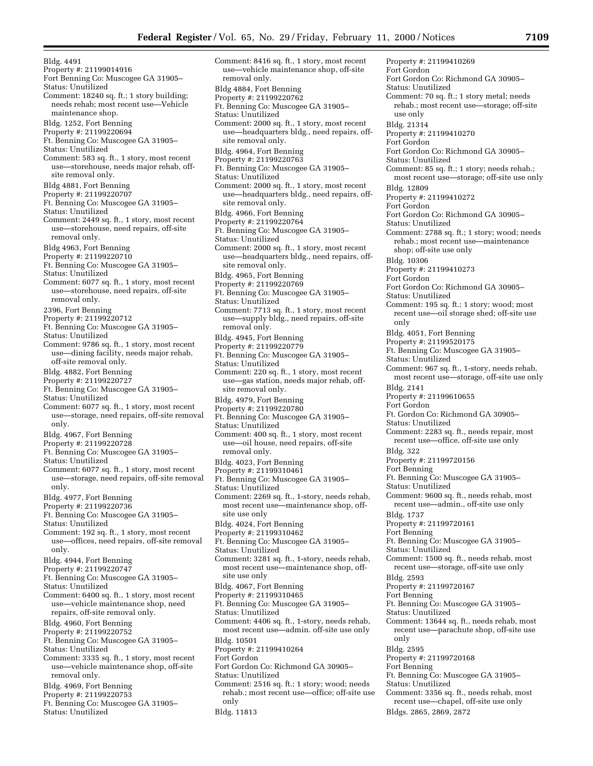Bldg. 4491 Property #: 21199014916 Fort Benning Co: Muscogee GA 31905– Status: Unutilized Comment: 18240 sq. ft.; 1 story building; needs rehab; most recent use—Vehicle maintenance shop. Bldg. 1252, Fort Benning Property #: 21199220694 Ft. Benning Co: Muscogee GA 31905– Status: Unutilized Comment: 583 sq. ft., 1 story, most recent use—storehouse, needs major rehab, offsite removal only. Bldg 4881, Fort Benning Property #: 21199220707 Ft. Benning Co: Muscogee GA 31905– Status: Unutilized Comment: 2449 sq. ft., 1 story, most recent use—storehouse, need repairs, off-site removal only. Bldg 4963, Fort Benning Property #: 21199220710 Ft. Benning Co: Muscogee GA 31905– Status: Unutilized Comment: 6077 sq. ft., 1 story, most recent use—storehouse, need repairs, off-site removal only. 2396, Fort Benning Property #: 21199220712 Ft. Benning Co: Muscogee GA 31905– Status: Unutilized Comment: 9786 sq. ft., 1 story, most recent use—dining facility, needs major rehab, off-site removal only. Bldg. 4882, Fort Benning Property #: 21199220727 Ft. Benning Co: Muscogee GA 31905– Status: Unutilized Comment: 6077 sq. ft., 1 story, most recent use—storage, need repairs, off-site removal only. Bldg. 4967, Fort Benning Property #: 21199220728 Ft. Benning Co: Muscogee GA 31905– Status: Unutilized Comment: 6077 sq. ft., 1 story, most recent use—storage, need repairs, off-site removal only. Bldg. 4977, Fort Benning Property #: 21199220736 Ft. Benning Co: Muscogee GA 31905– Status: Unutilized Comment: 192 sq. ft., 1 story, most recent use—offices, need repairs, off-site removal only. Bldg. 4944, Fort Benning Property #: 21199220747 Ft. Benning Co: Muscogee GA 31905– Status: Unutilized Comment: 6400 sq. ft., 1 story, most recent use—vehicle maintenance shop, need repairs, off-site removal only. Bldg. 4960, Fort Benning Property #: 21199220752 Ft. Benning Co: Muscogee GA 31905– Status: Unutilized Comment: 3335 sq. ft., 1 story, most recent use—vehicle maintenance shop, off-site removal only. Bldg. 4969, Fort Benning Property #: 21199220753 Ft. Benning Co: Muscogee GA 31905– Status: Unutilized

Comment: 8416 sq. ft., 1 story, most recent use—vehicle maintenance shop, off-site removal only. Bldg 4884, Fort Benning Property #: 21199220762 Ft. Benning Co: Muscogee GA 31905– Status: Unutilized Comment: 2000 sq. ft., 1 story, most recent use—headquarters bldg., need repairs, offsite removal only. Bldg. 4964, Fort Benning Property #: 21199220763 Ft. Benning Co: Muscogee GA 31905– Status: Unutilized Comment: 2000 sq. ft., 1 story, most recent use—headquarters bldg., need repairs, offsite removal only. Bldg. 4966, Fort Benning Property #: 21199220764 Ft. Benning Co: Muscogee GA 31905– Status: Unutilized Comment: 2000 sq. ft., 1 story, most recent use—headquarters bldg., need repairs, offsite removal only. Bldg. 4965, Fort Benning Property #: 21199220769 Ft. Benning Co: Muscogee GA 31905– Status: Unutilized Comment: 7713 sq. ft., 1 story, most recent use—supply bldg., need repairs, off-site removal only. Bldg. 4945, Fort Benning Property #: 21199220779 Ft. Benning Co: Muscogee GA 31905– Status: Unutilized Comment: 220 sq. ft., 1 story, most recent use—gas station, needs major rehab, offsite removal only. Bldg. 4979, Fort Benning Property #: 21199220780 Ft. Benning Co: Muscogee GA 31905– Status: Unutilized Comment: 400 sq. ft., 1 story, most recent use—oil house, need repairs, off-site removal only. Bldg. 4023, Fort Benning Property #: 21199310461 Ft. Benning Co: Muscogee GA 31905– Status: Unutilized Comment: 2269 sq. ft., 1-story, needs rehab, most recent use—maintenance shop, offsite use only Bldg. 4024, Fort Benning Property #: 21199310462 Ft. Benning Co: Muscogee GA 31905– Status: Unutilized Comment: 3281 sq. ft., 1-story, needs rehab, most recent use—maintenance shop, offsite use only Bldg. 4067, Fort Benning Property #: 21199310465 Ft. Benning Co: Muscogee GA 31905– Status: Unutilized Comment: 4406 sq. ft., 1-story, needs rehab, most recent use—admin. off-site use only Bldg. 10501 Property #: 21199410264 Fort Gordon Fort Gordon Co: Richmond GA 30905– Status: Unutilized Comment: 2516 sq. ft.; 1 story; wood; needs rehab.; most recent use—office; off-site use only Bldg. 11813

Property #: 21199410269 Fort Gordon Fort Gordon Co: Richmond GA 30905– Status: Unutilized Comment: 70 sq. ft.; 1 story metal; needs rehab.; most recent use—storage; off-site use only Bldg. 21314 Property #: 21199410270 Fort Gordon Fort Gordon Co: Richmond GA 30905– Status: Unutilized Comment: 85 sq. ft.; 1 story; needs rehab.; most recent use—storage; off-site use only Bldg. 12809 Property #: 21199410272 Fort Gordon Fort Gordon Co: Richmond GA 30905– Status: Unutilized Comment: 2788 sq. ft.; 1 story; wood; needs rehab.; most recent use—maintenance shop; off-site use only Bldg. 10306 Property #: 21199410273 Fort Gordon Fort Gordon Co: Richmond GA 30905– Status: Unutilized Comment: 195 sq. ft.; 1 story; wood; most recent use—oil storage shed; off-site use only Bldg. 4051, Fort Benning Property #: 21199520175 Ft. Benning Co: Muscogee GA 31905– Status: Unutilized Comment: 967 sq. ft., 1-story, needs rehab, most recent use—storage, off-site use only Bldg. 2141 Property #: 21199610655 Fort Gordon Ft. Gordon Co: Richmond GA 30905– Status: Unutilized Comment: 2283 sq. ft., needs repair, most recent use—office, off-site use only Bldg. 322 Property #: 21199720156 Fort Benning Ft. Benning Co: Muscogee GA 31905– Status: Unutilized Comment: 9600 sq. ft., needs rehab, most recent use—admin., off-site use only Bldg. 1737 Property #: 21199720161 Fort Benning Ft. Benning Co: Muscogee GA 31905– Status: Unutilized Comment: 1500 sq. ft., needs rehab, most recent use—storage, off-site use only Bldg. 2593 Property #: 21199720167 Fort Benning Ft. Benning Co: Muscogee GA 31905– Status: Unutilized Comment: 13644 sq. ft., needs rehab, most recent use—parachute shop, off-site use only Bldg. 2595 Property #: 21199720168 Fort Benning Ft. Benning Co: Muscogee GA 31905– Status: Unutilized Comment: 3356 sq. ft., needs rehab, most recent use—chapel, off-site use only Bldgs. 2865, 2869, 2872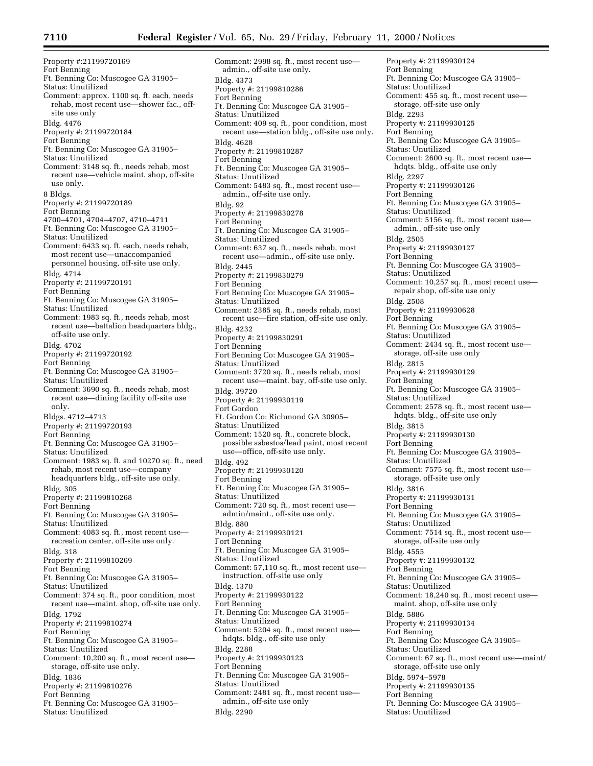Property #:21199720169 Fort Benning Ft. Benning Co: Muscogee GA 31905– Status: Unutilized Comment: approx. 1100 sq. ft. each, needs rehab, most recent use—shower fac., offsite use only Bldg. 4476 Property #: 21199720184 Fort Benning Ft. Benning Co: Muscogee GA 31905– Status: Unutilized Comment: 3148 sq. ft., needs rehab, most recent use—vehicle maint. shop, off-site use only. 8 Bldgs. Property #: 21199720189 Fort Benning 4700–4701, 4704–4707, 4710–4711 Ft. Benning Co: Muscogee GA 31905– Status: Unutilized Comment: 6433 sq. ft. each, needs rehab, most recent use—unaccompanied personnel housing, off-site use only. Bldg. 4714 Property #: 21199720191 Fort Benning Ft. Benning Co: Muscogee GA 31905– Status: Unutilized Comment: 1983 sq. ft., needs rehab, most recent use—battalion headquarters bldg., off-site use only. Bldg. 4702 Property #: 21199720192 Fort Benning Ft. Benning Co: Muscogee GA 31905– Status: Unutilized Comment: 3690 sq. ft., needs rehab, most recent use—dining facility off-site use only. Bldgs. 4712–4713 Property #: 21199720193 Fort Benning Ft. Benning Co: Muscogee GA 31905– Status: Unutilized Comment: 1983 sq. ft. and 10270 sq. ft., need rehab, most recent use—company headquarters bldg., off-site use only. Bldg. 305 Property #: 21199810268 Fort Benning Ft. Benning Co: Muscogee GA 31905– Status: Unutilized Comment: 4083 sq. ft., most recent use recreation center, off-site use only. Bldg. 318 Property #: 21199810269 Fort Benning Ft. Benning Co: Muscogee GA 31905– Status: Unutilized Comment: 374 sq. ft., poor condition, most recent use—maint. shop, off-site use only. Bldg. 1792 Property #: 21199810274 Fort Benning Ft. Benning Co: Muscogee GA 31905– Status: Unutilized Comment: 10,200 sq. ft., most recent use storage, off-site use only. Bldg. 1836 Property #: 21199810276 Fort Benning Ft. Benning Co: Muscogee GA 31905– Status: Unutilized

Comment: 2998 sq. ft., most recent use admin., off-site use only. Bldg. 4373 Property #: 21199810286 Fort Benning Ft. Benning Co: Muscogee GA 31905– Status: Unutilized Comment: 409 sq. ft., poor condition, most recent use—station bldg., off-site use only. Bldg. 4628 Property #: 21199810287 Fort Benning Ft. Benning Co: Muscogee GA 31905– Status: Unutilized Comment: 5483 sq. ft., most recent use admin., off-site use only. Bldg. 92 Property #: 21199830278 Fort Benning Ft. Benning Co: Muscogee GA 31905– Status: Unutilized Comment: 637 sq. ft., needs rehab, most recent use—admin., off-site use only. Bldg. 2445 Property #: 21199830279 Fort Benning Fort Benning Co: Muscogee GA 31905– Status: Unutilized Comment: 2385 sq. ft., needs rehab, most recent use—fire station, off-site use only. Bldg. 4232 Property #: 21199830291 Fort Benning Fort Benning Co: Muscogee GA 31905– Status: Unutilized Comment: 3720 sq. ft., needs rehab, most recent use—maint. bay, off-site use only. Bldg. 39720 Property #: 21199930119 Fort Gordon Ft. Gordon Co: Richmond GA 30905– Status: Unutilized Comment: 1520 sq. ft., concrete block, possible asbestos/lead paint, most recent use—office, off-site use only. Bldg. 492 Property #: 21199930120 Fort Benning Ft. Benning Co: Muscogee GA 31905– Status: Unutilized Comment: 720 sq. ft., most recent use admin/maint., off-site use only. Bldg. 880 Property #: 21199930121 Fort Benning Ft. Benning Co: Muscogee GA 31905– Status: Unutilized Comment: 57,110 sq. ft., most recent use instruction, off-site use only Bldg. 1370 Property #: 21199930122 Fort Benning Ft. Benning Co: Muscogee GA 31905– Status: Unutilized Comment: 5204 sq. ft., most recent use hdqts. bldg., off-site use only Bldg. 2288 Property #: 21199930123 Fort Benning Ft. Benning Co: Muscogee GA 31905– Status: Unutilized Comment: 2481 sq. ft., most recent use admin., off-site use only Bldg. 2290

Property #: 21199930124 Fort Benning Ft. Benning Co: Muscogee GA 31905– Status: Unutilized Comment: 455 sq. ft., most recent use storage, off-site use only Bldg. 2293 Property #: 21199930125 Fort Benning Ft. Benning Co: Muscogee GA 31905– Status: Unutilized Comment: 2600 sq. ft., most recent use hdqts. bldg., off-site use only Bldg. 2297 Property #: 21199930126 Fort Benning Ft. Benning Co: Muscogee GA 31905– Status: Unutilized Comment: 5156 sq. ft., most recent use admin., off-site use only Bldg. 2505 Property #: 21199930127 Fort Benning Ft. Benning Co: Muscogee GA 31905– Status: Unutilized Comment: 10,257 sq. ft., most recent use repair shop, off-site use only Bldg. 2508 Property #: 21199930628 Fort Benning Ft. Benning Co: Muscogee GA 31905– Status: Unutilized Comment: 2434 sq. ft., most recent use storage, off-site use only Bldg. 2815 Property #: 21199930129 Fort Benning Ft. Benning Co: Muscogee GA 31905– Status: Unutilized Comment: 2578 sq. ft., most recent use hdqts. bldg., off-site use only Bldg. 3815 Property #: 21199930130 Fort Benning Ft. Benning Co: Muscogee GA 31905– Status: Unutilized Comment: 7575 sq. ft., most recent use storage, off-site use only Bldg. 3816 Property #: 21199930131 Fort Benning Ft. Benning Co: Muscogee GA 31905– Status: Unutilized Comment: 7514 sq. ft., most recent use storage, off-site use only Bldg. 4555 Property #: 21199930132 Fort Benning Ft. Benning Co: Muscogee GA 31905– Status: Unutilized Comment: 18,240 sq. ft., most recent use maint. shop, off-site use only Bldg. 5886 Property #: 21199930134 Fort Benning Ft. Benning Co: Muscogee GA 31905– Status: Unutilized Comment: 67 sq. ft., most recent use—maint/ storage, off-site use only Bldg. 5974–5978 Property #: 21199930135 Fort Benning Ft. Benning Co: Muscogee GA 31905– Status: Unutilized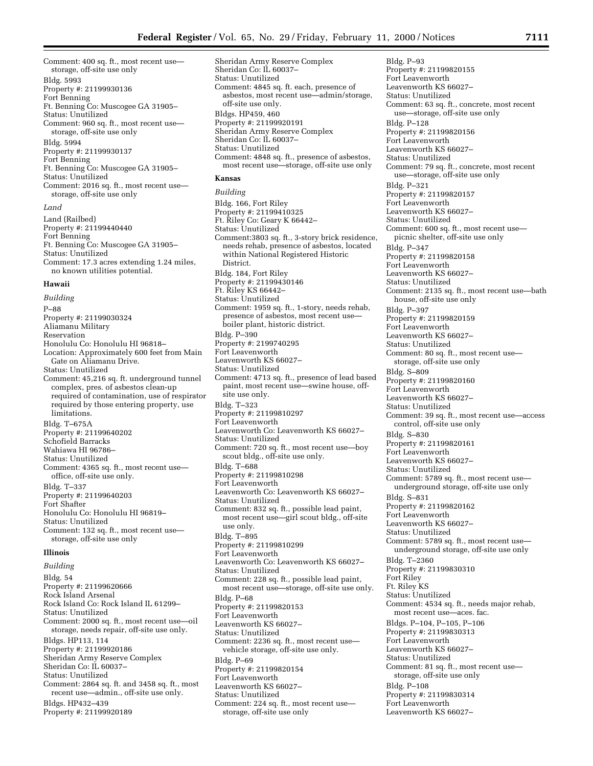Comment: 400 sq. ft., most recent use storage, off-site use only Bldg. 5993 Property #: 21199930136 Fort Benning Ft. Benning Co: Muscogee GA 31905– Status: Unutilized Comment: 960 sq. ft., most recent use storage, off-site use only Bldg. 5994 Property #: 21199930137 Fort Benning Ft. Benning Co: Muscogee GA 31905– Status: Unutilized Comment: 2016 sq. ft., most recent use storage, off-site use only

#### *Land*

Land (Railbed) Property #: 21199440440 Fort Benning Ft. Benning Co: Muscogee GA 31905– Status: Unutilized Comment: 17.3 acres extending 1.24 miles, no known utilities potential.

# **Hawaii**

*Building*

P–88 Property #: 21199030324 Aliamanu Military Reservation Honolulu Co: Honolulu HI 96818– Location: Approximately 600 feet from Main Gate on Aliamanu Drive. Status: Unutilized Comment: 45,216 sq. ft. underground tunnel complex, pres. of asbestos clean-up required of contamination, use of respirator required by those entering property, use limitations. Bldg. T–675A Property #: 21199640202 Schofield Barracks Wahiawa HI 96786– Status: Unutilized Comment: 4365 sq. ft., most recent use office, off-site use only. Bldg. T–337 Property #: 21199640203 Fort Shafter Honolulu Co: Honolulu HI 96819– Status: Unutilized Comment: 132 sq. ft., most recent use storage, off-site use only **Illinois** *Building* Bldg. 54 Property #: 21199620666 Rock Island Arsenal

Rock Island Co: Rock Island IL 61299– Status: Unutilized Comment: 2000 sq. ft., most recent use—oil storage, needs repair, off-site use only. Bldgs. HP113, 114 Property #: 21199920186 Sheridan Army Reserve Complex Sheridan Co: IL 60037– Status: Unutilized Comment: 2864 sq. ft. and 3458 sq. ft., most recent use—admin., off-site use only. Bldgs. HP432–439 Property #: 21199920189

Sheridan Army Reserve Complex Sheridan Co: IL 60037– Status: Unutilized Comment: 4845 sq. ft. each, presence of asbestos, most recent use—admin/storage, off-site use only. Bldgs. HP459, 460 Property #: 21199920191 Sheridan Army Reserve Complex Sheridan Co: IL 60037– Status: Unutilized Comment: 4848 sq. ft., presence of asbestos, most recent use—storage, off-site use only

# **Kansas**

*Building*

Bldg. 166, Fort Riley Property #: 21199410325 Ft. Riley Co: Geary K 66442– Status: Unutilized Comment:3803 sq. ft., 3-story brick residence, needs rehab, presence of asbestos, located within National Registered Historic District. Bldg. 184, Fort Riley Property #: 21199430146 Ft. Riley KS 66442– Status: Unutilized Comment: 1959 sq. ft., 1-story, needs rehab, presence of asbestos, most recent use boiler plant, historic district. Bldg. P–390 Property #: 2199740295 Fort Leavenworth Leavenworth KS 66027– Status: Unutilized Comment: 4713 sq. ft., presence of lead based paint, most recent use—swine house, offsite use only. Bldg. T–323 Property #: 21199810297 Fort Leavenworth Leavenworth Co: Leavenworth KS 66027– Status: Unutilized Comment: 720 sq. ft., most recent use—boy scout bldg., off-site use only. Bldg. T–688 Property #: 21199810298 Fort Leavenworth Leavenworth Co: Leavenworth KS 66027– Status: Unutilized Comment: 832 sq. ft., possible lead paint, most recent use—girl scout bldg., off-site use only. Bldg. T–895 Property #: 21199810299 Fort Leavenworth Leavenworth Co: Leavenworth KS 66027– Status: Unutilized Comment: 228 sq. ft., possible lead paint, most recent use—storage, off-site use only. Bldg. P–68 Property #: 21199820153 Fort Leavenworth Leavenworth KS 66027– Status: Unutilized Comment: 2236 sq. ft., most recent use vehicle storage, off-site use only. Bldg. P–69 Property #: 21199820154 Fort Leavenworth Leavenworth KS 66027– Status: Unutilized Comment: 224 sq. ft., most recent use storage, off-site use only

Bldg. P–93 Property #: 21199820155 Fort Leavenworth Leavenworth KS 66027– Status: Unutilized Comment: 63 sq. ft., concrete, most recent use—storage, off-site use only Bldg. P–128 Property #: 21199820156 Fort Leavenworth Leavenworth KS 66027– Status: Unutilized Comment: 79 sq. ft., concrete, most recent use—storage, off-site use only Bldg. P–321 Property #: 21199820157 Fort Leavenworth Leavenworth KS 66027– Status: Unutilized Comment: 600 sq. ft., most recent use picnic shelter, off-site use only Bldg. P–347 Property #: 21199820158 Fort Leavenworth Leavenworth KS 66027– Status: Unutilized Comment: 2135 sq. ft., most recent use—bath house, off-site use only Bldg. P–397 Property #: 21199820159 Fort Leavenworth Leavenworth KS 66027– Status: Unutilized Comment: 80 sq. ft., most recent use storage, off-site use only Bldg. S–809 Property #: 21199820160 Fort Leavenworth Leavenworth KS 66027– Status: Unutilized Comment: 39 sq. ft., most recent use—access control, off-site use only Bldg. S–830 Property #: 21199820161 Fort Leavenworth Leavenworth KS 66027– Status: Unutilized Comment: 5789 sq. ft., most recent use underground storage, off-site use only Bldg. S–831 Property #: 21199820162 Fort Leavenworth Leavenworth KS 66027– Status: Unutilized Comment: 5789 sq. ft., most recent use underground storage, off-site use only Bldg. T–2360 Property #: 21199830310 Fort Riley Ft. Riley KS Status: Unutilized Comment: 4534 sq. ft., needs major rehab, most recent use—aces. fac. Bldgs. P–104, P–105, P–106 Property #: 21199830313 Fort Leavenworth Leavenworth KS 66027– Status: Unutilized Comment: 81 sq. ft., most recent use storage, off-site use only Bldg. P–108 Property #: 21199830314 Fort Leavenworth Leavenworth KS 66027–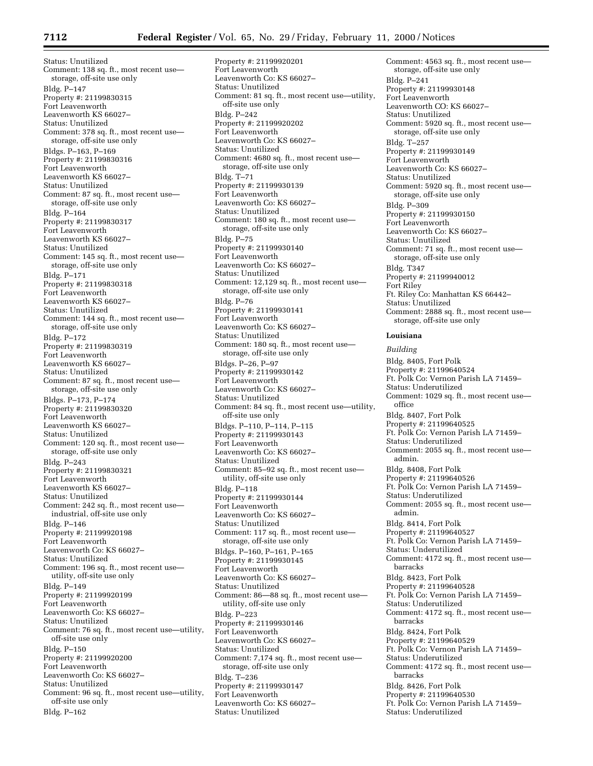Status: Unutilized Comment: 138 sq. ft., most recent use storage, off-site use only Bldg. P–147 Property #: 21199830315 Fort Leavenworth Leavenworth KS 66027– Status: Unutilized Comment: 378 sq. ft., most recent use storage, off-site use only Bldgs. P–163, P–169 Property #: 21199830316 Fort Leavenworth Leavenworth KS 66027– Status: Unutilized Comment: 87 sq. ft., most recent use storage, off-site use only Bldg. P–164 Property #: 21199830317 Fort Leavenworth Leavenworth KS 66027– Status: Unutilized Comment: 145 sq. ft., most recent use storage, off-site use only Bldg. P–171 Property #: 21199830318 Fort Leavenworth Leavenworth KS 66027– Status: Unutilized Comment: 144 sq. ft., most recent use storage, off-site use only Bldg. P–172 Property #: 21199830319 Fort Leavenworth Leavenworth KS 66027– Status: Unutilized Comment: 87 sq. ft., most recent use storage, off-site use only Bldgs. P–173, P–174 Property #: 21199830320 Fort Leavenworth Leavenworth KS 66027– Status: Unutilized Comment: 120 sq. ft., most recent use storage, off-site use only Bldg. P–243 Property #: 21199830321 Fort Leavenworth Leavenworth KS 66027– Status: Unutilized Comment: 242 sq. ft., most recent use industrial, off-site use only Bldg. P–146 Property #: 21199920198 Fort Leavenworth Leavenworth Co: KS 66027– Status: Unutilized Comment: 196 sq. ft., most recent use utility, off-site use only Bldg. P–149 Property #: 21199920199 Fort Leavenworth Leavenworth Co: KS 66027– Status: Unutilized Comment: 76 sq. ft., most recent use—utility, off-site use only Bldg. P–150 Property #: 21199920200 Fort Leavenworth Leavenworth Co: KS 66027– Status: Unutilized Comment: 96 sq. ft., most recent use—utility, off-site use only Bldg. P–162

Property #: 21199920201 Fort Leavenworth Leavenworth Co: KS 66027– Status: Unutilized Comment: 81 sq. ft., most recent use—utility, off-site use only Bldg. P–242 Property #: 21199920202 Fort Leavenworth Leavenworth Co: KS 66027– Status: Unutilized Comment: 4680 sq. ft., most recent use storage, off-site use only Bldg. T–71 Property #: 21199930139 Fort Leavenworth Leavenworth Co: KS 66027– Status: Unutilized Comment: 180 sq. ft., most recent use storage, off-site use only Bldg. P–75 Property #: 21199930140 Fort Leavenworth Leavenworth Co: KS 66027– Status: Unutilized Comment: 12,129 sq. ft., most recent use storage, off-site use only Bldg. P–76 Property #: 21199930141 Fort Leavenworth Leavenworth Co: KS 66027– Status: Unutilized Comment: 180 sq. ft., most recent use storage, off-site use only Bldgs. P–26, P–97 Property #: 21199930142 Fort Leavenworth Leavenworth Co: KS 66027– Status: Unutilized Comment: 84 sq. ft., most recent use—utility, off-site use only Bldgs. P–110, P–114, P–115 Property #: 21199930143 Fort Leavenworth Leavenworth Co: KS 66027– Status: Unutilized Comment: 85–92 sq. ft., most recent use utility, off-site use only Bldg. P–118 Property #: 21199930144 Fort Leavenworth Leavenworth Co: KS 66027– Status: Unutilized Comment: 117 sq. ft., most recent use storage, off-site use only Bldgs. P–160, P–161, P–165 Property #: 21199930145 Fort Leavenworth Leavenworth Co: KS 66027– Status: Unutilized Comment: 86—88 sq. ft., most recent use utility, off-site use only Bldg. P–223 Property #: 21199930146 Fort Leavenworth Leavenworth Co: KS 66027– Status: Unutilized Comment: 7,174 sq. ft., most recent use storage, off-site use only Bldg. T–236 Property #: 21199930147 Fort Leavenworth Leavenworth Co: KS 66027– Status: Unutilized

Comment: 4563 sq. ft., most recent use storage, off-site use only Bldg. P–241 Property #: 21199930148 Fort Leavenworth Leavenworth CO: KS 66027– Status: Unutilized Comment: 5920 sq. ft., most recent use storage, off-site use only Bldg. T–257 Property #: 21199930149 Fort Leavenworth Leavenworth Co: KS 66027– Status: Unutilized Comment: 5920 sq. ft., most recent use storage, off-site use only Bldg. P–309 Property #: 21199930150 Fort Leavenworth Leavenworth Co: KS 66027– Status: Unutilized Comment: 71 sq. ft., most recent use storage, off-site use only Bldg. T347 Property #: 21199940012 Fort Riley Ft. Riley Co: Manhattan KS 66442– Status: Unutilized Comment: 2888 sq. ft., most recent use storage, off-site use only

#### **Louisiana**

*Building*

Bldg. 8405, Fort Polk Property #: 21199640524 Ft. Polk Co: Vernon Parish LA 71459– Status: Underutilized Comment: 1029 sq. ft., most recent use office Bldg. 8407, Fort Polk Property #: 21199640525 Ft. Polk Co: Vernon Parish LA 71459– Status: Underutilized Comment: 2055 sq. ft., most recent use admin. Bldg. 8408, Fort Polk Property #: 21199640526 Ft. Polk Co: Vernon Parish LA 71459– Status: Underutilized Comment: 2055 sq. ft., most recent use admin. Bldg. 8414, Fort Polk Property #: 21199640527 Ft. Polk Co: Vernon Parish LA 71459– Status: Underutilized Comment: 4172 sq. ft., most recent use barracks Bldg. 8423, Fort Polk Property #: 21199640528 Ft. Polk Co: Vernon Parish LA 71459– Status: Underutilized Comment: 4172 sq. ft., most recent use barracks Bldg. 8424, Fort Polk Property #: 21199640529 Ft. Polk Co: Vernon Parish LA 71459– Status: Underutilized Comment: 4172 sq. ft., most recent use barracks Bldg. 8426, Fort Polk Property #: 21199640530 Ft. Polk Co: Vernon Parish LA 71459– Status: Underutilized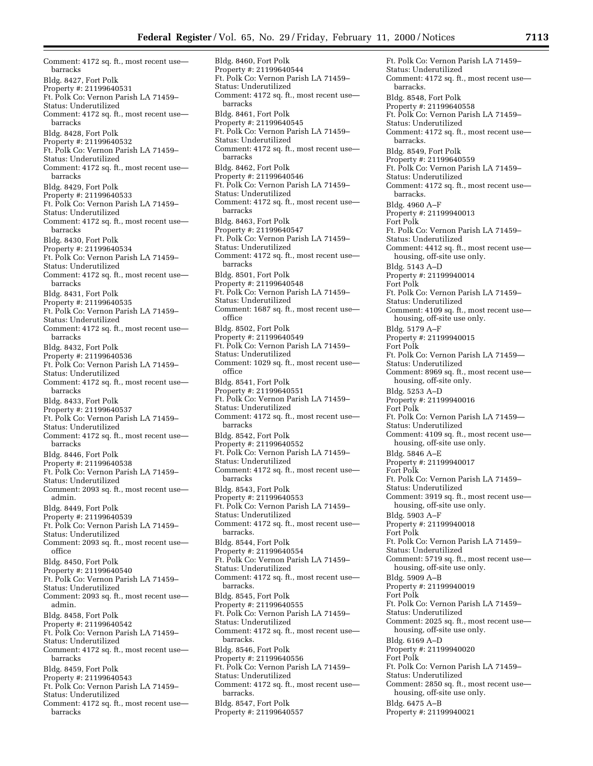Comment: 4172 sq. ft., most recent use barracks Bldg. 8427, Fort Polk Property #: 21199640531 Ft. Polk Co: Vernon Parish LA 71459– Status: Underutilized Comment: 4172 sq. ft., most recent use barracks Bldg. 8428, Fort Polk Property #: 21199640532 Ft. Polk Co: Vernon Parish LA 71459– Status: Underutilized Comment: 4172 sq. ft., most recent use barracks Bldg. 8429, Fort Polk Property #: 21199640533 Ft. Polk Co: Vernon Parish LA 71459– Status: Underutilized Comment: 4172 sq. ft., most recent use barracks Bldg. 8430, Fort Polk Property #: 21199640534 Ft. Polk Co: Vernon Parish LA 71459– Status: Underutilized Comment: 4172 sq. ft., most recent use barracks Bldg. 8431, Fort Polk Property #: 21199640535 Ft. Polk Co: Vernon Parish LA 71459– Status: Underutilized Comment: 4172 sq. ft., most recent use barracks Bldg. 8432, Fort Polk Property #: 21199640536 Ft. Polk Co: Vernon Parish LA 71459– Status: Underutilized Comment: 4172 sq. ft., most recent use barracks Bldg. 8433, Fort Polk Property #: 21199640537 Ft. Polk Co: Vernon Parish LA 71459– Status: Underutilized Comment: 4172 sq. ft., most recent use barracks Bldg. 8446, Fort Polk Property #: 21199640538 Ft. Polk Co: Vernon Parish LA 71459– Status: Underutilized Comment: 2093 sq. ft., most recent use admin. Bldg. 8449, Fort Polk Property #: 21199640539 Ft. Polk Co: Vernon Parish LA 71459– Status: Underutilized Comment: 2093 sq. ft., most recent use office Bldg. 8450, Fort Polk Property #: 21199640540 Ft. Polk Co: Vernon Parish LA 71459– Status: Underutilized Comment: 2093 sq. ft., most recent use admin. Bldg. 8458, Fort Polk Property #: 21199640542 Ft. Polk Co: Vernon Parish LA 71459– Status: Underutilized Comment: 4172 sq. ft., most recent use barracks Bldg. 8459, Fort Polk Property #: 21199640543 Ft. Polk Co: Vernon Parish LA 71459– Status: Underutilized Comment: 4172 sq. ft., most recent use barracks

Bldg. 8460, Fort Polk Property #: 21199640544 Ft. Polk Co: Vernon Parish LA 71459– Status: Underutilized Comment: 4172 sq. ft., most recent use barracks Bldg. 8461, Fort Polk Property #: 21199640545 Ft. Polk Co: Vernon Parish LA 71459– Status: Underutilized Comment: 4172 sq. ft., most recent use barracks Bldg. 8462, Fort Polk Property #: 21199640546 Ft. Polk Co: Vernon Parish LA 71459– Status: Underutilized Comment: 4172 sq. ft., most recent use barracks Bldg. 8463, Fort Polk Property #: 21199640547 Ft. Polk Co: Vernon Parish LA 71459– Status: Underutilized Comment: 4172 sq. ft., most recent use barracks Bldg. 8501, Fort Polk Property #: 21199640548 Ft. Polk Co: Vernon Parish LA 71459– Status: Underutilized Comment: 1687 sq. ft., most recent use office Bldg. 8502, Fort Polk Property #: 21199640549 Ft. Polk Co: Vernon Parish LA 71459– Status: Underutilized Comment: 1029 sq. ft., most recent use office Bldg. 8541, Fort Polk Property #: 21199640551 Ft. Polk Co: Vernon Parish LA 71459– Status: Underutilized Comment: 4172 sq. ft., most recent use barracks Bldg. 8542, Fort Polk Property #: 21199640552 Ft. Polk Co: Vernon Parish LA 71459– Status: Underutilized Comment: 4172 sq. ft., most recent use barracks Bldg. 8543, Fort Polk Property #: 21199640553 Ft. Polk Co: Vernon Parish LA 71459– Status: Underutilized Comment: 4172 sq. ft., most recent use barracks. Bldg. 8544, Fort Polk Property #: 21199640554 Ft. Polk Co: Vernon Parish LA 71459– Status: Underutilized Comment: 4172 sq. ft., most recent use barracks. Bldg. 8545, Fort Polk Property #: 21199640555 Ft. Polk Co: Vernon Parish LA 71459– Status: Underutilized Comment: 4172 sq. ft., most recent use barracks. Bldg. 8546, Fort Polk Property #: 21199640556 Ft. Polk Co: Vernon Parish LA 71459– Status: Underutilized Comment: 4172 sq. ft., most recent use barracks. Bldg. 8547, Fort Polk Property #: 21199640557

Ft. Polk Co: Vernon Parish LA 71459– Status: Underutilized Comment: 4172 sq. ft., most recent use barracks. Bldg. 8548, Fort Polk Property #: 21199640558 Ft. Polk Co: Vernon Parish LA 71459– Status: Underutilized Comment: 4172 sq. ft., most recent use barracks. Bldg. 8549, Fort Polk Property #: 21199640559 Ft. Polk Co: Vernon Parish LA 71459– Status: Underutilized Comment: 4172 sq. ft., most recent use barracks. Bldg. 4960 A–F Property #: 21199940013 Fort Polk Ft. Polk Co: Vernon Parish LA 71459– Status: Underutilized Comment: 4412 sq. ft., most recent use housing, off-site use only. Bldg. 5143 A–D Property #: 21199940014 Fort Polk Ft. Polk Co: Vernon Parish LA 71459– Status: Underutilized Comment: 4109 sq. ft., most recent use housing, off-site use only. Bldg. 5179 A–F Property #: 21199940015 Fort Polk Ft. Polk Co: Vernon Parish LA 71459— Status: Underutilized Comment: 8969 sq. ft., most recent use housing, off-site only. Bldg. 5253 A–D Property #: 21199940016 Fort Polk Ft. Polk Co: Vernon Parish LA 71459— Status: Underutilized Comment: 4109 sq. ft., most recent use housing, off-site use only. Bldg. 5846 A–E Property #: 21199940017 Fort Polk Ft. Polk Co: Vernon Parish LA 71459– Status: Underutilized Comment: 3919 sq. ft., most recent use housing, off-site use only. Bldg. 5903 A–F Property #: 21199940018 Fort Polk Ft. Polk Co: Vernon Parish LA 71459– Status: Underutilized Comment: 5719 sq. ft., most recent use housing, off-site use only. Bldg. 5909 A–B Property #: 21199940019 Fort Polk Ft. Polk Co: Vernon Parish LA 71459– Status: Underutilized Comment: 2025 sq. ft., most recent use housing, off-site use only. Bldg. 6169 A–D Property #: 21199940020 Fort Polk Ft. Polk Co: Vernon Parish LA 71459– Status: Underutilized Comment: 2850 sq. ft., most recent use housing, off-site use only. Bldg. 6475 A–B Property #: 21199940021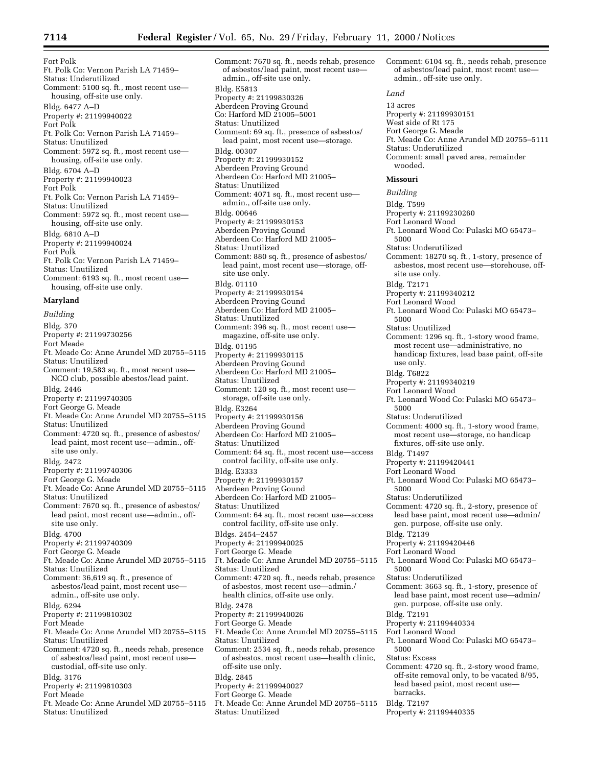Fort Polk Ft. Polk Co: Vernon Parish LA 71459– Status: Underutilized Comment: 5100 sq. ft., most recent use housing, off-site use only. Bldg. 6477 A–D Property #: 21199940022 Fort Polk Ft. Polk Co: Vernon Parish LA 71459– Status: Unutilized Comment: 5972 sq. ft., most recent use housing, off-site use only. Bldg. 6704 A–D Property #: 21199940023 Fort Polk Ft. Polk Co: Vernon Parish LA 71459– Status: Unutilized Comment: 5972 sq. ft., most recent use housing, off-site use only. Bldg. 6810 A–D Property #: 21199940024 Fort Polk Ft. Polk Co: Vernon Parish LA 71459– Status: Unutilized Comment: 6193 sq. ft., most recent use housing, off-site use only. **Maryland**

*Building* Bldg. 370 Property #: 21199730256 Fort Meade Ft. Meade Co: Anne Arundel MD 20755–5115 Status: Unutilized Comment: 19,583 sq. ft., most recent use— NCO club, possible abestos/lead paint. Bldg. 2446 Property #: 21199740305 Fort George G. Meade Ft. Meade Co: Anne Arundel MD 20755–5115 Status: Unutilized Comment: 4720 sq. ft., presence of asbestos/ lead paint, most recent use—admin., offsite use only. Bldg. 2472 Property #: 21199740306 Fort George G. Meade Ft. Meade Co: Anne Arundel MD 20755–5115 Status: Unutilized Comment: 7670 sq. ft., presence of asbestos/ lead paint, most recent use—admin., offsite use only. Bldg. 4700 Property #: 21199740309 Fort George G. Meade Ft. Meade Co: Anne Arundel MD 20755–5115 Status: Unutilized Comment: 36,619 sq. ft., presence of asbestos/lead paint, most recent use admin., off-site use only. Bldg. 6294 Property #: 21199810302 Fort Meade Ft. Meade Co: Anne Arundel MD 20755–5115 Status: Unutilized Comment: 4720 sq. ft., needs rehab, presence of asbestos/lead paint, most recent use custodial, off-site use only. Bldg. 3176 Property #: 21199810303 Fort Meade Ft. Meade Co: Anne Arundel MD 20755–5115 Status: Unutilized

Comment: 7670 sq. ft., needs rehab, presence of asbestos/lead paint, most recent use admin., off-site use only. Bldg. E5813 Property #: 21199830326 Aberdeen Proving Ground Co: Harford MD 21005–5001 Status: Unutilized Comment: 69 sq. ft., presence of asbestos/ lead paint, most recent use—storage. Bldg. 00307 Property #: 21199930152 Aberdeen Proving Ground Aberdeen Co: Harford MD 21005– Status: Unutilized Comment: 4071 sq. ft., most recent use admin., off-site use only. Bldg. 00646 Property #: 21199930153 Aberdeen Proving Gound Aberdeen Co: Harford MD 21005– Status: Unutilized Comment: 880 sq. ft., presence of asbestos/ lead paint, most recent use—storage, offsite use only. Bldg. 01110 Property #: 21199930154 Aberdeen Proving Gound Aberdeen Co: Harford MD 21005– Status: Unutilized Comment: 396 sq. ft., most recent use magazine, off-site use only. Bldg. 01195 Property #: 21199930115 Aberdeen Proving Gound Aberdeen Co: Harford MD 21005– Status: Unutilized Comment: 120 sq. ft., most recent use storage, off-site use only. Bldg. E3264 Property #: 21199930156 Aberdeen Proving Gound Aberdeen Co: Harford MD 21005– Status: Unutilized Comment: 64 sq. ft., most recent use—access control facility, off-site use only. Bldg. E3333 Property #: 21199930157 Aberdeen Proving Gound Aberdeen Co: Harford MD 21005– Status: Unutilized Comment: 64 sq. ft., most recent use—access control facility, off-site use only. Bldgs. 2454–2457 Property #: 21199940025 Fort George G. Meade Ft. Meade Co: Anne Arundel MD 20755–5115 Status: Unutilized Comment: 4720 sq. ft., needs rehab, presence of asbestos, most recent use—admin./ health clinics, off-site use only. Bldg. 2478 Property #: 21199940026 Fort George G. Meade Ft. Meade Co: Anne Arundel MD 20755–5115 Status: Unutilized Comment: 2534 sq. ft., needs rehab, presence of asbestos, most recent use—health clinic, off-site use only. Bldg. 2845 Property #: 21199940027 Fort George G. Meade Ft. Meade Co: Anne Arundel MD 20755–5115 Status: Unutilized

*Land* 13 acres Property #: 21199930151 West side of Rt 175 Fort George G. Meade Ft. Meade Co: Anne Arundel MD 20755–5111 Status: Underutilized Comment: small paved area, remainder wooded. **Missouri** *Building* Bldg. T599 Property #: 21199230260 Fort Leonard Wood Ft. Leonard Wood Co: Pulaski MO 65473– 5000 Status: Underutilized Comment: 18270 sq. ft., 1-story, presence of asbestos, most recent use—storehouse, offsite use only. Bldg. T2171 Property #: 21199340212 Fort Leonard Wood Ft. Leonard Wood Co: Pulaski MO 65473– 5000 Status: Unutilized Comment: 1296 sq. ft., 1-story wood frame, most recent use—administrative, no handicap fixtures, lead base paint, off-site use only. Bldg. T6822 Property #: 21199340219 Fort Leonard Wood Ft. Leonard Wood Co: Pulaski MO 65473– 5000 Status: Underutilized Comment: 4000 sq. ft., 1-story wood frame, most recent use—storage, no handicap fixtures, off-site use only. Bldg. T1497 Property #: 21199420441 Fort Leonard Wood Ft. Leonard Wood Co: Pulaski MO 65473– 5000 Status: Underutilized Comment: 4720 sq. ft., 2-story, presence of lead base paint, most recent use—admin/ gen. purpose, off-site use only. Bldg. T2139 Property #: 21199420446 Fort Leonard Wood Ft. Leonard Wood Co: Pulaski MO 65473– 5000 Status: Underutilized Comment: 3663 sq. ft., 1-story, presence of lead base paint, most recent use—admin/ gen. purpose, off-site use only. Bldg. T2191 Property #: 21199440334 Fort Leonard Wood Ft. Leonard Wood Co: Pulaski MO 65473– 5000 Status: Excess Comment: 4720 sq. ft., 2-story wood frame, off-site removal only, to be vacated 8/95, lead based paint, most recent use barracks. Bldg. T2197 Property #: 21199440335

Comment: 6104 sq. ft., needs rehab, presence of asbestos/lead paint, most recent use—

admin., off-site use only.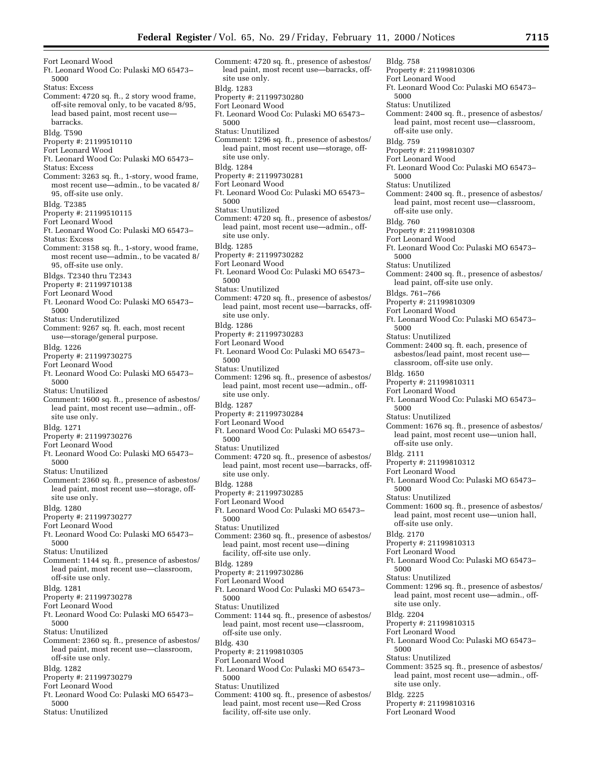Fort Leonard Wood Ft. Leonard Wood Co: Pulaski MO 65473– 5000 Status: Excess Comment: 4720 sq. ft., 2 story wood frame, off-site removal only, to be vacated 8/95, lead based paint, most recent use barracks. Bldg. T590 Property #: 21199510110 Fort Leonard Wood Ft. Leonard Wood Co: Pulaski MO 65473– Status: Excess Comment: 3263 sq. ft., 1-story, wood frame, most recent use—admin., to be vacated 8/ 95, off-site use only. Bldg. T2385 Property #: 21199510115 Fort Leonard Wood Ft. Leonard Wood Co: Pulaski MO 65473– Status: Excess Comment: 3158 sq. ft., 1-story, wood frame, most recent use—admin., to be vacated 8/ 95, off-site use only. Bldgs. T2340 thru T2343 Property #: 21199710138 Fort Leonard Wood Ft. Leonard Wood Co: Pulaski MO 65473– 5000 Status: Underutilized Comment: 9267 sq. ft. each, most recent use—storage/general purpose. Bldg. 1226 Property #: 21199730275 Fort Leonard Wood Ft. Leonard Wood Co: Pulaski MO 65473– 5000 Status: Unutilized Comment: 1600 sq. ft., presence of asbestos/ lead paint, most recent use—admin., offsite use only. Bldg. 1271 Property #: 21199730276 Fort Leonard Wood Ft. Leonard Wood Co: Pulaski MO 65473– 5000 Status: Unutilized Comment: 2360 sq. ft., presence of asbestos/ lead paint, most recent use—storage, offsite use only. Bldg. 1280 Property #: 21199730277 Fort Leonard Wood Ft. Leonard Wood Co: Pulaski MO 65473– 5000 Status: Unutilized Comment: 1144 sq. ft., presence of asbestos/ lead paint, most recent use—classroom, off-site use only. Bldg. 1281 Property #: 21199730278 Fort Leonard Wood Ft. Leonard Wood Co: Pulaski MO 65473– 5000 Status: Unutilized Comment: 2360 sq. ft., presence of asbestos/ lead paint, most recent use—classroom, off-site use only. Bldg. 1282 Property #: 21199730279 Fort Leonard Wood Ft. Leonard Wood Co: Pulaski MO 65473– 5000

Status: Unutilized

Comment: 4720 sq. ft., presence of asbestos/ lead paint, most recent use—barracks, offsite use only. Bldg. 1283 Property #: 21199730280 Fort Leonard Wood Ft. Leonard Wood Co: Pulaski MO 65473– 5000 Status: Unutilized Comment: 1296 sq. ft., presence of asbestos/ lead paint, most recent use—storage, offsite use only. Bldg. 1284 Property #: 21199730281 Fort Leonard Wood Ft. Leonard Wood Co: Pulaski MO 65473– 5000 Status: Unutilized Comment: 4720 sq. ft., presence of asbestos/ lead paint, most recent use—admin., offsite use only. Bldg. 1285 Property #: 21199730282 Fort Leonard Wood Ft. Leonard Wood Co: Pulaski MO 65473– 5000 Status: Unutilized Comment: 4720 sq. ft., presence of asbestos/ lead paint, most recent use—barracks, offsite use only. Bldg. 1286 Property #: 21199730283 Fort Leonard Wood Ft. Leonard Wood Co: Pulaski MO 65473– 5000 Status: Unutilized Comment: 1296 sq. ft., presence of asbestos/ lead paint, most recent use—admin., offsite use only. Bldg. 1287 Property #: 21199730284 Fort Leonard Wood Ft. Leonard Wood Co: Pulaski MO 65473– 5000 Status: Unutilized Comment: 4720 sq. ft., presence of asbestos/ lead paint, most recent use—barracks, offsite use only. Bldg. 1288 Property #: 21199730285 Fort Leonard Wood Ft. Leonard Wood Co: Pulaski MO 65473– 5000 Status: Unutilized Comment: 2360 sq. ft., presence of asbestos/ lead paint, most recent use—dining facility, off-site use only. Bldg. 1289 Property #: 21199730286 Fort Leonard Wood Ft. Leonard Wood Co: Pulaski MO 65473– 5000 Status: Unutilized Comment: 1144 sq. ft., presence of asbestos/ lead paint, most recent use—classroom, off-site use only. Bldg. 430 Property #: 21199810305 Fort Leonard Wood Ft. Leonard Wood Co: Pulaski MO 65473– 5000 Status: Unutilized Comment: 4100 sq. ft., presence of asbestos/ lead paint, most recent use—Red Cross

facility, off-site use only.

Bldg. 758 Property #: 21199810306 Fort Leonard Wood Ft. Leonard Wood Co: Pulaski MO 65473– 5000 Status: Unutilized Comment: 2400 sq. ft., presence of asbestos/ lead paint, most recent use—classroom, off-site use only. Bldg. 759 Property #: 21199810307 Fort Leonard Wood Ft. Leonard Wood Co: Pulaski MO 65473– 5000 Status: Unutilized Comment: 2400 sq. ft., presence of asbestos/ lead paint, most recent use—classroom, off-site use only. Bldg. 760 Property #: 21199810308 Fort Leonard Wood Ft. Leonard Wood Co: Pulaski MO 65473– 5000 Status: Unutilized Comment: 2400 sq. ft., presence of asbestos/ lead paint, off-site use only. Bldgs. 761–766 Property #: 21199810309 Fort Leonard Wood Ft. Leonard Wood Co: Pulaski MO 65473– 5000 Status: Unutilized Comment: 2400 sq. ft. each, presence of asbestos/lead paint, most recent use classroom, off-site use only. Bldg. 1650 Property #: 21199810311 Fort Leonard Wood Ft. Leonard Wood Co: Pulaski MO 65473– 5000 Status: Unutilized Comment: 1676 sq. ft., presence of asbestos/ lead paint, most recent use—union hall, off-site use only. Bldg. 2111 Property #: 21199810312 Fort Leonard Wood Ft. Leonard Wood Co: Pulaski MO 65473– 5000 Status: Unutilized Comment: 1600 sq. ft., presence of asbestos/ lead paint, most recent use—union hall, off-site use only. Bldg. 2170 Property #: 21199810313 Fort Leonard Wood Ft. Leonard Wood Co: Pulaski MO 65473– 5000 Status: Unutilized Comment: 1296 sq. ft., presence of asbestos/ lead paint, most recent use—admin., offsite use only. Bldg. 2204 Property #: 21199810315 Fort Leonard Wood Ft. Leonard Wood Co: Pulaski MO 65473– 5000 Status: Unutilized Comment: 3525 sq. ft., presence of asbestos/ lead paint, most recent use—admin., offsite use only. Bldg. 2225 Property #: 21199810316 Fort Leonard Wood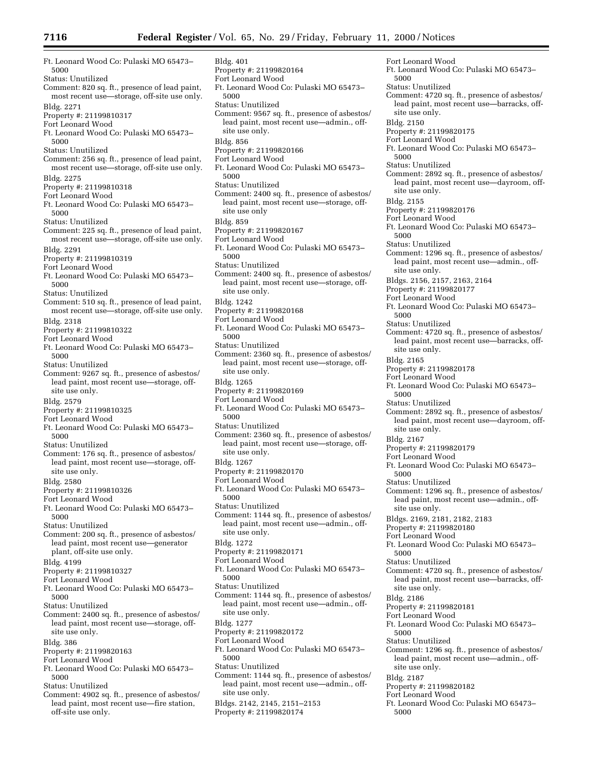Ft. Leonard Wood Co: Pulaski MO 65473– 5000 Status: Unutilized Comment: 820 sq. ft., presence of lead paint, most recent use—storage, off-site use only. Bldg. 2271 Property #: 21199810317 Fort Leonard Wood Ft. Leonard Wood Co: Pulaski MO 65473– 5000 Status: Unutilized Comment: 256 sq. ft., presence of lead paint, most recent use—storage, off-site use only. Bldg. 2275 Property #: 21199810318 Fort Leonard Wood Ft. Leonard Wood Co: Pulaski MO 65473– 5000 Status: Unutilized Comment: 225 sq. ft., presence of lead paint, most recent use—storage, off-site use only. Bldg. 2291 Property #: 21199810319 Fort Leonard Wood Ft. Leonard Wood Co: Pulaski MO 65473– 5000 Status: Unutilized Comment: 510 sq. ft., presence of lead paint, most recent use—storage, off-site use only. Bldg. 2318 Property #: 21199810322 Fort Leonard Wood Ft. Leonard Wood Co: Pulaski MO 65473– 5000 Status: Unutilized Comment: 9267 sq. ft., presence of asbestos/ lead paint, most recent use—storage, offsite use only. Bldg. 2579 Property #: 21199810325 Fort Leonard Wood Ft. Leonard Wood Co: Pulaski MO 65473– 5000 Status: Unutilized Comment: 176 sq. ft., presence of asbestos/ lead paint, most recent use—storage, offsite use only. Bldg. 2580 Property #: 21199810326 Fort Leonard Wood Ft. Leonard Wood Co: Pulaski MO 65473– 5000 Status: Unutilized Comment: 200 sq. ft., presence of asbestos/ lead paint, most recent use—generator plant, off-site use only. Bldg. 4199 Property #: 21199810327 Fort Leonard Wood Ft. Leonard Wood Co: Pulaski MO 65473– 5000 Status: Unutilized Comment: 2400 sq. ft., presence of asbestos/ lead paint, most recent use—storage, offsite use only. Bldg. 386 Property #: 21199820163 Fort Leonard Wood Ft. Leonard Wood Co: Pulaski MO 65473– 5000 Status: Unutilized Comment: 4902 sq. ft., presence of asbestos/

lead paint, most recent use—fire station, off-site use only.

Bldg. 401 Property #: 21199820164 Fort Leonard Wood Ft. Leonard Wood Co: Pulaski MO 65473– 5000 Status: Unutilized Comment: 9567 sq. ft., presence of asbestos/ lead paint, most recent use—admin., offsite use only. Bldg. 856 Property #: 21199820166 Fort Leonard Wood Ft. Leonard Wood Co: Pulaski MO 65473– 5000 Status: Unutilized Comment: 2400 sq. ft., presence of asbestos/ lead paint, most recent use—storage, offsite use only Bldg. 859 Property #: 21199820167 Fort Leonard Wood Ft. Leonard Wood Co: Pulaski MO 65473– 5000 Status: Unutilized Comment: 2400 sq. ft., presence of asbestos/ lead paint, most recent use—storage, offsite use only. Bldg. 1242 Property #: 21199820168 Fort Leonard Wood Ft. Leonard Wood Co: Pulaski MO 65473– 5000 Status: Unutilized Comment: 2360 sq. ft., presence of asbestos/ lead paint, most recent use—storage, offsite use only. Bldg. 1265 Property #: 21199820169 Fort Leonard Wood Ft. Leonard Wood Co: Pulaski MO 65473– 5000 Status: Unutilized Comment: 2360 sq. ft., presence of asbestos/ lead paint, most recent use—storage, offsite use only. Bldg. 1267 Property #: 21199820170 Fort Leonard Wood Ft. Leonard Wood Co: Pulaski MO 65473– 5000 Status: Unutilized Comment: 1144 sq. ft., presence of asbestos/ lead paint, most recent use—admin., offsite use only. Bldg. 1272 Property #: 21199820171 Fort Leonard Wood Ft. Leonard Wood Co: Pulaski MO 65473– 5000 Status: Unutilized Comment: 1144 sq. ft., presence of asbestos/ lead paint, most recent use—admin., offsite use only. Bldg. 1277 Property #: 21199820172 Fort Leonard Wood Ft. Leonard Wood Co: Pulaski MO 65473– 5000 Status: Unutilized Comment: 1144 sq. ft., presence of asbestos/ lead paint, most recent use—admin., offsite use only. Bldgs. 2142, 2145, 2151–2153 Property #: 21199820174

Status: Unutilized Comment: 4720 sq. ft., presence of asbestos/ lead paint, most recent use—barracks, offsite use only. Bldg. 2150 Property #: 21199820175 Fort Leonard Wood Ft. Leonard Wood Co: Pulaski MO 65473– 5000 Status: Unutilized Comment: 2892 sq. ft., presence of asbestos/ lead paint, most recent use—dayroom, offsite use only. Bldg. 2155 Property #: 21199820176 Fort Leonard Wood Ft. Leonard Wood Co: Pulaski MO 65473– 5000 Status: Unutilized Comment: 1296 sq. ft., presence of asbestos/ lead paint, most recent use—admin., offsite use only. Bldgs. 2156, 2157, 2163, 2164 Property #: 21199820177 Fort Leonard Wood Ft. Leonard Wood Co: Pulaski MO 65473– 5000 Status: Unutilized Comment: 4720 sq. ft., presence of asbestos/ lead paint, most recent use—barracks, offsite use only. Bldg. 2165 Property #: 21199820178 Fort Leonard Wood Ft. Leonard Wood Co: Pulaski MO 65473– 5000 Status: Unutilized Comment: 2892 sq. ft., presence of asbestos/ lead paint, most recent use—dayroom, offsite use only. Bldg. 2167 Property #: 21199820179 Fort Leonard Wood Ft. Leonard Wood Co: Pulaski MO 65473– 5000 Status: Unutilized Comment: 1296 sq. ft., presence of asbestos/ lead paint, most recent use—admin., offsite use only. Bldgs. 2169, 2181, 2182, 2183 Property #: 21199820180 Fort Leonard Wood Ft. Leonard Wood Co: Pulaski MO 65473– 5000 Status: Unutilized Comment: 4720 sq. ft., presence of asbestos/ lead paint, most recent use—barracks, offsite use only. Bldg. 2186 Property #: 21199820181 Fort Leonard Wood Ft. Leonard Wood Co: Pulaski MO 65473– 5000 Status: Unutilized Comment: 1296 sq. ft., presence of asbestos/ lead paint, most recent use—admin., offsite use only. Bldg. 2187 Property #: 21199820182 Fort Leonard Wood Ft. Leonard Wood Co: Pulaski MO 65473– 5000

Fort Leonard Wood

5000

Ft. Leonard Wood Co: Pulaski MO 65473–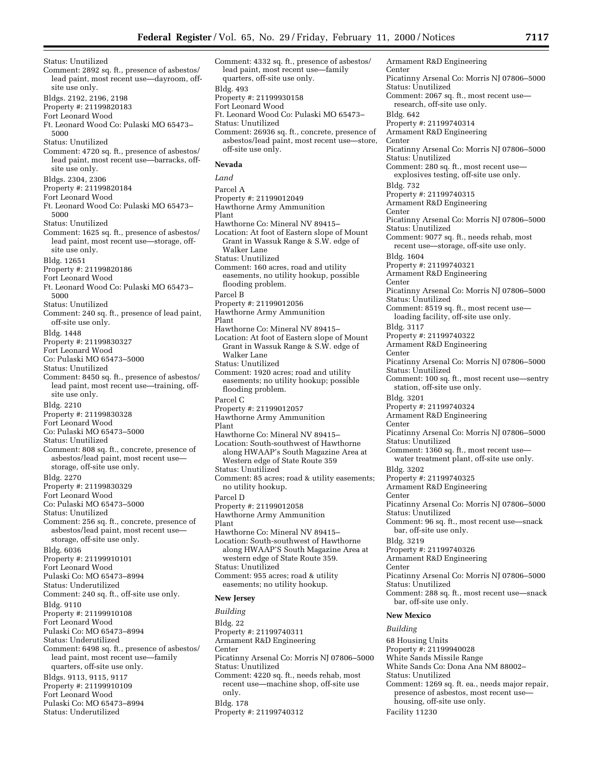Status: Unutilized Comment: 2892 sq. ft., presence of asbestos/ lead paint, most recent use—dayroom, offsite use only. Bldgs. 2192, 2196, 2198 Property #: 21199820183 Fort Leonard Wood Ft. Leonard Wood Co: Pulaski MO 65473– 5000 Status: Unutilized Comment: 4720 sq. ft., presence of asbestos/ lead paint, most recent use—barracks, offsite use only. Bldgs. 2304, 2306 Property #: 21199820184 Fort Leonard Wood Ft. Leonard Wood Co: Pulaski MO 65473– 5000 Status: Unutilized Comment: 1625 sq. ft., presence of asbestos/ lead paint, most recent use—storage, offsite use only. Bldg. 12651 Property #: 21199820186 Fort Leonard Wood Ft. Leonard Wood Co: Pulaski MO 65473– 5000 Status: Unutilized Comment: 240 sq. ft., presence of lead paint, off-site use only. Bldg. 1448 Property #: 21199830327 Fort Leonard Wood Co: Pulaski MO 65473–5000 Status: Unutilized Comment: 8450 sq. ft., presence of asbestos/ lead paint, most recent use—training, offsite use only. Bldg. 2210 Property #: 21199830328 Fort Leonard Wood Co: Pulaski MO 65473–5000 Status: Unutilized Comment: 808 sq. ft., concrete, presence of asbestos/lead paint, most recent use storage, off-site use only. Bldg. 2270 Property #: 21199830329 Fort Leonard Wood Co: Pulaski MO 65473–5000 Status: Unutilized Comment: 256 sq. ft., concrete, presence of asbestos/lead paint, most recent use storage, off-site use only.

Bldg. 6036 Property #: 21199910101

Fort Leonard Wood

Pulaski Co: MO 65473–8994

- Status: Underutilized
- Comment: 240 sq. ft., off-site use only.

Bldg. 9110

- Property #: 21199910108
- Fort Leonard Wood
- Pulaski Co: MO 65473–8994
- Status: Underutilized
- Comment: 6498 sq. ft., presence of asbestos/ lead paint, most recent use—family quarters, off-site use only.
- Bldgs. 9113, 9115, 9117
- Property #: 21199910109
- Fort Leonard Wood
- Pulaski Co: MO 65473–8994
- Status: Underutilized

Comment: 4332 sq. ft., presence of asbestos/ lead paint, most recent use—family quarters, off-site use only. Bldg. 493 Property #: 21199930158 Fort Leonard Wood Ft. Leonard Wood Co: Pulaski MO 65473– Status: Unutilized Comment: 26936 sq. ft., concrete, presence of asbestos/lead paint, most recent use—store, off-site use only.

# **Nevada**

*Land* Parcel A Property #: 21199012049 Hawthorne Army Ammunition Plant Hawthorne Co: Mineral NV 89415– Location: At foot of Eastern slope of Mount Grant in Wassuk Range & S.W. edge of Walker Lane Status: Unutilized Comment: 160 acres, road and utility easements, no utility hookup, possible flooding problem. Parcel B Property #: 21199012056 Hawthorne Army Ammunition Plant Hawthorne Co: Mineral NV 89415– Location: At foot of Eastern slope of Mount Grant in Wassuk Range & S.W. edge of Walker Lane Status: Unutilized Comment: 1920 acres; road and utility easements; no utility hookup; possible flooding problem. Parcel C Property #: 21199012057 Hawthorne Army Ammunition Plant Hawthorne Co: Mineral NV 89415– Location: South-southwest of Hawthorne along HWAAP's South Magazine Area at Western edge of State Route 359 Status: Unutilized Comment: 85 acres; road & utility easements; no utility hookup. Parcel D Property #: 21199012058 Hawthorne Army Ammunition Plant Hawthorne Co: Mineral NV 89415– Location: South-southwest of Hawthorne along HWAAP'S South Magazine Area at western edge of State Route 359. Status: Unutilized Comment: 955 acres; road & utility easements; no utility hookup.

# **New Jersey**

*Building* Bldg. 22 Property #: 21199740311 Armament R&D Engineering Center Picatinny Arsenal Co: Morris NJ 07806–5000 Status: Unutilized Comment: 4220 sq. ft., needs rehab, most recent use—machine shop, off-site use only. Bldg. 178 Property #: 21199740312

Armament R&D Engineering Center Picatinny Arsenal Co: Morris NJ 07806–5000 Status: Unutilized Comment: 2067 sq. ft., most recent use research, off-site use only. Bldg. 642 Property #: 21199740314 Armament R&D Engineering Center Picatinny Arsenal Co: Morris NJ 07806–5000 Status: Unutilized Comment: 280 sq. ft., most recent use explosives testing, off-site use only. Bldg. 732 Property #: 21199740315 Armament R&D Engineering Center Picatinny Arsenal Co: Morris NJ 07806–5000 Status: Unutilized Comment: 9077 sq. ft., needs rehab, most recent use—storage, off-site use only. Bldg. 1604 Property #: 21199740321 Armament R&D Engineering Center Picatinny Arsenal Co: Morris NJ 07806–5000 Status: Unutilized Comment: 8519 sq. ft., most recent use loading facility, off-site use only. Bldg. 3117 Property #: 21199740322 Armament R&D Engineering **Center** Picatinny Arsenal Co: Morris NJ 07806–5000 Status: Unutilized Comment: 100 sq. ft., most recent use—sentry station, off-site use only. Bldg. 3201 Property #: 21199740324 Armament R&D Engineering Center Picatinny Arsenal Co: Morris NJ 07806–5000 Status: Unutilized Comment: 1360 sq. ft., most recent use water treatment plant, off-site use only. Bldg. 3202 Property #: 21199740325 Armament R&D Engineering Center Picatinny Arsenal Co: Morris NJ 07806–5000 Status: Unutilized Comment: 96 sq. ft., most recent use—snack bar, off-site use only. Bldg. 3219 Property #: 21199740326 Armament R&D Engineering Center Picatinny Arsenal Co: Morris NJ 07806–5000 Status: Unutilized Comment: 288 sq. ft., most recent use—snack bar, off-site use only. **New Mexico**

*Building* 68 Housing Units Property #: 21199940028 White Sands Missile Range White Sands Co: Dona Ana NM 88002– Status: Unutilized Comment: 1269 sq. ft. ea., needs major repair, presence of asbestos, most recent use housing, off-site use only. Facility 11230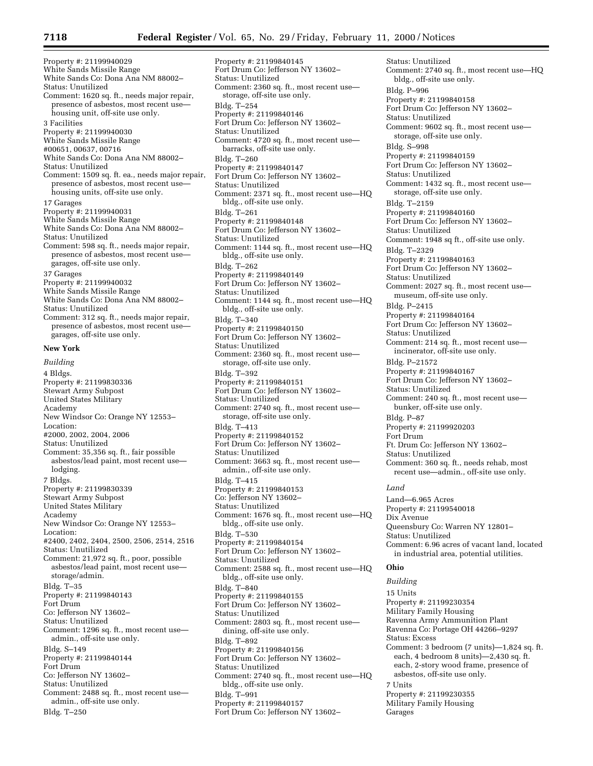Property #: 21199940029 White Sands Missile Range White Sands Co: Dona Ana NM 88002– Status: Unutilized Comment: 1620 sq. ft., needs major repair, presence of asbestos, most recent use housing unit, off-site use only. 3 Facilities Property #: 21199940030 White Sands Missile Range #00651, 00637, 00716 White Sands Co: Dona Ana NM 88002– Status: Unutilized Comment: 1509 sq. ft. ea., needs major repair, presence of asbestos, most recent use housing units, off-site use only. 17 Garages Property #: 21199940031 White Sands Missile Range White Sands Co: Dona Ana NM 88002– Status: Unutilized Comment: 598 sq. ft., needs major repair, presence of asbestos, most recent use garages, off-site use only. 37 Garages Property #: 21199940032 White Sands Missile Range White Sands Co: Dona Ana NM 88002– Status: Unutilized Comment: 312 sq. ft., needs major repair, presence of asbestos, most recent use garages, off-site use only. **New York** *Building* 4 Bldgs.

Property #: 21199830336 Stewart Army Subpost United States Military Academy New Windsor Co: Orange NY 12553– Location: #2000, 2002, 2004, 2006 Status: Unutilized Comment: 35,356 sq. ft., fair possible asbestos/lead paint, most recent use lodging. 7 Bldgs. Property #: 21199830339 Stewart Army Subpost United States Military Academy New Windsor Co: Orange NY 12553– Location: #2400, 2402, 2404, 2500, 2506, 2514, 2516 Status: Unutilized Comment: 21,972 sq. ft., poor, possible asbestos/lead paint, most recent use storage/admin. Bldg. T–35 Property #: 21199840143 Fort Drum Co: Jefferson NY 13602– Status: Unutilized Comment: 1296 sq. ft., most recent use admin., off-site use only. Bldg. S–149 Property #: 21199840144 Fort Drum Co: Jefferson NY 13602– Status: Unutilized Comment: 2488 sq. ft., most recent use admin., off-site use only. Bldg. T–250

Property #: 21199840145 Fort Drum Co: Jefferson NY 13602– Status: Unutilized Comment: 2360 sq. ft., most recent use storage, off-site use only. Bldg. T–254 Property #: 21199840146 Fort Drum Co: Jefferson NY 13602– Status: Unutilized Comment: 4720 sq. ft., most recent use barracks, off-site use only. Bldg. T–260 Property #: 21199840147 Fort Drum Co: Jefferson NY 13602– Status: Unutilized Comment: 2371 sq. ft., most recent use—HQ bldg., off-site use only. Bldg. T–261 Property #: 21199840148 Fort Drum Co: Jefferson NY 13602– Status: Unutilized Comment: 1144 sq. ft., most recent use—HQ bldg., off-site use only. Bldg. T–262 Property #: 21199840149 Fort Drum Co: Jefferson NY 13602– Status: Unutilized Comment: 1144 sq. ft., most recent use—HQ bldg., off-site use only. Bldg. T–340 Property #: 21199840150 Fort Drum Co: Jefferson NY 13602– Status: Unutilized Comment: 2360 sq. ft., most recent use storage, off-site use only. Bldg. T–392 Property #: 21199840151 Fort Drum Co: Jefferson NY 13602– Status: Unutilized Comment: 2740 sq. ft., most recent use storage, off-site use only. Bldg. T–413 Property #: 21199840152 Fort Drum Co: Jefferson NY 13602– Status: Unutilized Comment: 3663 sq. ft., most recent use admin., off-site use only. Bldg. T–415 Property #: 21199840153 Co: Jefferson NY 13602– Status: Unutilized Comment: 1676 sq. ft., most recent use—HQ bldg., off-site use only. Bldg. T–530 Property #: 21199840154 Fort Drum Co: Jefferson NY 13602– Status: Unutilized Comment: 2588 sq. ft., most recent use—HQ bldg., off-site use only. Bldg. T–840 Property #: 21199840155 Fort Drum Co: Jefferson NY 13602– Status: Unutilized Comment: 2803 sq. ft., most recent use dining, off-site use only. Bldg. T–892 Property #: 21199840156 Fort Drum Co: Jefferson NY 13602– Status: Unutilized Comment: 2740 sq. ft., most recent use—HQ bldg., off-site use only. Bldg. T–991 Property #: 21199840157 Fort Drum Co: Jefferson NY 13602–

Status: Unutilized Comment: 2740 sq. ft., most recent use—HQ bldg., off-site use only. Bldg. P–996 Property #: 21199840158 Fort Drum Co: Jefferson NY 13602– Status: Unutilized Comment: 9602 sq. ft., most recent use storage, off-site use only. Bldg. S–998 Property #: 21199840159 Fort Drum Co: Jefferson NY 13602– Status: Unutilized Comment: 1432 sq. ft., most recent use storage, off-site use only. Bldg. T–2159 Property #: 21199840160 Fort Drum Co: Jefferson NY 13602– Status: Unutilized Comment: 1948 sq ft., off-site use only. Bldg. T–2329 Property #: 21199840163 Fort Drum Co: Jefferson NY 13602– Status: Unutilized Comment: 2027 sq. ft., most recent use museum, off-site use only. Bldg. P–2415 Property #: 21199840164 Fort Drum Co: Jefferson NY 13602– Status: Unutilized Comment: 214 sq. ft., most recent use incinerator, off-site use only. Bldg. P–21572 Property #: 21199840167 Fort Drum Co: Jefferson NY 13602– Status: Unutilized Comment: 240 sq. ft., most recent use bunker, off-site use only. Bldg. P–87 Property #: 21199920203 Fort Drum Ft. Drum Co: Jefferson NY 13602– Status: Unutilized Comment: 360 sq. ft., needs rehab, most recent use—admin., off-site use only. *Land*

Land—6.965 Acres Property #: 21199540018 Dix Avenue Queensbury Co: Warren NY 12801– Status: Unutilized Comment: 6.96 acres of vacant land, located in industrial area, potential utilities.

# **Ohio**

*Building* 15 Units Property #: 21199230354 Military Family Housing Ravenna Army Ammunition Plant Ravenna Co: Portage OH 44266–9297 Status: Excess Comment: 3 bedroom (7 units)—1,824 sq. ft. each, 4 bedroom 8 units)—2,430 sq. ft. each, 2-story wood frame, presence of asbestos, off-site use only. 7 Units Property #: 21199230355 Military Family Housing Garages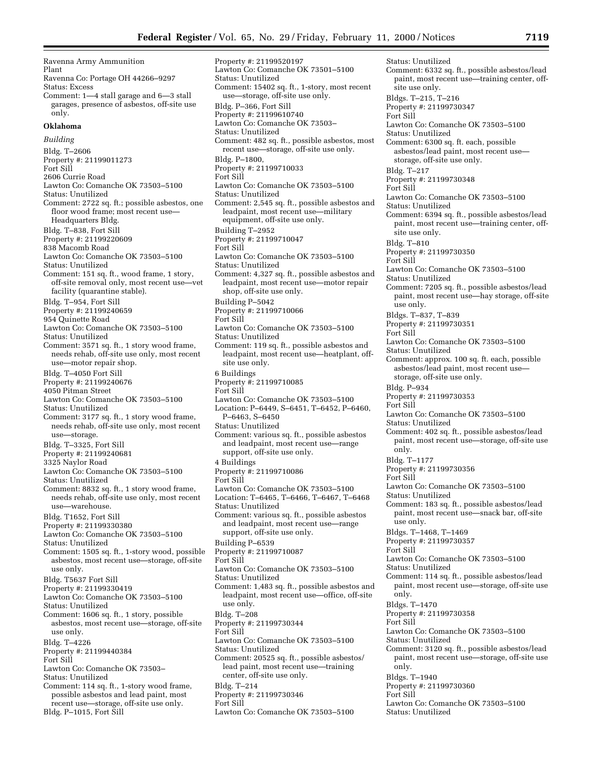Ravenna Army Ammunition Plant Ravenna Co: Portage OH 44266–9297 Status: Excess Comment: 1—4 stall garage and 6—3 stall garages, presence of asbestos, off-site use only. **Oklahoma** *Building* Bldg. T–2606 Property #: 21199011273 Fort Sill 2606 Currie Road Lawton Co: Comanche OK 73503–5100 Status: Unutilized Comment: 2722 sq. ft.; possible asbestos, one floor wood frame; most recent use-Headquarters Bldg. Bldg. T–838, Fort Sill Property #: 21199220609 838 Macomb Road Lawton Co: Comanche OK 73503–5100 Status: Unutilized Comment: 151 sq. ft., wood frame, 1 story, off-site removal only, most recent use—vet facility (quarantine stable). Bldg. T–954, Fort Sill Property #: 21199240659 954 Quinette Road Lawton Co: Comanche OK 73503–5100 Status: Unutilized Comment: 3571 sq. ft., 1 story wood frame, needs rehab, off-site use only, most recent use—motor repair shop. Bldg. T–4050 Fort Sill Property #: 21199240676 4050 Pitman Street Lawton Co: Comanche OK 73503–5100 Status: Unutilized Comment: 3177 sq. ft., 1 story wood frame, needs rehab, off-site use only, most recent use—storage. Bldg. T–3325, Fort Sill Property #: 21199240681 3325 Naylor Road Lawton Co: Comanche OK 73503–5100 Status: Unutilized Comment: 8832 sq. ft., 1 story wood frame, needs rehab, off-site use only, most recent use—warehouse. Bldg. T1652, Fort Sill Property #: 21199330380 Lawton Co: Comanche OK 73503–5100 Status: Unutilized Comment: 1505 sq. ft., 1-story wood, possible asbestos, most recent use—storage, off-site use only. Bldg. T5637 Fort Sill Property #: 21199330419 Lawton Co: Comanche OK 73503–5100 Status: Unutilized Comment: 1606 sq. ft., 1 story, possible asbestos, most recent use—storage, off-site use only. Bldg. T–4226 Property #: 21199440384 Fort Sill Lawton Co: Comanche OK 73503– Status: Unutilized Comment: 114 sq. ft., 1-story wood frame, possible asbestos and lead paint, most recent use—storage, off-site use only. Bldg. P–1015, Fort Sill

Property #: 21199520197 Lawton Co: Comanche OK 73501–5100 Status: Unutilized Comment: 15402 sq. ft., 1-story, most recent use—storage, off-site use only. Bldg. P–366, Fort Sill Property #: 21199610740 Lawton Co: Comanche OK 73503– Status: Unutilized Comment: 482 sq. ft., possible asbestos, most recent use—storage, off-site use only. Bldg. P–1800, Property #: 21199710033 Fort Sill Lawton Co: Comanche OK 73503–5100 Status: Unutilized Comment: 2,545 sq. ft., possible asbestos and leadpaint, most recent use—military equipment, off-site use only. Building T–2952 Property #: 21199710047 Fort Sill Lawton Co: Comanche OK 73503–5100 Status: Unutilized Comment: 4,327 sq. ft., possible asbestos and leadpaint, most recent use—motor repair shop, off-site use only. Building P–5042 Property #: 21199710066 Fort Sill Lawton Co: Comanche OK 73503–5100 Status: Unutilized Comment: 119 sq. ft., possible asbestos and leadpaint, most recent use—heatplant, offsite use only. 6 Buildings Property #: 21199710085 Fort Sill Lawton Co: Comanche OK 73503–5100 Location: P–6449, S–6451, T–6452, P–6460, P–6463, S–6450 Status: Unutilized Comment: various sq. ft., possible asbestos and leadpaint, most recent use—range support, off-site use only. 4 Buildings Property #: 21199710086 Fort Sill Lawton Co: Comanche OK 73503–5100 Location: T–6465, T–6466, T–6467, T–6468 Status: Unutilized Comment: various sq. ft., possible asbestos and leadpaint, most recent use—range support, off-site use only. Building P–6539 Property #: 21199710087 Fort Sill Lawton Co: Comanche OK 73503–5100 Status: Unutilized Comment: 1,483 sq. ft., possible asbestos and leadpaint, most recent use—office, off-site use only. Bldg. T–208 Property #: 21199730344 Fort Sill Lawton Co: Comanche OK 73503–5100 Status: Unutilized Comment: 20525 sq. ft., possible asbestos/ lead paint, most recent use—training center, off-site use only. Bldg. T–214 Property #: 21199730346 Fort Sill Lawton Co: Comanche OK 73503–5100

Status: Unutilized Comment: 6332 sq. ft., possible asbestos/lead paint, most recent use—training center, offsite use only. Bldgs. T–215, T–216 Property #: 21199730347 Fort Sill Lawton Co: Comanche OK 73503–5100 Status: Unutilized Comment: 6300 sq. ft. each, possible asbestos/lead paint, most recent use storage, off-site use only. Bldg. T–217 Property #: 21199730348 Fort Sill Lawton Co: Comanche OK 73503–5100 Status: Unutilized Comment: 6394 sq. ft., possible asbestos/lead paint, most recent use—training center, offsite use only. Bldg. T–810 Property #: 21199730350 Fort Sill Lawton Co: Comanche OK 73503–5100 Status: Unutilized Comment: 7205 sq. ft., possible asbestos/lead paint, most recent use—hay storage, off-site use only. Bldgs. T–837, T–839 Property #: 21199730351 Fort Sill Lawton Co: Comanche OK 73503–5100 Status: Unutilized Comment: approx. 100 sq. ft. each, possible asbestos/lead paint, most recent use storage, off-site use only. Bldg. P–934 Property #: 21199730353 Fort Sill Lawton Co: Comanche OK 73503–5100 Status: Unutilized Comment: 402 sq. ft., possible asbestos/lead paint, most recent use—storage, off-site use only. Bldg. T–1177 Property #: 21199730356 Fort Sill Lawton Co: Comanche OK 73503–5100 Status: Unutilized Comment: 183 sq. ft., possible asbestos/lead paint, most recent use—snack bar, off-site use only. Bldgs. T–1468, T–1469 Property #: 21199730357 Fort Sill Lawton Co: Comanche OK 73503–5100 Status: Unutilized Comment: 114 sq. ft., possible asbestos/lead paint, most recent use—storage, off-site use only. Bldgs. T–1470 Property #: 21199730358 Fort Sill Lawton Co: Comanche OK 73503–5100 Status: Unutilized Comment: 3120 sq. ft., possible asbestos/lead paint, most recent use—storage, off-site use only. Bldgs. T–1940 Property #: 21199730360 Fort Sill Lawton Co: Comanche OK 73503–5100 Status: Unutilized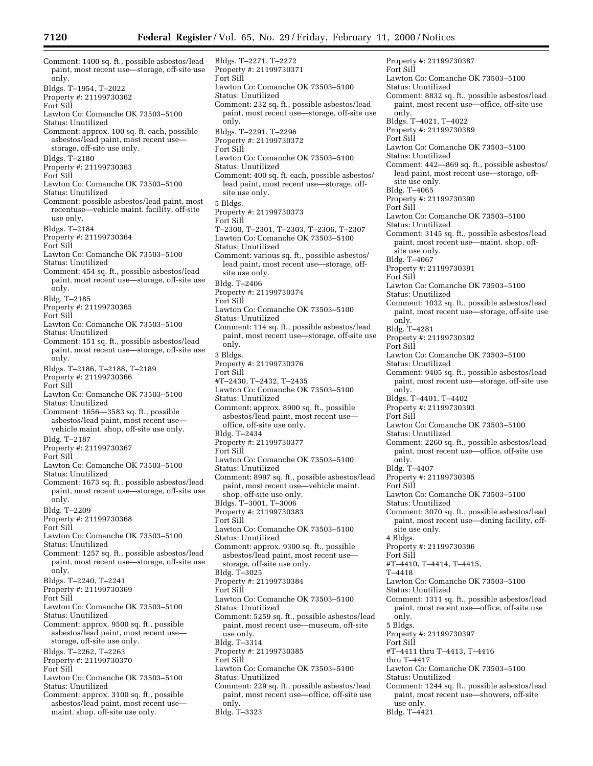Comment: 1400 sq. ft., possible asbestos/lead paint, most recent use—storage, off-site use only. Bldgs. T–1954, T–2022 Property #: 21199730362 Fort Sill Lawton Co: Comanche OK 73503–5100 Status: Unutilized Comment: approx. 100 sq. ft. each, possible asbestos/lead paint, most recent use storage, off-site use only. Bldgs. T–2180 Property #: 21199730363 Fort Sill Lawton Co: Comanche OK 73503–5100 Status: Unutilized Comment: possible asbestos/lead paint, most recentuse—vehicle maint. facility, off-site use only. Bldgs. T–2184 Property #: 21199730364 Fort Sill Lawton Co: Comanche OK 73503–5100 Status: Unutilized Comment: 454 sq. ft., possible asbestos/lead paint, most recent use—storage, off-site use only. Bldg. T–2185 Property #: 21199730365 Fort Sill Lawton Co: Comanche OK 73503–5100 Status: Unutilized Comment: 151 sq. ft., possible asbestos/lead paint, most recent use—storage, off-site use only. Bldgs. T–2186, T–2188, T–2189 Property #: 21199730366 Fort Sill Lawton Co: Comanche OK 73503–5100 Status: Unutilized Comment: 1656—3583 sq. ft., possible asbestos/lead paint, most recent use vehicle maint. shop, off-site use only. Bldg. T–2187 Property #: 21199730367 Fort Sill Lawton Co: Comanche OK 73503–5100 Status: Unutilized Comment: 1673 sq. ft., possible asbestos/lead paint, most recent use—storage, off-site use only. Bldg. T–2209 Property #: 21199730368 Fort Sill Lawton Co: Comanche OK 73503–5100 Status: Unutilized Comment: 1257 sq. ft., possible asbestos/lead paint, most recent use—storage, off-site use only. Bldgs. T–2240, T–2241 Property #: 21199730369 Fort Sill Lawton Co: Comanche OK 73503–5100 Status: Unutilized Comment: approx. 9500 sq. ft., possible asbestos/lead paint, most recent use storage, off-site use only. Bldgs. T–2262, T–2263 Property #: 21199730370 Fort Sill Lawton Co: Comanche OK 73503–5100 Status: Unutilized Comment: approx. 3100 sq. ft., possible asbestos/lead paint, most recent use maint. shop, off-site use only.

Bldgs. T–2271, T–2272 Property #: 21199730371 Fort Sill Lawton Co: Comanche OK 73503–5100 Status: Unutilized Comment: 232 sq. ft., possible asbestos/lead paint, most recent use—storage, off-site use only. Bldgs. T–2291, T–2296 Property #: 21199730372 Fort Sill Lawton Co: Comanche OK 73503–5100 Status: Unutilized Comment: 400 sq. ft. each, possible asbestos/ lead paint, most recent use—storage, offsite use only. 5 Bldgs. Property #: 21199730373 Fort Sill T–2300, T–2301, T–2303, T–2306, T–2307 Lawton Co: Comanche OK 73503–5100 Status: Unutilized Comment: various sq. ft., possible asbestos/ lead paint, most recent use—storage, offsite use only. Bldg. T–2406 Property #: 21199730374 Fort Sill Lawton Co: Comanche OK 73503–5100 Status: Unutilized Comment: 114 sq. ft., possible asbestos/lead paint, most recent use—storage, off-site use only. 3 Bldgs. Property #: 21199730376 Fort Sill #T–2430, T–2432, T–2435 Lawton Co: Comanche OK 73503–5100 Status: Unutilized Comment: approx. 8900 sq. ft., possible asbestos/lead paint, most recent use office, off-site use only. Bldg. T–2434 Property #: 21199730377 Fort Sill Lawton Co: Comanche OK 73503–5100 Status: Unutilized Comment: 8997 sq. ft., possible asbestos/lead paint, most recent use—vehicle maint. shop, off-site use only. Bldgs. T–3001, T–3006 Property #: 21199730383 Fort Sill Lawton Co: Comanche OK 73503–5100 Status: Unutilized Comment: approx. 9300 sq. ft., possible asbestos/lead paint, most recent use storage, off-site use only. Bldg. T–3025 Property #: 21199730384 Fort Sill Lawton Co: Comanche OK 73503–5100 Status: Unutilized Comment: 5259 sq. ft., possible asbestos/lead paint, most recent use—museum, off-site use only. Bldg. T–3314 Property #: 21199730385 Fort Sill Lawton Co: Comanche OK 73503–5100 Status: Unutilized Comment: 229 sq. ft., possible asbestos/lead paint, most recent use—office, off-site use only. Bldg. T–3323

Property #: 21199730387 Fort Sill Lawton Co: Comanche OK 73503–5100 Status: Unutilized Comment: 8832 sq. ft., possible asbestos/lead paint, most recent use—office, off-site use only. Bldgs. T–4021, T–4022 Property #: 21199730389 Fort Sill Lawton Co: Comanche OK 73503–5100 Status: Unutilized Comment: 442—869 sq. ft., possible asbestos/ lead paint, most recent use—storage, offsite use only. Bldg. T–4065 Property #: 21199730390 Fort Sill Lawton Co: Comanche OK 73503–5100 Status: Unutilized Comment: 3145 sq. ft., possible asbestos/lead paint, most recent use—maint. shop, offsite use only. Bldg. T–4067 Property #: 21199730391 Fort Sill Lawton Co: Comanche OK 73503–5100 Status: Unutilized Comment: 1032 sq. ft., possible asbestos/lead paint, most recent use—storage, off-site use only. Bldg. T–4281 Property #: 21199730392 Fort Sill Lawton Co: Comanche OK 73503–5100 Status: Unutilized Comment: 9405 sq. ft., possible asbestos/lead paint, most recent use—storage, off-site use only. Bldgs. T–4401, T–4402 Property #: 21199730393 Fort Sill Lawton Co: Comanche OK 73503–5100 Status: Unutilized Comment: 2260 sq. ft., possible asbestos/lead paint, most recent use—office, off-site use only. Bldg. T–4407 Property #: 21199730395 Fort Sill Lawton Co: Comanche OK 73503–5100 Status: Unutilized Comment: 3070 sq. ft., possible asbestos/lead paint, most recent use—dining facility, offsite use only. 4 Bldgs. Property #: 21199730396 Fort Sill #T–4410, T–4414, T–4415, T–4418 Lawton Co: Comanche OK 73503–5100 Status: Unutilized Comment: 1311 sq. ft., possible asbestos/lead paint, most recent use—office, off-site use only. 5 Bldgs. Property #: 21199730397 Fort Sill #T–4411 thru T–4413, T–4416 thru T–4417 Lawton Co: Comanche OK 73503–5100 Status: Unutilized Comment: 1244 sq. ft., possible asbestos/lead paint, most recent use—showers, off-site use only. Bldg. T–4421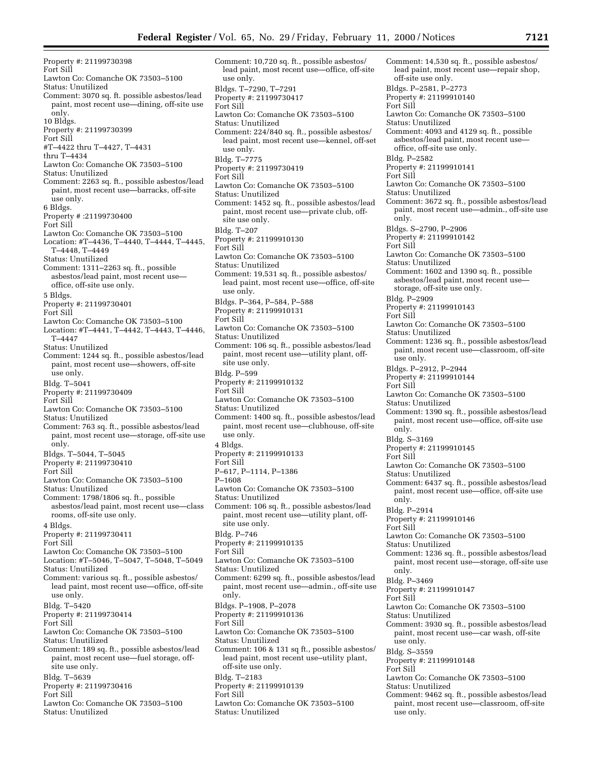Property #: 21199730398 Fort Sill Lawton Co: Comanche OK 73503–5100 Status: Unutilized Comment: 3070 sq. ft. possible asbestos/lead paint, most recent use—dining, off-site use only. 10 Bldgs. Property #: 21199730399 Fort Sill #T–4422 thru T–4427, T–4431 thru T–4434 Lawton Co: Comanche OK 73503–5100 Status: Unutilized Comment: 2263 sq. ft., possible asbestos/lead paint, most recent use—barracks, off-site use only. 6 Bldgs. Property # :21199730400 Fort Sill Lawton Co: Comanche OK 73503–5100 Location: #T–4436, T–4440, T–4444, T–4445, T–4448, T–4449 Status: Unutilized Comment: 1311–2263 sq. ft., possible asbestos/lead paint, most recent use office, off-site use only. 5 Bldgs. Property #: 21199730401 Fort Sill Lawton Co: Comanche OK 73503–5100 Location: #T–4441, T–4442, T–4443, T–4446, T–4447 Status: Unutilized Comment: 1244 sq. ft., possible asbestos/lead paint, most recent use—showers, off-site use only. Bldg. T–5041 Property #: 21199730409 Fort Sill Lawton Co: Comanche OK 73503–5100 Status: Unutilized Comment: 763 sq. ft., possible asbestos/lead paint, most recent use—storage, off-site use only. Bldgs. T–5044, T–5045 Property #: 21199730410 Fort Sill Lawton Co: Comanche OK 73503–5100 Status: Unutilized Comment: 1798/1806 sq. ft., possible asbestos/lead paint, most recent use—class rooms, off-site use only. 4 Bldgs. Property #: 21199730411 Fort Sill Lawton Co: Comanche OK 73503–5100 Location: #T–5046, T–5047, T–5048, T–5049 Status: Unutilized Comment: various sq. ft., possible asbestos/ lead paint, most recent use—office, off-site use only. Bldg. T–5420 Property #: 21199730414 Fort Sill Lawton Co: Comanche OK 73503–5100 Status: Unutilized Comment: 189 sq. ft., possible asbestos/lead paint, most recent use—fuel storage, offsite use only. Bldg. T–5639 Property #: 21199730416 Fort Sill Lawton Co: Comanche OK 73503–5100 Status: Unutilized

Comment: 10,720 sq. ft., possible asbestos/ lead paint, most recent use—office, off-site use only. Bldgs. T–7290, T–7291 Property #: 21199730417 Fort Sill Lawton Co: Comanche OK 73503–5100 Status: Unutilized Comment: 224/840 sq. ft., possible asbestos/ lead paint, most recent use—kennel, off-set use only. Bldg. T–7775 Property #: 21199730419 Fort Sill Lawton Co: Comanche OK 73503–5100 Status: Unutilized Comment: 1452 sq. ft., possible asbestos/lead paint, most recent use—private club, offsite use only. Bldg. T–207 Property #: 21199910130 Fort Sill Lawton Co: Comanche OK 73503–5100 Status: Unutilized Comment: 19,531 sq. ft., possible asbestos/ lead paint, most recent use—office, off-site use only. Bldgs. P–364, P–584, P–588 Property #: 21199910131 Fort Sill Lawton Co: Comanche OK 73503–5100 Status: Unutilized Comment: 106 sq. ft., possible asbestos/lead paint, most recent use—utility plant, offsite use only. Bldg. P–599 Property #: 21199910132 Fort Sill Lawton Co: Comanche OK 73503–5100 Status: Unutilized Comment: 1400 sq. ft., possible asbestos/lead paint, most recent use—clubhouse, off-site use only. 4 Bldgs. Property #: 21199910133 Fort Sill P–617, P–1114, P–1386 P–1608 Lawton Co: Comanche OK 73503–5100 Status: Unutilized Comment: 106 sq. ft., possible asbestos/lead paint, most recent use—utility plant, offsite use only. Bldg. P–746 Property #: 21199910135 Fort Sill Lawton Co: Comanche OK 73503–5100 Status: Unutilized Comment: 6299 sq. ft., possible asbestos/lead paint, most recent use—admin., off-site use only. Bldgs. P–1908, P–2078 Property #: 21199910136 Fort Sill Lawton Co: Comanche OK 73503–5100 Status: Unutilized Comment: 106 & 131 sq ft., possible asbestos/ lead paint, most recent use–utility plant, off-site use only. Bldg. T–2183 Property #: 21199910139 Fort Sill Lawton Co: Comanche OK 73503–5100 Status: Unutilized

Comment: 14,530 sq. ft., possible asbestos/ lead paint, most recent use—repair shop, off-site use only. Bldgs. P–2581, P–2773 Property #: 21199910140 Fort Sill Lawton Co: Comanche OK 73503–5100 Status: Unutilized Comment: 4093 and 4129 sq. ft., possible asbestos/lead paint, most recent use office, off-site use only. Bldg. P–2582 Property #: 21199910141 Fort Sill Lawton Co: Comanche OK 73503–5100 Status: Unutilized Comment: 3672 sq. ft., possible asbestos/lead paint, most recent use—admin., off-site use only. Bldgs. S–2790, P–2906 Property #: 21199910142 Fort Sill Lawton Co: Comanche OK 73503–5100 Status: Unutilized Comment: 1602 and 1390 sq. ft., possible asbestos/lead paint, most recent use storage, off-site use only. Bldg. P–2909 Property #: 21199910143 Fort Sill Lawton Co: Comanche OK 73503–5100 Status: Unutilized Comment: 1236 sq. ft., possible asbestos/lead paint, most recent use—classroom, off-site use only. Bldgs. P–2912, P–2944 Property #: 21199910144 Fort Sill Lawton Co: Comanche OK 73503–5100 Status: Unutilized Comment: 1390 sq. ft., possible asbestos/lead paint, most recent use—office, off-site use only. Bldg. S–3169 Property #: 21199910145 Fort Sill Lawton Co: Comanche OK 73503–5100 Status: Unutilized Comment: 6437 sq. ft., possible asbestos/lead paint, most recent use—office, off-site use only. Bldg. P–2914 Property #: 21199910146 Fort Sill Lawton Co: Comanche OK 73503–5100 Status: Unutilized Comment: 1236 sq. ft., possible asbestos/lead paint, most recent use—storage, off-site use only. Bldg. P–3469 Property #: 21199910147 Fort Sill Lawton Co: Comanche OK 73503–5100 Status: Unutilized Comment: 3930 sq. ft., possible asbestos/lead paint, most recent use—car wash, off-site use only. Bldg. S–3559 Property #: 21199910148 Fort Sill Lawton Co: Comanche OK 73503–5100 Status: Unutilized Comment: 9462 sq. ft., possible asbestos/lead paint, most recent use—classroom, off-site use only.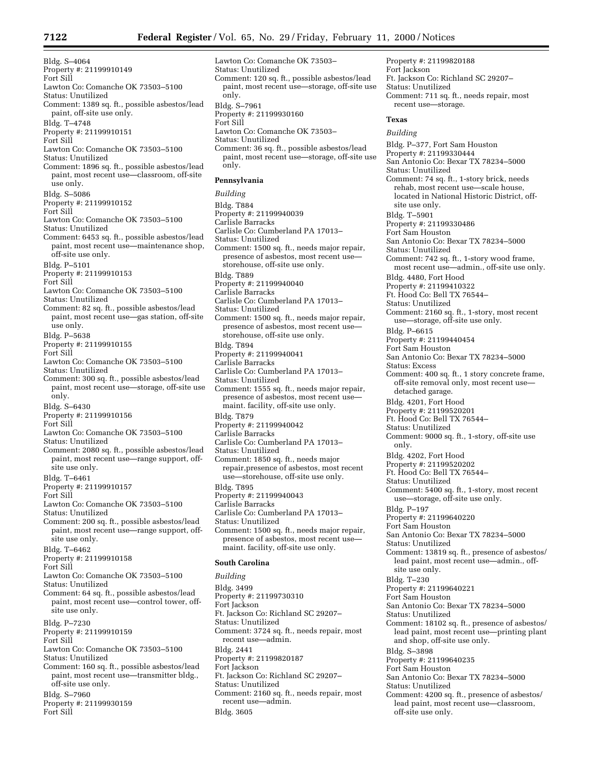Bldg. S–4064 Property #: 21199910149 Fort Sill Lawton Co: Comanche OK 73503–5100 Status: Unutilized Comment: 1389 sq. ft., possible asbestos/lead paint, off-site use only. Bldg. T–4748 Property #: 21199910151 Fort Sill Lawton Co: Comanche OK 73503–5100 Status: Unutilized Comment: 1896 sq. ft., possible asbestos/lead paint, most recent use—classroom, off-site use only. Bldg. S–5086 Property #: 21199910152 Fort Sill Lawton Co: Comanche OK 73503–5100 Status: Unutilized Comment: 6453 sq. ft., possible asbestos/lead paint, most recent use—maintenance shop, off-site use only. Bldg. P–5101 Property #: 21199910153 Fort Sill Lawton Co: Comanche OK 73503–5100 Status: Unutilized Comment: 82 sq. ft., possible asbestos/lead paint, most recent use—gas station, off-site use only. Bldg. P–5638 Property #: 21199910155 Fort Sill Lawton Co: Comanche OK 73503–5100 Status: Unutilized Comment: 300 sq. ft., possible asbestos/lead paint, most recent use—storage, off-site use only. Bldg. S–6430 Property #: 21199910156 Fort Sill Lawton Co: Comanche OK 73503–5100 Status: Unutilized Comment: 2080 sq. ft., possible asbestos/lead paint, most recent use—range support, offsite use only. Bldg. T–6461 Property #: 21199910157 Fort Sill Lawton Co: Comanche OK 73503–5100 Status: Unutilized Comment: 200 sq. ft., possible asbestos/lead paint, most recent use—range support, offsite use only. Bldg. T–6462 Property #: 21199910158 Fort Sill Lawton Co: Comanche OK 73503–5100 Status: Unutilized Comment: 64 sq. ft., possible asbestos/lead paint, most recent use—control tower, offsite use only. Bldg. P–7230 Property #: 21199910159 Fort Sill Lawton Co: Comanche OK 73503–5100 Status: Unutilized Comment: 160 sq. ft., possible asbestos/lead paint, most recent use—transmitter bldg., off-site use only. Bldg. S–7960 Property #: 21199930159 Fort Sill

Lawton Co: Comanche OK 73503– Status: Unutilized Comment: 120 sq. ft., possible asbestos/lead paint, most recent use—storage, off-site use only. Bldg. S–7961 Property #: 21199930160 Fort Sill Lawton Co: Comanche OK 73503– Status: Unutilized Comment: 36 sq. ft., possible asbestos/lead paint, most recent use—storage, off-site use only. **Pennsylvania** *Building* Bldg. T884 Property #: 21199940039 Carlisle Barracks Carlisle Co: Cumberland PA 17013– Status: Unutilized Comment: 1500 sq. ft., needs major repair, presence of asbestos, most recent use storehouse, off-site use only. Bldg. T889 Property #: 21199940040 Carlisle Barracks Carlisle Co: Cumberland PA 17013– Status: Unutilized Comment: 1500 sq. ft., needs major repair, presence of asbestos, most recent use storehouse, off-site use only. Bldg. T894 Property #: 21199940041 Carlisle Barracks Carlisle Co: Cumberland PA 17013– Status: Unutilized Comment: 1555 sq. ft., needs major repair, presence of asbestos, most recent usemaint. facility, off-site use only. Bldg. T879 Property #: 21199940042 Carlisle Barracks Carlisle Co: Cumberland PA 17013– Status: Unutilized Comment: 1850 sq. ft., needs major repair,presence of asbestos, most recent use—storehouse, off-site use only. Bldg. T895 Property #: 21199940043 Carlisle Barracks Carlisle Co: Cumberland PA 17013– Status: Unutilized Comment: 1500 sq. ft., needs major repair, presence of asbestos, most recent usemaint. facility, off-site use only. **South Carolina** *Building* Bldg. 3499 Property #: 21199730310 Fort Jackson Ft. Jackson Co: Richland SC 29207– Status: Unutilized

Comment: 3724 sq. ft., needs repair, most

Comment: 2160 sq. ft., needs repair, most

Ft. Jackson Co: Richland SC 29207–

recent use—admin.

Property #: 21199820187

recent use—admin.

Bldg. 2441

Bldg. 3605

Fort Jackson

Status: Unutilized

Comment: 711 sq. ft., needs repair, most recent use—storage. **Texas** *Building* Bldg. P–377, Fort Sam Houston Property #: 21199330444 San Antonio Co: Bexar TX 78234–5000 Status: Unutilized Comment: 74 sq. ft., 1-story brick, needs rehab, most recent use—scale house, located in National Historic District, offsite use only. Bldg. T–5901 Property #: 21199330486 Fort Sam Houston San Antonio Co: Bexar TX 78234–5000 Status: Unutilized Comment: 742 sq. ft., 1-story wood frame, most recent use—admin., off-site use only. Bldg. 4480, Fort Hood Property #: 21199410322 Ft. Hood Co: Bell TX 76544– Status: Unutilized Comment: 2160 sq. ft., 1-story, most recent use—storage, off-site use only. Bldg. P–6615 Property #: 21199440454 Fort Sam Houston San Antonio Co: Bexar TX 78234–5000 Status: Excess Comment: 400 sq. ft., 1 story concrete frame, off-site removal only, most recent use detached garage. Bldg. 4201, Fort Hood Property #: 21199520201 Ft. Hood Co: Bell TX 76544– Status: Unutilized Comment: 9000 sq. ft., 1-story, off-site use only. Bldg. 4202, Fort Hood Property #: 21199520202 Ft. Hood Co: Bell TX 76544– Status: Unutilized Comment: 5400 sq. ft., 1-story, most recent use—storage, off-site use only. Bldg. P–197 Property #: 21199640220 Fort Sam Houston San Antonio Co: Bexar TX 78234–5000 Status: Unutilized Comment: 13819 sq. ft., presence of asbestos/ lead paint, most recent use—admin., offsite use only. Bldg. T–230 Property #: 21199640221 Fort Sam Houston San Antonio Co: Bexar TX 78234–5000 Status: Unutilized Comment: 18102 sq. ft., presence of asbestos/ lead paint, most recent use—printing plant and shop, off-site use only. Bldg. S–3898 Property #: 21199640235 Fort Sam Houston San Antonio Co: Bexar TX 78234–5000 Status: Unutilized Comment: 4200 sq. ft., presence of asbestos/ lead paint, most recent use—classroom, off-site use only.

Property #: 21199820188

Ft. Jackson Co: Richland SC 29207–

Fort Jackson

Status: Unutilized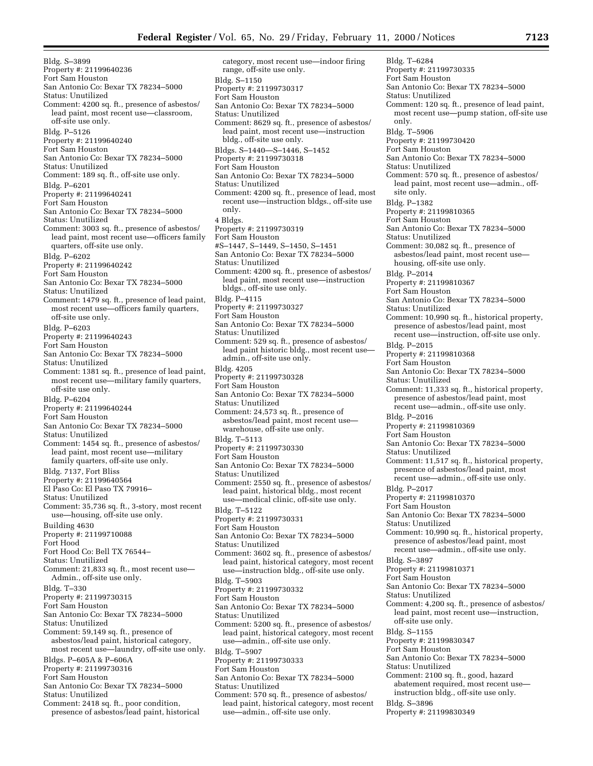Bldg. S–3899 Property #: 21199640236 Fort Sam Houston San Antonio Co: Bexar TX 78234–5000 Status: Unutilized Comment: 4200 sq. ft., presence of asbestos/ lead paint, most recent use—classroom, off-site use only. Bldg. P–5126 Property #: 21199640240 Fort Sam Houston San Antonio Co: Bexar TX 78234–5000 Status: Unutilized Comment: 189 sq. ft., off-site use only. Bldg. P–6201 Property #: 21199640241 Fort Sam Houston San Antonio Co: Bexar TX 78234–5000 Status: Unutilized Comment: 3003 sq. ft., presence of asbestos/ lead paint, most recent use—officers family quarters, off-site use only. Bldg. P–6202 Property #: 21199640242 Fort Sam Houston San Antonio Co: Bexar TX 78234–5000 Status: Unutilized Comment: 1479 sq. ft., presence of lead paint, most recent use—officers family quarters, off-site use only. Bldg. P–6203 Property #: 21199640243 Fort Sam Houston San Antonio Co: Bexar TX 78234–5000 Status: Unutilized Comment: 1381 sq. ft., presence of lead paint, most recent use—military family quarters, off-site use only. Bldg. P–6204 Property #: 21199640244 Fort Sam Houston San Antonio Co: Bexar TX 78234–5000 Status: Unutilized Comment: 1454 sq. ft., presence of asbestos/ lead paint, most recent use—military family quarters, off-site use only. Bldg. 7137, Fort Bliss Property #: 21199640564 El Paso Co: El Paso TX 79916– Status: Unutilized Comment: 35,736 sq. ft., 3-story, most recent use—housing, off-site use only. Building 4630 Property #: 21199710088 Fort Hood Fort Hood Co: Bell TX 76544– Status: Unutilized Comment: 21,833 sq. ft., most recent use— Admin., off-site use only. Bldg. T–330 Property #: 21199730315 Fort Sam Houston San Antonio Co: Bexar TX 78234–5000 Status: Unutilized Comment: 59,149 sq. ft., presence of asbestos/lead paint, historical category, most recent use—laundry, off-site use only. Bldgs. P–605A & P–606A Property #: 21199730316 Fort Sam Houston San Antonio Co: Bexar TX 78234–5000 Status: Unutilized Comment: 2418 sq. ft., poor condition, presence of asbestos/lead paint, historical

category, most recent use—indoor firing range, off-site use only. Bldg. S–1150 Property #: 21199730317 Fort Sam Houston San Antonio Co: Bexar TX 78234–5000 Status: Unutilized Comment: 8629 sq. ft., presence of asbestos/ lead paint, most recent use—instruction bldg., off-site use only. Bldgs. S–1440—S–1446, S–1452 Property #: 21199730318 Fort Sam Houston San Antonio Co: Bexar TX 78234–5000 Status: Unutilized Comment: 4200 sq. ft., presence of lead, most recent use—instruction bldgs., off-site use only. 4 Bldgs. Property #: 21199730319 Fort Sam Houston #S–1447, S–1449, S–1450, S–1451 San Antonio Co: Bexar TX 78234–5000 Status: Unutilized Comment: 4200 sq. ft., presence of asbestos/ lead paint, most recent use—instruction bldgs., off-site use only. Bldg. P–4115 Property #: 21199730327 Fort Sam Houston San Antonio Co: Bexar TX 78234–5000 Status: Unutilized Comment: 529 sq. ft., presence of asbestos/ lead paint historic bldg., most recent use admin., off-site use only. Bldg. 4205 Property #: 21199730328 Fort Sam Houston San Antonio Co: Bexar TX 78234–5000 Status: Unutilized Comment: 24,573 sq. ft., presence of asbestos/lead paint, most recent use warehouse, off-site use only. Bldg. T–5113 Property #: 21199730330 Fort Sam Houston San Antonio Co: Bexar TX 78234–5000 Status: Unutilized Comment: 2550 sq. ft., presence of asbestos/ lead paint, historical bldg., most recent use—medical clinic, off-site use only. Bldg. T–5122 Property #: 21199730331 Fort Sam Houston San Antonio Co: Bexar TX 78234–5000 Status: Unutilized Comment: 3602 sq. ft., presence of asbestos/ lead paint, historical category, most recent use—instruction bldg., off-site use only. Bldg. T–5903 Property #: 21199730332 Fort Sam Houston San Antonio Co: Bexar TX 78234–5000 Status: Unutilized Comment: 5200 sq. ft., presence of asbestos/ lead paint, historical category, most recent use—admin., off-site use only. Bldg. T–5907 Property #: 21199730333 Fort Sam Houston San Antonio Co: Bexar TX 78234–5000 Status: Unutilized Comment: 570 sq. ft., presence of asbestos/ lead paint, historical category, most recent use—admin., off-site use only.

Bldg. T–6284 Property #: 21199730335 Fort Sam Houston San Antonio Co: Bexar TX 78234–5000 Status: Unutilized Comment: 120 sq. ft., presence of lead paint, most recent use—pump station, off-site use only. Bldg. T–5906 Property #: 21199730420 Fort Sam Houston San Antonio Co: Bexar TX 78234–5000 Status: Unutilized Comment: 570 sq. ft., presence of asbestos/ lead paint, most recent use—admin., offsite only. Bldg. P–1382 Property #: 21199810365 Fort Sam Houston San Antonio Co: Bexar TX 78234–5000 Status: Unutilized Comment: 30,082 sq. ft., presence of asbestos/lead paint, most recent use housing, off-site use only. Bldg. P–2014 Property #: 21199810367 Fort Sam Houston San Antonio Co: Bexar TX 78234–5000 Status: Unutilized Comment: 10,990 sq. ft., historical property, presence of asbestos/lead paint, most recent use—instruction, off-site use only. Bldg. P–2015 Property #: 21199810368 Fort Sam Houston San Antonio Co: Bexar TX 78234–5000 Status: Unutilized Comment: 11,333 sq. ft., historical property, presence of asbestos/lead paint, most recent use—admin., off-site use only. Bldg. P–2016 Property #: 21199810369 Fort Sam Houston San Antonio Co: Bexar TX 78234–5000 Status: Unutilized Comment: 11,517 sq. ft., historical property, presence of asbestos/lead paint, most recent use—admin., off-site use only. Bldg. P–2017 Property #: 21199810370 Fort Sam Houston San Antonio Co: Bexar TX 78234–5000 Status: Unutilized Comment: 10,990 sq. ft., historical property, presence of asbestos/lead paint, most recent use—admin., off-site use only. Bldg. S–3897 Property #: 21199810371 Fort Sam Houston San Antonio Co: Bexar TX 78234–5000 Status: Unutilized Comment: 4,200 sq. ft., presence of asbestos/ lead paint, most recent use—instruction, off-site use only. Bldg. S–1155 Property #: 21199830347 Fort Sam Houston San Antonio Co: Bexar TX 78234–5000 Status: Unutilized Comment: 2100 sq. ft., good, hazard abatement required, most recent use instruction bldg., off-site use only. Bldg. S–3896 Property #: 21199830349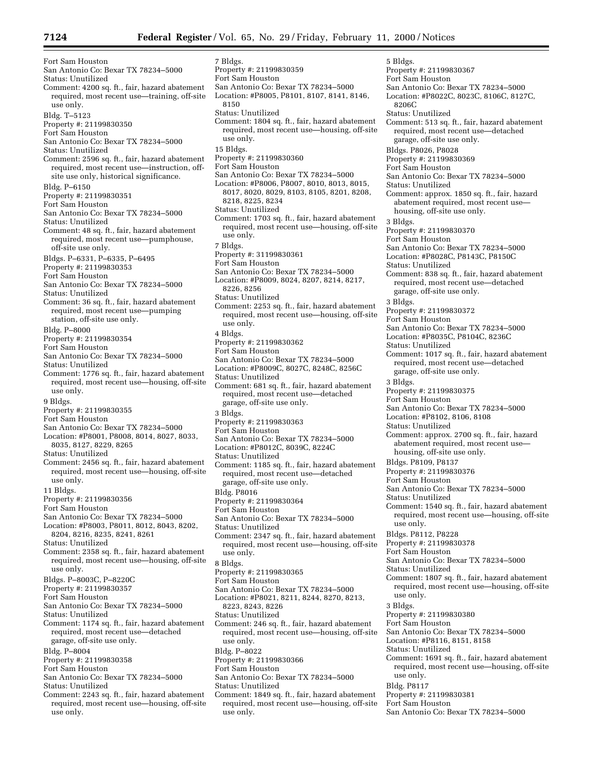Fort Sam Houston San Antonio Co: Bexar TX 78234–5000 Status: Unutilized Comment: 4200 sq. ft., fair, hazard abatement required, most recent use—training, off-site use only. Bldg. T–5123 Property #: 21199830350 Fort Sam Houston San Antonio Co: Bexar TX 78234–5000 Status: Unutilized Comment: 2596 sq. ft., fair, hazard abatement required, most recent use—instruction, offsite use only, historical significance. Bldg. P–6150 Property #: 21199830351 Fort Sam Houston San Antonio Co: Bexar TX 78234–5000 Status: Unutilized Comment: 48 sq. ft., fair, hazard abatement required, most recent use—pumphouse, off-site use only. Bldgs. P–6331, P–6335, P–6495 Property #: 21199830353 Fort Sam Houston San Antonio Co: Bexar TX 78234–5000 Status: Unutilized Comment: 36 sq. ft., fair, hazard abatement required, most recent use—pumping station, off-site use only. Bldg. P–8000 Property #: 21199830354 Fort Sam Houston San Antonio Co: Bexar TX 78234–5000 Status: Unutilized Comment: 1776 sq. ft., fair, hazard abatement required, most recent use—housing, off-site use only. 9 Bldgs. Property #: 21199830355 Fort Sam Houston San Antonio Co: Bexar TX 78234–5000 Location: #P8001, P8008, 8014, 8027, 8033, 8035, 8127, 8229, 8265 Status: Unutilized Comment: 2456 sq. ft., fair, hazard abatement required, most recent use—housing, off-site use only. 11 Bldgs. Property #: 21199830356 Fort Sam Houston San Antonio Co: Bexar TX 78234–5000 Location: #P8003, P8011, 8012, 8043, 8202, 8204, 8216, 8235, 8241, 8261 Status: Unutilized Comment: 2358 sq. ft., fair, hazard abatement required, most recent use—housing, off-site use only. Bldgs. P–8003C, P–8220C Property #: 21199830357 Fort Sam Houston San Antonio Co: Bexar TX 78234–5000 Status: Unutilized Comment: 1174 sq. ft., fair, hazard abatement required, most recent use—detached garage, off-site use only. Bldg. P–8004 Property #: 21199830358 Fort Sam Houston San Antonio Co: Bexar TX 78234–5000 Status: Unutilized Comment: 2243 sq. ft., fair, hazard abatement required, most recent use—housing, off-site

use only.

7 Bldgs. Property #: 21199830359 Fort Sam Houston San Antonio Co: Bexar TX 78234–5000 Location: #P8005, P8101, 8107, 8141, 8146, 8150 Status: Unutilized Comment: 1804 sq. ft., fair, hazard abatement required, most recent use—housing, off-site use only. 15 Bldgs. Property #: 21199830360 Fort Sam Houston San Antonio Co: Bexar TX 78234–5000 Location: #P8006, P8007, 8010, 8013, 8015, 8017, 8020, 8029, 8103, 8105, 8201, 8208, 8218, 8225, 8234 Status: Unutilized Comment: 1703 sq. ft., fair, hazard abatement required, most recent use—housing, off-site use only. 7 Bldgs. Property #: 31199830361 Fort Sam Houston San Antonio Co: Bexar TX 78234–5000 Location: #P8009, 8024, 8207, 8214, 8217, 8226, 8256 Status: Unutilized Comment: 2253 sq. ft., fair, hazard abatement required, most recent use—housing, off-site use only. 4 Bldgs. Property #: 21199830362 Fort Sam Houston San Antonio Co: Bexar TX 78234–5000 Location: #P8009C, 8027C, 8248C, 8256C Status: Unutilized Comment: 681 sq. ft., fair, hazard abatement required, most recent use—detached garage, off-site use only. 3 Bldgs. Property #: 21199830363 Fort Sam Houston San Antonio Co: Bexar TX 78234–5000 Location: #P8012C, 8039C, 8224C Status: Unutilized Comment: 1185 sq. ft., fair, hazard abatement required, most recent use—detached garage, off-site use only. Bldg. P8016 Property #: 21199830364 Fort Sam Houston San Antonio Co: Bexar TX 78234–5000 Status: Unutilized Comment: 2347 sq. ft., fair, hazard abatement required, most recent use—housing, off-site use only. 8 Bldgs. Property #: 21199830365 Fort Sam Houston San Antonio Co: Bexar TX 78234–5000 Location: #P8021, 8211, 8244, 8270, 8213, 8223, 8243, 8226 Status: Unutilized Comment: 246 sq. ft., fair, hazard abatement required, most recent use—housing, off-site use only. Bldg. P–8022 Property #: 21199830366 Fort Sam Houston San Antonio Co: Bexar TX 78234–5000 Status: Unutilized Comment: 1849 sq. ft., fair, hazard abatement required, most recent use—housing, off-site 5 Bldgs.

use only.

Property #: 21199830367 Fort Sam Houston San Antonio Co: Bexar TX 78234–5000 Location: #P8022C, 8023C, 8106C, 8127C, 8206C Status: Unutilized Comment: 513 sq. ft., fair, hazard abatement required, most recent use—detached garage, off-site use only. Bldgs. P8026, P8028 Property #: 21199830369 Fort Sam Houston San Antonio Co: Bexar TX 78234–5000 Status: Unutilized Comment: approx. 1850 sq. ft., fair, hazard abatement required, most recent use housing, off-site use only. 3 Bldgs. Property #: 21199830370 Fort Sam Houston San Antonio Co: Bexar TX 78234–5000 Location: #P8028C, P8143C, P8150C Status: Unutilized Comment: 838 sq. ft., fair, hazard abatement required, most recent use—detached garage, off-site use only. 3 Bldgs. Property #: 21199830372 Fort Sam Houston San Antonio Co: Bexar TX 78234–5000 Location: #P8035C, P8104C, 8236C Status: Unutilized Comment: 1017 sq. ft., fair, hazard abatement required, most recent use—detached garage, off-site use only. 3 Bldgs. Property #: 21199830375 Fort Sam Houston San Antonio Co: Bexar TX 78234–5000 Location: #P8102, 8106, 8108 Status: Unutilized Comment: approx. 2700 sq. ft., fair, hazard abatement required, most recent use housing, off-site use only. Bldgs. P8109, P8137 Property #: 21199830376 Fort Sam Houston San Antonio Co: Bexar TX 78234–5000 Status: Unutilized Comment: 1540 sq. ft., fair, hazard abatement required, most recent use—housing, off-site use only. Bldgs. P8112, P8228 Property #: 21199830378 Fort Sam Houston San Antonio Co: Bexar TX 78234–5000 Status: Unutilized Comment: 1807 sq. ft., fair, hazard abatement required, most recent use—housing, off-site use only. 3 Bldgs. Property #: 21199830380 Fort Sam Houston San Antonio Co: Bexar TX 78234–5000 Location: #P8116, 8151, 8158 Status: Unutilized Comment: 1691 sq. ft., fair, hazard abatement required, most recent use—housing, off-site use only. Bldg. P8117 Property #: 21199830381 Fort Sam Houston San Antonio Co: Bexar TX 78234–5000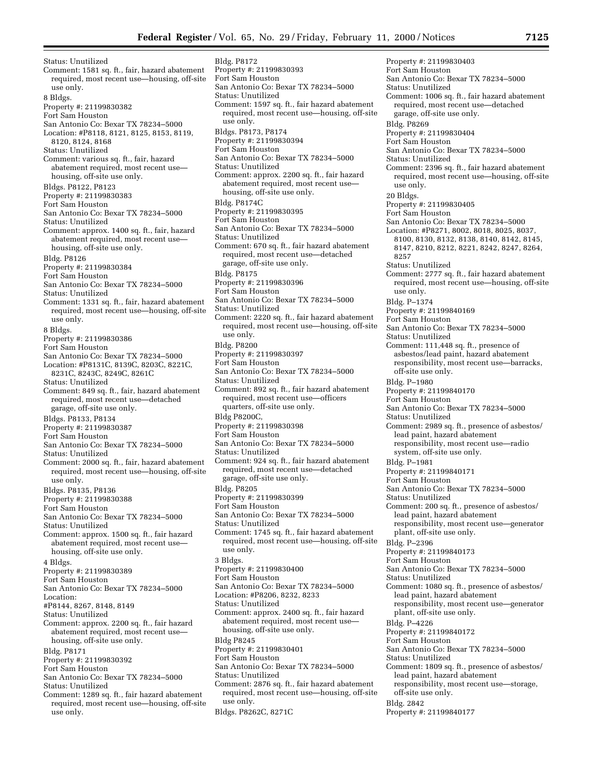Status: Unutilized Comment: 1581 sq. ft., fair, hazard abatement required, most recent use—housing, off-site use only. 8 Bldgs. Property #: 21199830382 Fort Sam Houston San Antonio Co: Bexar TX 78234–5000 Location: #P8118, 8121, 8125, 8153, 8119, 8120, 8124, 8168 Status: Unutilized Comment: various sq. ft., fair, hazard abatement required, most recent use housing, off-site use only. Bldgs. P8122, P8123 Property #: 21199830383 Fort Sam Houston San Antonio Co: Bexar TX 78234–5000 Status: Unutilized Comment: approx. 1400 sq. ft., fair, hazard abatement required, most recent use housing, off-site use only. Bldg. P8126 Property #: 21199830384 Fort Sam Houston San Antonio Co: Bexar TX 78234–5000 Status: Unutilized Comment: 1331 sq. ft., fair, hazard abatement required, most recent use—housing, off-site use only. 8 Bldgs. Property #: 21199830386 Fort Sam Houston San Antonio Co: Bexar TX 78234–5000 Location: #P8131C, 8139C, 8203C, 8221C, 8231C, 8243C, 8249C, 8261C Status: Unutilized Comment: 849 sq. ft., fair, hazard abatement required, most recent use—detached garage, off-site use only. Bldgs. P8133, P8134 Property #: 21199830387 Fort Sam Houston San Antonio Co: Bexar TX 78234–5000 Status: Unutilized Comment: 2000 sq. ft., fair, hazard abatement required, most recent use—housing, off-site use only. Bldgs. P8135, P8136 Property #: 21199830388 Fort Sam Houston San Antonio Co: Bexar TX 78234–5000 Status: Unutilized Comment: approx. 1500 sq. ft., fair hazard abatement required, most recent use housing, off-site use only. 4 Bldgs. Property #: 21199830389 Fort Sam Houston San Antonio Co: Bexar TX 78234–5000 Location: #P8144, 8267, 8148, 8149 Status: Unutilized Comment: approx. 2200 sq. ft., fair hazard abatement required, most recent use housing, off-site use only. Bldg. P8171 Property #: 21199830392 Fort Sam Houston San Antonio Co: Bexar TX 78234–5000 Status: Unutilized Comment: 1289 sq. ft., fair hazard abatement

required, most recent use—housing, off-site use only.

Bldg. P8172 Property #: 21199830393 Fort Sam Houston San Antonio Co: Bexar TX 78234–5000 Status: Unutilized Comment: 1597 sq. ft., fair hazard abatement required, most recent use—housing, off-site use only. Bldgs. P8173, P8174 Property #: 21199830394 Fort Sam Houston San Antonio Co: Bexar TX 78234–5000 Status: Unutilized Comment: approx. 2200 sq. ft., fair hazard abatement required, most recent use housing, off-site use only. Bldg. P8174C Property #: 21199830395 Fort Sam Houston San Antonio Co: Bexar TX 78234–5000 Status: Unutilized Comment: 670 sq. ft., fair hazard abatement required, most recent use—detached garage, off-site use only. Bldg. P8175 Property #: 21199830396 Fort Sam Houston San Antonio Co: Bexar TX 78234–5000 Status: Unutilized Comment: 2220 sq. ft., fair hazard abatement required, most recent use—housing, off-site use only. Bldg. P8200 Property #: 21199830397 Fort Sam Houston San Antonio Co: Bexar TX 78234–5000 Status: Unutilized Comment: 892 sq. ft., fair hazard abatement required, most recent use—officers quarters, off-site use only. Bldg P8200C, Property #: 21199830398 Fort Sam Houston San Antonio Co: Bexar TX 78234–5000 Status: Unutilized Comment: 924 sq. ft., fair hazard abatement required, most recent use—detached garage, off-site use only. Bldg. P8205 Property #: 21199830399 Fort Sam Houston San Antonio Co: Bexar TX 78234–5000 Status: Unutilized Comment: 1745 sq. ft., fair hazard abatement required, most recent use—housing, off-site use only. 3 Bldgs. Property #: 21199830400 Fort Sam Houston San Antonio Co: Bexar TX 78234–5000 Location: #P8206, 8232, 8233 Status: Unutilized Comment: approx. 2400 sq. ft., fair hazard abatement required, most recent use housing, off-site use only. Bldg P8245 Property #: 21199830401 Fort Sam Houston San Antonio Co: Bexar TX 78234–5000 Status: Unutilized Comment: 2876 sq. ft., fair hazard abatement required, most recent use—housing, off-site use only. Bldgs. P8262C, 8271C

Property #: 21199830403 Fort Sam Houston San Antonio Co: Bexar TX 78234–5000 Status: Unutilized Comment: 1006 sq. ft., fair hazard abatement required, most recent use—detached garage, off-site use only. Bldg. P8269 Property #: 21199830404 Fort Sam Houston San Antonio Co: Bexar TX 78234–5000 Status: Unutilized Comment: 2396 sq. ft., fair hazard abatement required, most recent use—housing, off-site use only. 20 Bldgs. Property #: 21199830405 Fort Sam Houston San Antonio Co: Bexar TX 78234–5000 Location: #P8271, 8002, 8018, 8025, 8037, 8100, 8130, 8132, 8138, 8140, 8142, 8145, 8147, 8210, 8212, 8221, 8242, 8247, 8264, 8257 Status: Unutilized Comment: 2777 sq. ft., fair hazard abatement required, most recent use—housing, off-site use only. Bldg. P–1374 Property #: 21199840169 Fort Sam Houston San Antonio Co: Bexar TX 78234–5000 Status: Unutilized Comment: 111,448 sq. ft., presence of asbestos/lead paint, hazard abatement responsibility, most recent use—barracks, off-site use only. Bldg. P–1980 Property #: 21199840170 Fort Sam Houston San Antonio Co: Bexar TX 78234–5000 Status: Unutilized Comment: 2989 sq. ft., presence of asbestos/ lead paint, hazard abatement responsibility, most recent use—radio system, off-site use only. Bldg. P–1981 Property #: 21199840171 Fort Sam Houston San Antonio Co: Bexar TX 78234–5000 Status: Unutilized Comment: 200 sq. ft., presence of asbestos/ lead paint, hazard abatement responsibility, most recent use—generator plant, off-site use only. Bldg. P–2396 Property #: 21199840173 Fort Sam Houston San Antonio Co: Bexar TX 78234–5000 Status: Unutilized Comment: 1080 sq. ft., presence of asbestos/ lead paint, hazard abatement responsibility, most recent use—generator plant, off-site use only. Bldg. P–4226 Property #: 21199840172 Fort Sam Houston San Antonio Co: Bexar TX 78234–5000 Status: Unutilized Comment: 1809 sq. ft., presence of asbestos/ lead paint, hazard abatement responsibility, most recent use—storage, off-site use only. Bldg. 2842 Property #: 21199840177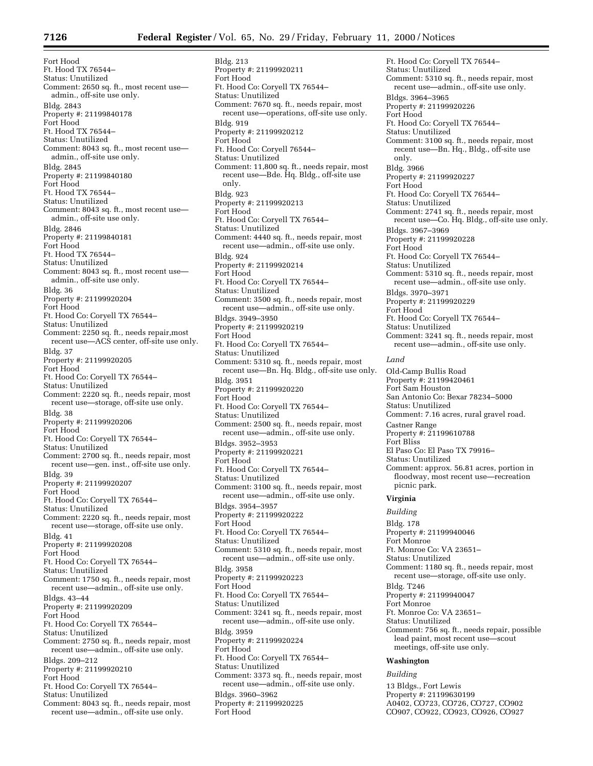Bldg. 213

Fort Hood Ft. Hood TX 76544– Status: Unutilized Comment: 2650 sq. ft., most recent use admin., off-site use only. Bldg. 2843 Property #: 21199840178 Fort Hood Ft. Hood TX 76544– Status: Unutilized Comment: 8043 sq. ft., most recent use admin., off-site use only. Bldg. 2845 Property #: 21199840180 Fort Hood Ft. Hood TX 76544– Status: Unutilized Comment: 8043 sq. ft., most recent use admin., off-site use only. Bldg. 2846 Property #: 21199840181 Fort Hood Ft. Hood TX 76544– Status: Unutilized Comment: 8043 sq. ft., most recent use admin., off-site use only. Bldg. 36 Property #: 21199920204 Fort Hood Ft. Hood Co: Coryell TX 76544– Status: Unutilized Comment: 2250 sq. ft., needs repair,most recent use—ACS center, off-site use only. Bldg. 37 Property #: 21199920205 Fort Hood Ft. Hood Co: Coryell TX 76544– Status: Unutilized Comment: 2220 sq. ft., needs repair, most recent use—storage, off-site use only. Bldg. 38 Property #: 21199920206 Fort Hood Ft. Hood Co: Coryell TX 76544– Status: Unutilized Comment: 2700 sq. ft., needs repair, most recent use—gen. inst., off-site use only. Bldg. 39 Property #: 21199920207 Fort Hood Ft. Hood Co: Coryell TX 76544– Status: Unutilized Comment: 2220 sq. ft., needs repair, most recent use—storage, off-site use only. Bldg. 41 Property #: 21199920208 Fort Hood Ft. Hood Co: Coryell TX 76544– Status: Unutilized Comment: 1750 sq. ft., needs repair, most recent use—admin., off-site use only. Bldgs. 43–44 Property #: 21199920209 Fort Hood Ft. Hood Co: Coryell TX 76544– Status: Unutilized Comment: 2750 sq. ft., needs repair, most recent use—admin., off-site use only. Bldgs. 209–212 Property #: 21199920210 Fort Hood Ft. Hood Co: Coryell TX 76544– Status: Unutilized Comment: 8043 sq. ft., needs repair, most recent use—admin., off-site use only.

Property #: 21199920211 Fort Hood Ft. Hood Co: Coryell TX 76544– Status: Unutilized Comment: 7670 sq. ft., needs repair, most recent use—operations, off-site use only. Bldg. 919 Property #: 21199920212 Fort Hood Ft. Hood Co: Coryell 76544– Status: Unutilized Comment: 11,800 sq. ft., needs repair, most recent use—Bde. Hq. Bldg., off-site use only. Bldg. 923 Property #: 21199920213 Fort Hood Ft. Hood Co: Coryell TX 76544– Status: Unutilized Comment: 4440 sq. ft., needs repair, most recent use—admin., off-site use only. Bldg. 924 Property #: 21199920214 Fort Hood Ft. Hood Co: Coryell TX 76544– Status: Unutilized Comment: 3500 sq. ft., needs repair, most recent use—admin., off-site use only. Bldgs. 3949–3950 Property #: 21199920219 Fort Hood Ft. Hood Co: Coryell TX 76544– Status: Unutilized Comment: 5310 sq. ft., needs repair, most recent use—Bn. Hq. Bldg., off-site use only. Bldg. 3951 Property #: 21199920220 Fort Hood Ft. Hood Co: Coryell TX 76544– Status: Unutilized Comment: 2500 sq. ft., needs repair, most recent use—admin., off-site use only. Bldgs. 3952–3953 Property #: 21199920221 Fort Hood Ft. Hood Co: Coryell TX 76544– Status: Unutilized Comment: 3100 sq. ft., needs repair, most recent use—admin., off-site use only. Bldgs. 3954–3957 Property #: 21199920222 Fort Hood Ft. Hood Co: Coryell TX 76544– Status: Unutilized Comment: 5310 sq. ft., needs repair, most recent use—admin., off-site use only. Bldg. 3958 Property #: 21199920223 Fort Hood Ft. Hood Co: Coryell TX 76544– Status: Unutilized Comment: 3241 sq. ft., needs repair, most recent use—admin., off-site use only. Bldg. 3959 Property #: 21199920224 Fort Hood Ft. Hood Co: Coryell TX 76544– Status: Unutilized Comment: 3373 sq. ft., needs repair, most recent use—admin., off-site use only. Bldgs. 3960–3962 Property #: 21199920225

Fort Hood

Ft. Hood Co: Coryell TX 76544– Status: Unutilized Comment: 5310 sq. ft., needs repair, most recent use—admin., off-site use only. Bldgs. 3964–3965 Property #: 21199920226 Fort Hood Ft. Hood Co: Coryell TX 76544– Status: Unutilized Comment: 3100 sq. ft., needs repair, most recent use—Bn. Hq., Bldg., off-site use only. Bldg. 3966 Property #: 21199920227 Fort Hood Ft. Hood Co: Coryell TX 76544– Status: Unutilized Comment: 2741 sq. ft., needs repair, most recent use—Co. Hq. Bldg., off-site use only. Bldgs. 3967–3969 Property #: 21199920228 Fort Hood Ft. Hood Co: Coryell TX 76544– Status: Unutilized Comment: 5310 sq. ft., needs repair, most recent use—admin., off-site use only. Bldgs. 3970–3971 Property #: 21199920229 Fort Hood Ft. Hood Co: Coryell TX 76544– Status: Unutilized Comment: 3241 sq. ft., needs repair, most recent use—admin., off-site use only. *Land* Old-Camp Bullis Road Property #: 21199420461 Fort Sam Houston San Antonio Co: Bexar 78234–5000 Status: Unutilized Comment: 7.16 acres, rural gravel road. Castner Range Property #: 21199610788 Fort Bliss El Paso Co: El Paso TX 79916– Status: Unutilized Comment: approx. 56.81 acres, portion in floodway, most recent use—recreation picnic park. **Virginia** *Building* Bldg. 178 Property #: 21199940046 Fort Monroe Ft. Monroe Co: VA 23651– Status: Unutilized Comment: 1180 sq. ft., needs repair, most recent use—storage, off-site use only. Bldg. T246 Property #: 21199940047 Fort Monroe Ft. Monroe Co: VA 23651– Status: Unutilized Comment: 756 sq. ft., needs repair, possible lead paint, most recent use—scout meetings, off-site use only. **Washington**

*Building*

13 Bldgs., Fort Lewis Property #: 21199630199 A0402, CO723, CO726, CO727, CO902 CO907, CO922, CO923, CO926, CO927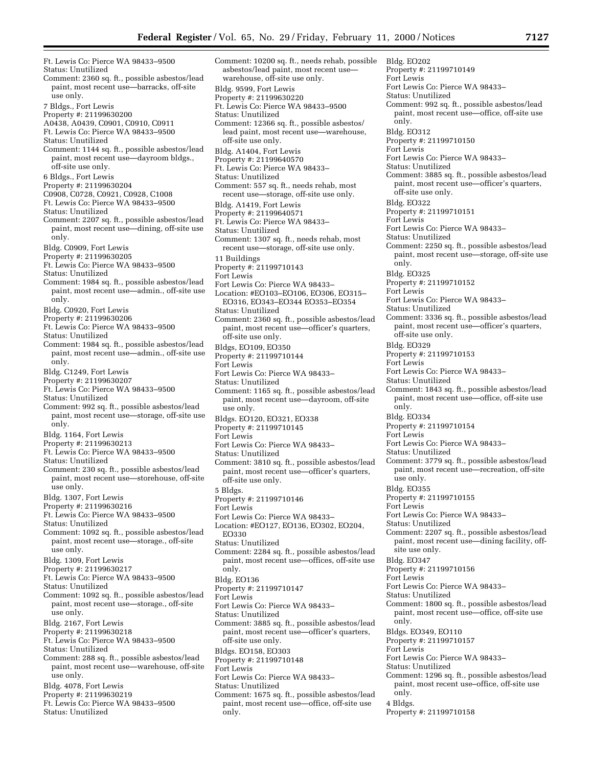asbestos/lead paint, most recent use warehouse, off-site use only.

Ft. Lewis Co: Pierce WA 98433–9500 Status: Unutilized Comment: 2360 sq. ft., possible asbestos/lead paint, most recent use—barracks, off-site use only. 7 Bldgs., Fort Lewis Property #: 21199630200 A0438, A0439, C0901, C0910, C0911 Ft. Lewis Co: Pierce WA 98433–9500 Status: Unutilized Comment: 1144 sq. ft., possible asbestos/lead paint, most recent use—dayroom bldgs., off-site use only. 6 Bldgs., Fort Lewis Property #: 21199630204 C0908, C0728, C0921, C0928, C1008 Ft. Lewis Co: Pierce WA 98433–9500 Status: Unutilized Comment: 2207 sq. ft., possible asbestos/lead paint, most recent use—dining, off-site use only. Bldg. C0909, Fort Lewis Property #: 21199630205 Ft. Lewis Co: Pierce WA 98433–9500 Status: Unutilized Comment: 1984 sq. ft., possible asbestos/lead paint, most recent use—admin., off-site use only. Bldg. C0920, Fort Lewis Property #: 21199630206 Ft. Lewis Co: Pierce WA 98433–9500 Status: Unutilized Comment: 1984 sq. ft., possible asbestos/lead paint, most recent use—admin., off-site use only. Bldg. C1249, Fort Lewis Property #: 21199630207 Ft. Lewis Co: Pierce WA 98433–9500 Status: Unutilized Comment: 992 sq. ft., possible asbestos/lead paint, most recent use—storage, off-site use only. Bldg. 1164, Fort Lewis Property #: 21199630213 Ft. Lewis Co: Pierce WA 98433–9500 Status: Unutilized Comment: 230 sq. ft., possible asbestos/lead paint, most recent use—storehouse, off-site use only. Bldg. 1307, Fort Lewis Property #: 21199630216 Ft. Lewis Co: Pierce WA 98433–9500 Status: Unutilized Comment: 1092 sq. ft., possible asbestos/lead paint, most recent use—storage., off-site use only. Bldg. 1309, Fort Lewis Property #: 21199630217 Ft. Lewis Co: Pierce WA 98433–9500 Status: Unutilized Comment: 1092 sq. ft., possible asbestos/lead paint, most recent use—storage., off-site use only. Bldg. 2167, Fort Lewis Property #: 21199630218 Ft. Lewis Co: Pierce WA 98433–9500 Status: Unutilized Comment: 288 sq. ft., possible asbestos/lead paint, most recent use—warehouse, off-site use only. Bldg. 4078, Fort Lewis Property #: 21199630219 Ft. Lewis Co: Pierce WA 98433–9500 Comment: 10200 sq. ft., needs rehab, possible

Status: Unutilized

Bldg. 9599, Fort Lewis Property #: 21199630220 Ft. Lewis Co: Pierce WA 98433–9500 Status: Unutilized Comment: 12366 sq. ft., possible asbestos/ lead paint, most recent use—warehouse, off-site use only. Bldg. A1404, Fort Lewis Property #: 21199640570 Ft. Lewis Co: Pierce WA 98433– Status: Unutilized Comment: 557 sq. ft., needs rehab, most recent use—storage, off-site use only. Bldg. A1419, Fort Lewis Property #: 21199640571 Ft. Lewis Co: Pierce WA 98433– Status: Unutilized Comment: 1307 sq. ft., needs rehab, most recent use—storage, off-site use only. 11 Buildings Property #: 21199710143 Fort Lewis Fort Lewis Co: Pierce WA 98433– Location: #EO103–EO106, EO306, EO315– EO316, EO343–EO344 EO353–EO354 Status: Unutilized Comment: 2360 sq. ft., possible asbestos/lead paint, most recent use—officer's quarters, off-site use only. Bldgs, EO109, EO350 Property #: 21199710144 Fort Lewis Fort Lewis Co: Pierce WA 98433– Status: Unutilized Comment: 1165 sq. ft., possible asbestos/lead paint, most recent use—dayroom, off-site use only. Bldgs. EO120, EO321, EO338 Property #: 21199710145 Fort Lewis Fort Lewis Co: Pierce WA 98433– Status: Unutilized Comment: 3810 sq. ft., possible asbestos/lead paint, most recent use—officer's quarters, off-site use only. 5 Bldgs. Property #: 21199710146 Fort Lewis Fort Lewis Co: Pierce WA 98433– Location: #EO127, EO136, EO302, EO204, EO330 Status: Unutilized Comment: 2284 sq. ft., possible asbestos/lead paint, most recent use—offices, off-site use only. Bldg. EO136 Property #: 21199710147 Fort Lewis Fort Lewis Co: Pierce WA 98433– Status: Unutilized Comment: 3885 sq. ft., possible asbestos/lead paint, most recent use—officer's quarters, off-site use only. Bldgs. EO158, EO303 Property #: 21199710148 Fort Lewis Fort Lewis Co: Pierce WA 98433– Status: Unutilized Comment: 1675 sq. ft., possible asbestos/lead paint, most recent use—office, off-site use only.

Bldg. EO202 Property #: 21199710149 Fort Lewis Fort Lewis Co: Pierce WA 98433– Status: Unutilized Comment: 992 sq. ft., possible asbestos/lead paint, most recent use—office, off-site use only. Bldg. EO312 Property #: 21199710150 Fort Lewis Fort Lewis Co: Pierce WA 98433– Status: Unutilized Comment: 3885 sq. ft., possible asbestos/lead paint, most recent use—officer's quarters, off-site use only. Bldg. EO322 Property #: 21199710151 Fort Lewis Fort Lewis Co: Pierce WA 98433– Status: Unutilized Comment: 2250 sq. ft., possible asbestos/lead paint, most recent use—storage, off-site use only. Bldg. EO325 Property #: 21199710152 Fort Lewis Fort Lewis Co: Pierce WA 98433– Status: Unutilized Comment: 3336 sq. ft., possible asbestos/lead paint, most recent use—officer's quarters, off-site use only. Bldg. EO329 Property #: 21199710153 Fort Lewis Fort Lewis Co: Pierce WA 98433– Status: Unutilized Comment: 1843 sq. ft., possible asbestos/lead paint, most recent use—office, off-site use only. Bldg. EO334 Property #: 21199710154 Fort Lewis Fort Lewis Co: Pierce WA 98433– Status: Unutilized Comment: 3779 sq. ft., possible asbestos/lead paint, most recent use—recreation, off-site use only. Bldg. EO355 Property #: 21199710155 Fort Lewis Fort Lewis Co: Pierce WA 98433– Status: Unutilized Comment: 2207 sq. ft., possible asbestos/lead paint, most recent use—dining facility, offsite use only. Bldg. EO347 Property #: 21199710156 Fort Lewis Fort Lewis Co: Pierce WA 98433– Status: Unutilized Comment: 1800 sq. ft., possible asbestos/lead paint, most recent use—office, off-site use only. Bldgs. EO349, EO110 Property #: 21199710157 Fort Lewis Fort Lewis Co: Pierce WA 98433– Status: Unutilized Comment: 1296 sq. ft., possible asbestos/lead paint, most recent use–office, off-site use only. 4 Bldgs. Property #: 21199710158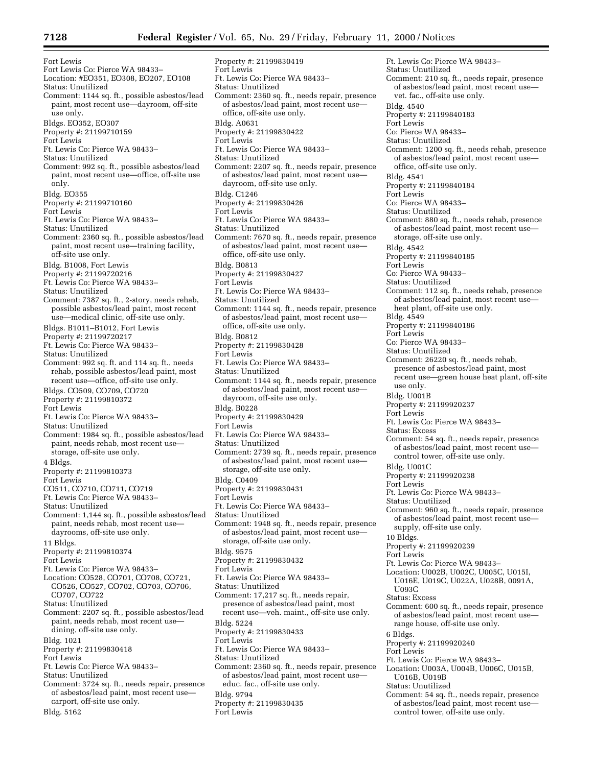Fort Lewis Fort Lewis Co: Pierce WA 98433– Location: #EO351, EO308, EO207, EO108 Status: Unutilized Comment: 1144 sq. ft., possible asbestos/lead paint, most recent use—dayroom, off-site use only. Bldgs. EO352, EO307 Property #: 21199710159 Fort Lewis Ft. Lewis Co: Pierce WA 98433– Status: Unutilized Comment: 992 sq. ft., possible asbestos/lead paint, most recent use—office, off-site use only. Bldg. EO355 Property #: 21199710160 Fort Lewis Ft. Lewis Co: Pierce WA 98433– Status: Unutilized Comment: 2360 sq. ft., possible asbestos/lead paint, most recent use—training facility, off-site use only. Bldg. B1008, Fort Lewis Property #: 21199720216 Ft. Lewis Co: Pierce WA 98433– Status: Unutilized Comment: 7387 sq. ft., 2-story, needs rehab, possible asbestos/lead paint, most recent use—medical clinic, off-site use only. Bldgs. B1011–B1012, Fort Lewis Property #: 21199720217 Ft. Lewis Co: Pierce WA 98433– Status: Unutilized Comment: 992 sq. ft. and 114 sq. ft., needs rehab, possible asbestos/lead paint, most recent use—office, off-site use only. Bldgs. CO509, CO709, CO720 Property #: 21199810372 Fort Lewis Ft. Lewis Co: Pierce WA 98433– Status: Unutilized Comment: 1984 sq. ft., possible asbestos/lead paint, needs rehab, most recent use storage, off-site use only. 4 Bldgs. Property #: 21199810373 Fort Lewis CO511, CO710, CO711, CO719 Ft. Lewis Co: Pierce WA 98433– Status: Unutilized Comment: 1,144 sq. ft., possible asbestos/lead paint, needs rehab, most recent use dayrooms, off-site use only. 11 Bldgs. Property #: 21199810374 Fort Lewis Ft. Lewis Co: Pierce WA 98433– Location: CO528, CO701, CO708, CO721, CO526, CO527, CO702, CO703, CO706, CO707, CO722 Status: Unutilized Comment: 2207 sq. ft., possible asbestos/lead paint, needs rehab, most recent use dining, off-site use only. Bldg. 1021 Property #: 21199830418 Fort Lewis Ft. Lewis Co: Pierce WA 98433– Status: Unutilized Comment: 3724 sq. ft., needs repair, presence of asbestos/lead paint, most recent use carport, off-site use only.

Bldg. 5162

Property #: 21199830419 Fort Lewis Ft. Lewis Co: Pierce WA 98433– Status: Unutilized Comment: 2360 sq. ft., needs repair, presence of asbestos/lead paint, most recent use office, off-site use only. Bldg. A0631 Property #: 21199830422 Fort Lewis Ft. Lewis Co: Pierce WA 98433– Status: Unutilized Comment: 2207 sq. ft., needs repair, presence of asbestos/lead paint, most recent use dayroom, off-site use only. Bldg. C1246 Property #: 21199830426 Fort Lewis Ft. Lewis Co: Pierce WA 98433– Status: Unutilized Comment: 7670 sq. ft., needs repair, presence of asbestos/lead paint, most recent use office, off-site use only. Bldg. B0813 Property #: 21199830427 Fort Lewis Ft. Lewis Co: Pierce WA 98433– Status: Unutilized Comment: 1144 sq. ft., needs repair, presence of asbestos/lead paint, most recent useoffice, off-site use only. Bldg. B0812 Property #: 21199830428 Fort Lewis Ft. Lewis Co: Pierce WA 98433– Status: Unutilized Comment: 1144 sq. ft., needs repair, presence of asbestos/lead paint, most recent use dayroom, off-site use only. Bldg. B0228 Property #: 21199830429 Fort Lewis Ft. Lewis Co: Pierce WA 98433– Status: Unutilized Comment: 2739 sq. ft., needs repair, presence of asbestos/lead paint, most recent use storage, off-site use only. Bldg. C0409 Property #: 21199830431 Fort Lewis Ft. Lewis Co: Pierce WA 98433– Status: Unutilized Comment: 1948 sq. ft., needs repair, presence of asbestos/lead paint, most recent use storage, off-site use only. Bldg. 9575 Property #: 21199830432 Fort Lewis Ft. Lewis Co: Pierce WA 98433– Status: Unutilized Comment: 17,217 sq. ft., needs repair, presence of asbestos/lead paint, most recent use—veh. maint., off-site use only. Bldg. 5224 Property #: 21199830433 Fort Lewis Ft. Lewis Co: Pierce WA 98433– Status: Unutilized Comment: 2360 sq. ft., needs repair, presence of asbestos/lead paint, most recent use educ. fac., off-site use only. Bldg. 9794 Property #: 21199830435 Fort Lewis

Ft. Lewis Co: Pierce WA 98433– Status: Unutilized Comment: 210 sq. ft., needs repair, presence of asbestos/lead paint, most recent use vet. fac., off-site use only. Bldg. 4540 Property #: 21199840183 Fort Lewis Co: Pierce WA 98433– Status: Unutilized Comment: 1200 sq. ft., needs rehab, presence of asbestos/lead paint, most recent use office, off-site use only. Bldg. 4541 Property #: 21199840184 Fort Lewis Co: Pierce WA 98433– Status: Unutilized Comment: 880 sq. ft., needs rehab, presence of asbestos/lead paint, most recent use storage, off-site use only. Bldg. 4542 Property #: 21199840185 Fort Lewis Co: Pierce WA 98433– Status: Unutilized Comment: 112 sq. ft., needs rehab, presence of asbestos/lead paint, most recent use heat plant, off-site use only. Bldg. 4549 Property #: 21199840186 Fort Lewis Co: Pierce WA 98433– Status: Unutilized Comment: 26220 sq. ft., needs rehab, presence of asbestos/lead paint, most recent use—green house heat plant, off-site use only. Bldg. U001B Property #: 21199920237 Fort Lewis Ft. Lewis Co: Pierce WA 98433– Status: Excess Comment: 54 sq. ft., needs repair, presence of asbestos/lead paint, most recent use control tower, off-site use only. Bldg. U001C Property #: 21199920238 Fort Lewis Ft. Lewis Co: Pierce WA 98433– Status: Unutilized Comment: 960 sq. ft., needs repair, presence of asbestos/lead paint, most recent use supply, off-site use only. 10 Bldgs. Property #: 21199920239 Fort Lewis Ft. Lewis Co: Pierce WA 98433– Location: U002B, U002C, U005C, U015I, U016E, U019C, U022A, U028B, 0091A, U093C Status: Excess Comment: 600 sq. ft., needs repair, presence of asbestos/lead paint, most recent use range house, off-site use only. 6 Bldgs. Property #: 21199920240 Fort Lewis Ft. Lewis Co: Pierce WA 98433– Location: U003A, U004B, U006C, U015B, U016B, U019B Status: Unutilized Comment: 54 sq. ft., needs repair, presence of asbestos/lead paint, most recent use control tower, off-site use only.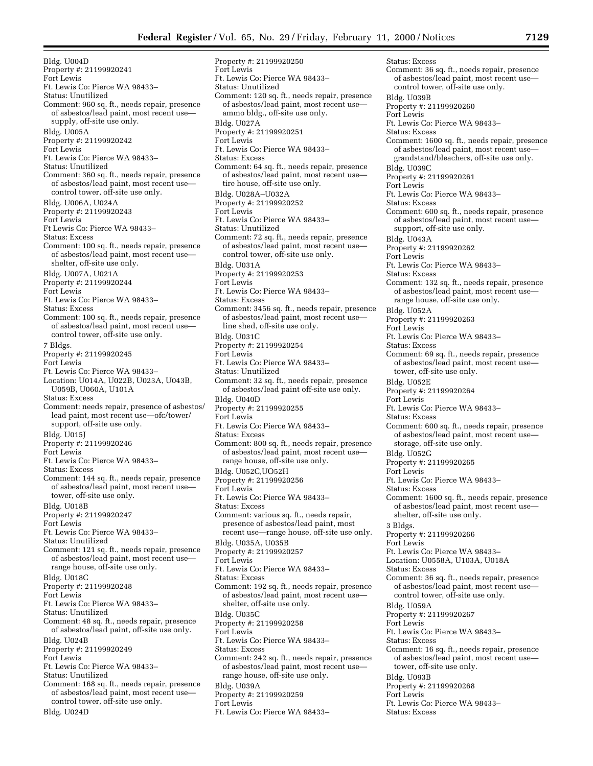Bldg. U004D Property #: 21199920241 Fort Lewis Ft. Lewis Co: Pierce WA 98433– Status: Unutilized Comment: 960 sq. ft., needs repair, presence of asbestos/lead paint, most recent use supply, off-site use only. Bldg. U005A Property #: 21199920242 Fort Lewis Ft. Lewis Co: Pierce WA 98433– Status: Unutilized Comment: 360 sq. ft., needs repair, presence of asbestos/lead paint, most recent use control tower, off-site use only. Bldg. U006A, U024A Property #: 21199920243 Fort Lewis Ft Lewis Co: Pierce WA 98433– Status: Excess Comment: 100 sq. ft., needs repair, presence of asbestos/lead paint, most recent use shelter, off-site use only. Bldg. U007A, U021A Property #: 21199920244 Fort Lewis Ft. Lewis Co: Pierce WA 98433– Status: Excess Comment: 100 sq. ft., needs repair, presence of asbestos/lead paint, most recent use control tower, off-site use only. 7 Bldgs. Property #: 21199920245 Fort Lewis Ft. Lewis Co: Pierce WA 98433– Location: U014A, U022B, U023A, U043B, U059B, U060A, U101A Status: Excess Comment: needs repair, presence of asbestos/ lead paint, most recent use—ofc/tower/ support, off-site use only. Bldg. U015J Property #: 21199920246 Fort Lewis Ft. Lewis Co: Pierce WA 98433– Status: Excess Comment: 144 sq. ft., needs repair, presence of asbestos/lead paint, most recent use tower, off-site use only. Bldg. U018B Property #: 21199920247 Fort Lewis Ft. Lewis Co: Pierce WA 98433– Status: Unutilized Comment: 121 sq. ft., needs repair, presence of asbestos/lead paint, most recent use range house, off-site use only. Bldg. U018C Property #: 21199920248 Fort Lewis Ft. Lewis Co: Pierce WA 98433– Status: Unutilized Comment: 48 sq. ft., needs repair, presence of asbestos/lead paint, off-site use only. Bldg. U024B Property #: 21199920249 Fort Lewis Ft. Lewis Co: Pierce WA 98433– Status: Unutilized Comment: 168 sq. ft., needs repair, presence of asbestos/lead paint, most recent use control tower, off-site use only. Bldg. U024D

Property #: 21199920250 Fort Lewis Ft. Lewis Co: Pierce WA 98433– Status: Unutilized Comment: 120 sq. ft., needs repair, presence of asbestos/lead paint, most recent use ammo bldg., off-site use only. Bldg. U027A Property #: 21199920251 Fort Lewis Ft. Lewis Co: Pierce WA 98433– Status: Excess Comment: 64 sq. ft., needs repair, presence of asbestos/lead paint, most recent use tire house, off-site use only. Bldg. U028A–U032A Property #: 21199920252 Fort Lewis Ft. Lewis Co: Pierce WA 98433– Status: Unutilized Comment: 72 sq. ft., needs repair, presence of asbestos/lead paint, most recent use control tower, off-site use only. Bldg. U031A Property #: 21199920253 Fort Lewis Ft. Lewis Co: Pierce WA 98433– Status: Excess Comment: 3456 sq. ft., needs repair, presence of asbestos/lead paint, most recent use line shed, off-site use only. Bldg. U031C Property #: 21199920254 Fort Lewis Ft. Lewis Co: Pierce WA 98433– Status: Unutilized Comment: 32 sq. ft., needs repair, presence of asbestos/lead paint off-site use only. Bldg. U040D Property #: 21199920255 Fort Lewis Ft. Lewis Co: Pierce WA 98433– Status: Excess Comment: 800 sq. ft., needs repair, presence of asbestos/lead paint, most recent use range house, off-site use only. Bldg. U052C,UO52H Property #: 21199920256 Fort Lewis Ft. Lewis Co: Pierce WA 98433– Status: Excess Comment: various sq. ft., needs repair, presence of asbestos/lead paint, most recent use—range house, off-site use only. Bldg. U035A, U035B Property #: 21199920257 Fort Lewis Ft. Lewis Co: Pierce WA 98433– Status: Excess Comment: 192 sq. ft., needs repair, presence of asbestos/lead paint, most recent use shelter, off-site use only. Bldg. U035C Property #: 21199920258 Fort Lewis Ft. Lewis Co: Pierce WA 98433– Status: Excess Comment: 242 sq. ft., needs repair, presence of asbestos/lead paint, most recent use range house, off-site use only. Bldg. U039A Property #: 21199920259 Fort Lewis

Ft. Lewis Co: Pierce WA 98433–

Status: Excess Comment: 36 sq. ft., needs repair, presence of asbestos/lead paint, most recent use control tower, off-site use only. Bldg. U039B Property #: 21199920260 Fort Lewis Ft. Lewis Co: Pierce WA 98433– Status: Excess Comment: 1600 sq. ft., needs repair, presence of asbestos/lead paint, most recent use grandstand/bleachers, off-site use only. Bldg. U039C Property #: 21199920261 Fort Lewis Ft. Lewis Co: Pierce WA 98433– Status: Excess Comment: 600 sq. ft., needs repair, presence of asbestos/lead paint, most recent use support, off-site use only. Bldg. U043A Property #: 21199920262 Fort Lewis Ft. Lewis Co: Pierce WA 98433– Status: Excess Comment: 132 sq. ft., needs repair, presence of asbestos/lead paint, most recent use range house, off-site use only. Bldg. U052A Property #: 21199920263 Fort Lewis Ft. Lewis Co: Pierce WA 98433– Status: Excess Comment: 69 sq. ft., needs repair, presence of asbestos/lead paint, most recent use tower, off-site use only. Bldg. U052E Property #: 21199920264 Fort Lewis Ft. Lewis Co: Pierce WA 98433– Status: Excess Comment: 600 sq. ft., needs repair, presence of asbestos/lead paint, most recent use storage, off-site use only. Bldg. U052G Property #: 21199920265 Fort Lewis Ft. Lewis Co: Pierce WA 98433– Status: Excess Comment: 1600 sq. ft., needs repair, presence of asbestos/lead paint, most recent use shelter, off-site use only. 3 Bldgs. Property #: 21199920266 Fort Lewis Ft. Lewis Co: Pierce WA 98433– Location: U0558A, U103A, U018A Status: Excess Comment: 36 sq. ft., needs repair, presence of asbestos/lead paint, most recent use control tower, off-site use only. Bldg. U059A Property #: 21199920267 Fort Lewis Ft. Lewis Co: Pierce WA 98433– Status: Excess Comment: 16 sq. ft., needs repair, presence of asbestos/lead paint, most recent use tower, off-site use only. Bldg. U093B Property #: 21199920268 Fort Lewis Ft. Lewis Co: Pierce WA 98433–

Status: Excess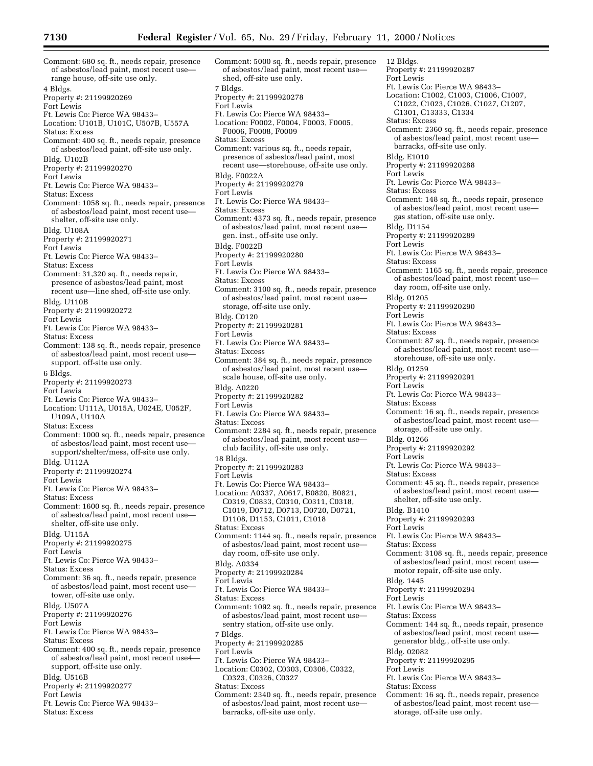Comment: 680 sq. ft., needs repair, presence of asbestos/lead paint, most recent use range house, off-site use only. 4 Bldgs. Property #: 21199920269 Fort Lewis Ft. Lewis Co: Pierce WA 98433– Location: U101B, U101C, U507B, U557A Status: Excess Comment: 400 sq. ft., needs repair, presence of asbestos/lead paint, off-site use only. Bldg. U102B Property #: 21199920270 Fort Lewis Ft. Lewis Co: Pierce WA 98433– Status: Excess Comment: 1058 sq. ft., needs repair, presence of asbestos/lead paint, most recent use shelter, off-site use only. Bldg. U108A Property #: 21199920271 Fort Lewis Ft. Lewis Co: Pierce WA 98433– Status: Excess Comment: 31,320 sq. ft., needs repair, presence of asbestos/lead paint, most recent use—line shed, off-site use only. Bldg. U110B Property #: 21199920272 Fort Lewis Ft. Lewis Co: Pierce WA 98433– Status: Excess Comment: 138 sq. ft., needs repair, presence of asbestos/lead paint, most recent use support, off-site use only. 6 Bldgs. Property #: 21199920273 Fort Lewis Ft. Lewis Co: Pierce WA 98433– Location: U111A, U015A, U024E, U052F, U109A, U110A Status: Excess Comment: 1000 sq. ft., needs repair, presence of asbestos/lead paint, most recent use support/shelter/mess, off-site use only. Bldg. U112A Property #: 21199920274 Fort Lewis Ft. Lewis Co: Pierce WA 98433– Status: Excess Comment: 1600 sq. ft., needs repair, presence of asbestos/lead paint, most recent use shelter, off-site use only. Bldg. U115A Property #: 21199920275 Fort Lewis Ft. Lewis Co: Pierce WA 98433– Status: Excess Comment: 36 sq. ft., needs repair, presence of asbestos/lead paint, most recent use tower, off-site use only. Bldg. U507A Property #: 21199920276 Fort Lewis Ft. Lewis Co: Pierce WA 98433– Status: Excess Comment: 400 sq. ft., needs repair, presence of asbestos/lead paint, most recent use4 support, off-site use only. Bldg. U516B Property #: 21199920277 Fort Lewis Ft. Lewis Co: Pierce WA 98433– Status: Excess

Comment: 5000 sq. ft., needs repair, presence of asbestos/lead paint, most recent use shed, off-site use only. 7 Bldgs. Property #: 21199920278 Fort Lewis Ft. Lewis Co: Pierce WA 98433– Location: F0002, F0004, F0003, F0005, F0006, F0008, F0009 Status: Excess Comment: various sq. ft., needs repair, presence of asbestos/lead paint, most recent use—storehouse, off-site use only. Bldg. F0022A Property #: 21199920279 Fort Lewis Ft. Lewis Co: Pierce WA 98433– Status: Excess Comment: 4373 sq. ft., needs repair, presence of asbestos/lead paint, most recent use gen. inst., off-site use only. Bldg. F0022B Property #: 21199920280 Fort Lewis Ft. Lewis Co: Pierce WA 98433– Status: Excess Comment: 3100 sq. ft., needs repair, presence of asbestos/lead paint, most recent use storage, off-site use only. Bldg. C0120 Property #: 21199920281 Fort Lewis Ft. Lewis Co: Pierce WA 98433– Status: Excess Comment: 384 sq. ft., needs repair, presence of asbestos/lead paint, most recent use scale house, off-site use only. Bldg. A0220 Property #: 21199920282 Fort Lewis Ft. Lewis Co: Pierce WA 98433– Status: Excess Comment: 2284 sq. ft., needs repair, presence of asbestos/lead paint, most recent use club facility, off-site use only. 18 Bldgs. Property #: 21199920283 Fort Lewis Ft. Lewis Co: Pierce WA 98433– Location: A0337, A0617, B0820, B0821, C0319, C0833, C0310, C0311, C0318, C1019, D0712, D0713, D0720, D0721, D1108, D1153, C1011, C1018 Status: Excess Comment: 1144 sq. ft., needs repair, presence of asbestos/lead paint, most recent use day room, off-site use only. Bldg. A0334 Property #: 21199920284 Fort Lewis Ft. Lewis Co: Pierce WA 98433– Status: Excess Comment: 1092 sq. ft., needs repair, presence of asbestos/lead paint, most recent use sentry station, off-site use only. 7 Bldgs. Property #: 21199920285 Fort Lewis Ft. Lewis Co: Pierce WA 98433– Location: C0302, C0303, C0306, C0322, C0323, C0326, C0327 Status: Excess Comment: 2340 sq. ft., needs repair, presence of asbestos/lead paint, most recent use barracks, off-site use only.

12 Bldgs. Property #: 21199920287 Fort Lewis Ft. Lewis Co: Pierce WA 98433– Location: C1002, C1003, C1006, C1007, C1022, C1023, C1026, C1027, C1207, C1301, C13333, C1334 Status: Excess Comment: 2360 sq. ft., needs repair, presence of asbestos/lead paint, most recent use barracks, off-site use only. Bldg. E1010 Property #: 21199920288 Fort Lewis Ft. Lewis Co: Pierce WA 98433– Status: Excess Comment: 148 sq. ft., needs repair, presence of asbestos/lead paint, most recent use gas station, off-site use only. Bldg. D1154 Property #: 21199920289 Fort Lewis Ft. Lewis Co: Pierce WA 98433– Status: Excess Comment: 1165 sq. ft., needs repair, presence of asbestos/lead paint, most recent use day room, off-site use only. Bldg. 01205 Property #: 21199920290 Fort Lewis Ft. Lewis Co: Pierce WA 98433– Status: Excess Comment: 87 sq. ft., needs repair, presence of asbestos/lead paint, most recent use storehouse, off-site use only. Bldg. 01259 Property #: 21199920291 Fort Lewis Ft. Lewis Co: Pierce WA 98433– Status: Excess Comment: 16 sq. ft., needs repair, presence of asbestos/lead paint, most recent use storage, off-site use only. Bldg. 01266 Property #: 21199920292 Fort Lewis Ft. Lewis Co: Pierce WA 98433– Status: Excess Comment: 45 sq. ft., needs repair, presence of asbestos/lead paint, most recent use shelter, off-site use only. Bldg. B1410 Property #: 21199920293 Fort Lewis Ft. Lewis Co: Pierce WA 98433– Status: Excess Comment: 3108 sq. ft., needs repair, presence of asbestos/lead paint, most recent use motor repair, off-site use only. Bldg. 1445 Property #: 21199920294 Fort Lewis Ft. Lewis Co: Pierce WA 98433– Status: Excess Comment: 144 sq. ft., needs repair, presence of asbestos/lead paint, most recent use generator bldg., off-site use only. Bldg. 02082 Property #: 21199920295 Fort Lewis Ft. Lewis Co: Pierce WA 98433– Status: Excess Comment: 16 sq. ft., needs repair, presence of asbestos/lead paint, most recent use storage, off-site use only.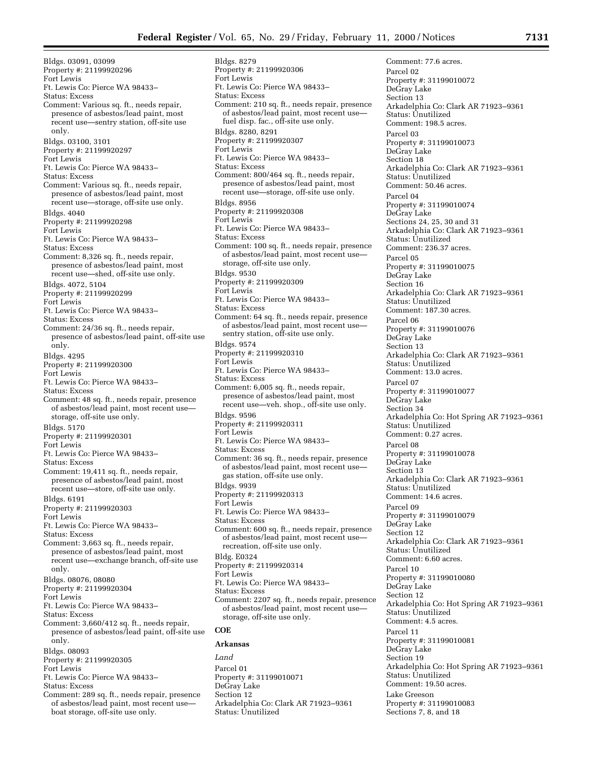Bldgs. 03091, 03099 Property #: 21199920296 Fort Lewis Ft. Lewis Co: Pierce WA 98433– Status: Excess Comment: Various sq. ft., needs repair, presence of asbestos/lead paint, most recent use—sentry station, off-site use only. Bldgs. 03100, 3101 Property #: 21199920297 Fort Lewis Ft. Lewis Co: Pierce WA 98433– Status: Excess Comment: Various sq. ft., needs repair, presence of asbestos/lead paint, most recent use—storage, off-site use only. Bldgs. 4040 Property #: 21199920298 Fort Lewis Ft. Lewis Co: Pierce WA 98433– Status: Excess Comment: 8,326 sq. ft., needs repair, presence of asbestos/lead paint, most recent use—shed, off-site use only. Bldgs. 4072, 5104 Property #: 21199920299 Fort Lewis Ft. Lewis Co: Pierce WA 98433– Status: Excess Comment: 24/36 sq. ft., needs repair, presence of asbestos/lead paint, off-site use only. Bldgs. 4295 Property #: 21199920300 Fort Lewis Ft. Lewis Co: Pierce WA 98433– Status: Excess Comment: 48 sq. ft., needs repair, presence of asbestos/lead paint, most recent use storage, off-site use only. Bldgs. 5170 Property #: 21199920301 Fort Lewis Ft. Lewis Co: Pierce WA 98433– Status: Excess Comment: 19,411 sq. ft., needs repair, presence of asbestos/lead paint, most recent use—store, off-site use only. Bldgs. 6191 Property #: 21199920303 Fort Lewis Ft. Lewis Co: Pierce WA 98433– Status: Excess Comment: 3,663 sq. ft., needs repair, presence of asbestos/lead paint, most recent use—exchange branch, off-site use only. Bldgs. 08076, 08080 Property #: 21199920304 Fort Lewis Ft. Lewis Co: Pierce WA 98433– Status: Excess Comment: 3,660/412 sq. ft., needs repair, presence of asbestos/lead paint, off-site use only. Bldgs. 08093 Property #: 21199920305 Fort Lewis Ft. Lewis Co: Pierce WA 98433– Status: Excess Comment: 289 sq. ft., needs repair, presence of asbestos/lead paint, most recent use boat storage, off-site use only.

Bldgs. 8279 Property #: 21199920306 Fort Lewis Ft. Lewis Co: Pierce WA 98433– Status: Excess Comment: 210 sq. ft., needs repair, presence of asbestos/lead paint, most recent use fuel disp. fac., off-site use only. Bldgs. 8280, 8291 Property #: 21199920307 Fort Lewis Ft. Lewis Co: Pierce WA 98433– Status: Excess Comment: 800/464 sq. ft., needs repair, presence of asbestos/lead paint, most recent use—storage, off-site use only. Bldgs. 8956 Property #: 21199920308 Fort Lewis Ft. Lewis Co: Pierce WA 98433– Status: Excess Comment: 100 sq. ft., needs repair, presence of asbestos/lead paint, most recent use storage, off-site use only. Bldgs. 9530 Property #: 21199920309 Fort Lewis Ft. Lewis Co: Pierce WA 98433– Status: Excess Comment: 64 sq. ft., needs repair, presence of asbestos/lead paint, most recent use sentry station, off-site use only. Bldgs. 9574 Property #: 21199920310 Fort Lewis Ft. Lewis Co: Pierce WA 98433– Status: Excess Comment: 6,005 sq. ft., needs repair, presence of asbestos/lead paint, most recent use—veh. shop., off-site use only. Bldgs. 9596 Property #: 21199920311 Fort Lewis Ft. Lewis Co: Pierce WA 98433– Status: Excess Comment: 36 sq. ft., needs repair, presence of asbestos/lead paint, most recent use gas station, off-site use only. Bldgs. 9939 Property #: 21199920313 Fort Lewis Ft. Lewis Co: Pierce WA 98433– Status: Excess Comment: 600 sq. ft., needs repair, presence of asbestos/lead paint, most recent use recreation, off-site use only. Bldg. E0324 Property #: 21199920314 Fort Lewis Ft. Lewis Co: Pierce WA 98433– Status: Excess Comment: 2207 sq. ft., needs repair, presence of asbestos/lead paint, most recent use storage, off-site use only. **COE**

# **Arkansas**

*Land* Parcel 01 Property #: 31199010071 DeGray Lake Section 12 Arkadelphia Co: Clark AR 71923–9361 Status: Unutilized

Comment: 77.6 acres. Parcel 02 Property #: 31199010072 DeGray Lake Section 13 Arkadelphia Co: Clark AR 71923–9361 Status: Unutilized Comment: 198.5 acres. Parcel 03 Property #: 31199010073 DeGray Lake Section 18 Arkadelphia Co: Clark AR 71923–9361 Status: Unutilized Comment: 50.46 acres. Parcel 04 Property #: 31199010074 DeGray Lake Sections 24, 25, 30 and 31 Arkadelphia Co: Clark AR 71923–9361 Status: Unutilized Comment: 236.37 acres. Parcel 05 Property #: 31199010075 DeGray Lake Section 16 Arkadelphia Co: Clark AR 71923–9361 Status: Unutilized Comment: 187.30 acres. Parcel 06 Property #: 31199010076 DeGray Lake Section 13 Arkadelphia Co: Clark AR 71923–9361 Status: Unutilized Comment: 13.0 acres. Parcel 07 Property #: 31199010077 DeGray Lake Section 34 Arkadelphia Co: Hot Spring AR 71923–9361 Status: Unutilized Comment: 0.27 acres. Parcel 08 Property #: 31199010078 DeGray Lake Section 13 Arkadelphia Co: Clark AR 71923–9361 Status: Unutilized Comment: 14.6 acres. Parcel 09 Property #: 31199010079 DeGray Lake Section 12 Arkadelphia Co: Clark AR 71923–9361 Status: Unutilized Comment: 6.60 acres. Parcel 10 Property #: 31199010080 DeGray Lake Section 12 Arkadelphia Co: Hot Spring AR 71923–9361 Status: Unutilized Comment: 4.5 acres. Parcel 11 Property #: 31199010081 DeGray Lake Section 19 Arkadelphia Co: Hot Spring AR 71923–9361 Status: Unutilized Comment: 19.50 acres. Lake Greeson Property #: 31199010083 Sections 7, 8, and 18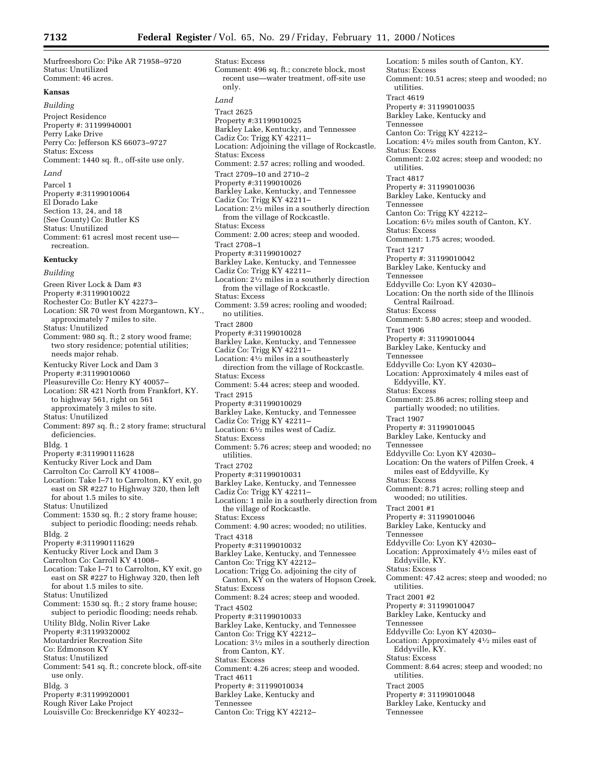Murfreesboro Co: Pike AR 71958–9720 Status: Unutilized Comment: 46 acres.

# **Kansas**

*Building*

Project Residence Property #: 31199940001 Perry Lake Drive Perry Co: Jefferson KS 66073–9727 Status: Excess Comment: 1440 sq. ft., off-site use only. *Land*

Parcel 1 Property #:31199010064 El Dorado Lake Section 13, 24, and 18 (See County) Co: Butler KS Status: Unutilized Comment: 61 acresl most recent use recreation.

# **Kentucky**

*Building* Green River Lock & Dam #3 Property #:31199010022 Rochester Co: Butler KY 42273– Location: SR 70 west from Morgantown, KY., approximately 7 miles to site. Status: Unutilized Comment: 980 sq. ft.; 2 story wood frame; two story residence; potential utilities; needs major rehab. Kentucky River Lock and Dam 3 Property #:31199010060 Pleasureville Co: Henry KY 40057– Location: SR 421 North from Frankfort, KY. to highway 561, right on 561 approximately 3 miles to site. Status: Unutilized Comment: 897 sq. ft.; 2 story frame; structural deficiencies. Bldg. 1 Property #:311990111628 Kentucky River Lock and Dam Carrolton Co: Carroll KY 41008– Location: Take I–71 to Carrolton, KY exit, go east on SR #227 to Highway 320, then left for about 1.5 miles to site. Status: Unutilized Comment: 1530 sq. ft.; 2 story frame house; subject to periodic flooding; needs rehab. Bldg. 2 Property #:311990111629 Kentucky River Lock and Dam 3 Carrolton Co: Carroll KY 41008– Location: Take I–71 to Carrolton, KY exit, go east on SR #227 to Highway 320, then left for about 1.5 miles to site. Status: Unutilized Comment: 1530 sq. ft.; 2 story frame house; subject to periodic flooding; needs rehab. Utility Bldg, Nolin River Lake Property #:31199320002 Moutardrier Recreation Site Co: Edmonson KY Status: Unutilized Comment: 541 sq. ft.; concrete block, off-site use only. Bldg. 3 Property #:31199920001 Rough River Lake Project Louisville Co: Breckenridge KY 40232–

Status: Excess Comment: 496 sq. ft.; concrete block, most recent use—water treatment, off-site use only. *Land* Tract 2625 Property #:31199010025 Barkley Lake, Kentucky, and Tennessee Cadiz Co: Trigg KY 42211– Location: Adjoining the village of Rockcastle. Status: Excess Comment: 2.57 acres; rolling and wooded. Tract 2709–10 and 2710–2 Property #:31199010026 Barkley Lake, Kentucky, and Tennessee Cadiz Co: Trigg KY 42211– Location: 21⁄2 miles in a southerly direction from the village of Rockcastle. Status: Excess Comment: 2.00 acres; steep and wooded. Tract 2708–1 Property #:31199010027 Barkley Lake, Kentucky, and Tennessee Cadiz Co: Trigg KY 42211– Location: 21⁄2 miles in a southerly direction from the village of Rockcastle. Status: Excess Comment: 3.59 acres; rooling and wooded; no utilities. Tract 2800 Property #:31199010028 Barkley Lake, Kentucky, and Tennessee Cadiz Co: Trigg KY 42211-Location: 41⁄2 miles in a southeasterly direction from the village of Rockcastle. Status: Excess Comment: 5.44 acres; steep and wooded. Tract 2915 Property #:31199010029 Barkley Lake, Kentucky, and Tennessee Cadiz Co: Trigg KY 42211– Location: 61⁄2 miles west of Cadiz. Status: Excess Comment: 5.76 acres; steep and wooded; no utilities. Tract 2702 Property #:31199010031 Barkley Lake, Kentucky, and Tennessee Cadiz Co: Trigg KY 42211– Location: 1 mile in a southerly direction from the village of Rockcastle. Status: Excess Comment: 4.90 acres; wooded; no utilities. Tract 4318 Property #:31199010032 Barkley Lake, Kentucky, and Tennessee Canton Co: Trigg KY 42212-Location: Trigg Co. adjoining the city of Canton, KY on the waters of Hopson Creek. Status: Excess Comment: 8.24 acres; steep and wooded. Tract 4502 Property #:31199010033 Barkley Lake, Kentucky, and Tennessee Canton Co: Trigg KY 42212-Location: 31⁄2 miles in a southerly direction from Canton, KY. Status: Excess Comment: 4.26 acres; steep and wooded. Tract 4611 Property #: 31199010034 Barkley Lake, Kentucky and Tennessee Canton Co: Trigg KY 42212–

Location: 5 miles south of Canton, KY. Status: Excess Comment: 10.51 acres; steep and wooded; no utilities. Tract 4619 Property #: 31199010035 Barkley Lake, Kentucky and Tennessee Canton Co: Trigg KY 42212– Location: 41⁄2 miles south from Canton, KY. Status: Excess Comment: 2.02 acres; steep and wooded; no utilities. Tract 4817 Property #: 31199010036 Barkley Lake, Kentucky and Tennessee Canton Co: Trigg KY 42212– Location: 61⁄2 miles south of Canton, KY. Status: Excess Comment: 1.75 acres; wooded. Tract 1217 Property #: 31199010042 Barkley Lake, Kentucky and Tennessee Eddyville Co: Lyon KY 42030– Location: On the north side of the Illinois Central Railroad. Status: Excess Comment: 5.80 acres; steep and wooded. Tract 1906 Property #: 31199010044 Barkley Lake, Kentucky and Tennessee Eddyville Co: Lyon KY 42030– Location: Approximately 4 miles east of Eddyville, KY. Status: Excess Comment: 25.86 acres; rolling steep and partially wooded; no utilities. Tract 1907 Property #: 31199010045 Barkley Lake, Kentucky and Tennessee Eddyville Co: Lyon KY 42030– Location: On the waters of Pilfen Creek, 4 miles east of Eddyville, Ky Status: Excess Comment: 8.71 acres; rolling steep and wooded; no utilities. Tract 2001 #1 Property #: 31199010046 Barkley Lake, Kentucky and Tennessee Eddyville Co: Lyon KY 42030– Location: Approximately 41⁄2 miles east of Eddyville, KY. Status: Excess Comment: 47.42 acres; steep and wooded; no utilities. Tract 2001 #2 Property #: 31199010047 Barkley Lake, Kentucky and Tennessee Eddyville Co: Lyon KY 42030– Location: Approximately  $4\frac{1}{2}$  miles east of Eddyville, KY. Status: Excess Comment: 8.64 acres; steep and wooded; no utilities. Tract 2005 Property #: 31199010048 Barkley Lake, Kentucky and Tennessee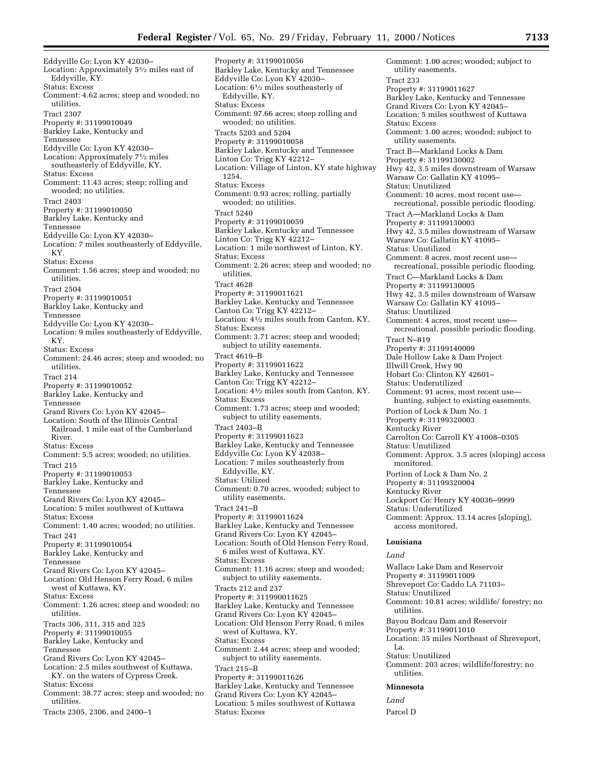Eddyville Co: Lyon KY 42030– Location: Approximately 51⁄2 miles east of Eddyville, KY. Status: Excess Comment: 4.62 acres; steep and wooded; no utilities. Tract 2307 Property #: 31199010049 Barkley Lake, Kentucky and Tennessee Eddyville Co: Lyon KY 42030– Location: Approximately 71⁄2 miles southeasterly of Eddyville, KY. Status: Excess Comment: 11.43 acres; steep; rolling and wooded; no utilities. Tract 2403 Property #: 31199010050 Barkley Lake, Kentucky and Tennessee Eddyville Co: Lyon KY 42030– Location: 7 miles southeasterly of Eddyville, KY. Status: Excess Comment: 1.56 acres; steep and wooded; no utilities. Tract 2504 Property #: 31199010051 Barkley Lake, Kentucky and Tennessee Eddyville Co: Lyon KY 42030– Location: 9 miles southeasterly of Eddyville, KY. Status: Excess Comment: 24.46 acres; steep and wooded; no utilities. Tract 214 Property #: 31199010052 Barkley Lake, Kentucky and Tennessee Grand Rivers Co: Lyon KY 42045– Location: South of the Illinois Central Railroad, 1 mile east of the Cumberland River. Status: Excess Comment: 5.5 acres; wooded; no utilities. Tract 215 Property #: 31199010053 Barkley Lake, Kentucky and Tennessee Grand Rivers Co: Lyon KY 42045– Location: 5 miles southwest of Kuttawa Status: Excess Comment: 1.40 acres; wooded; no utilities. Tract 241 Property #: 31199010054 Barkley Lake, Kentucky and Tennessee Grand Rivers Co: Lyon KY 42045– Location: Old Henson Ferry Road, 6 miles west of Kuttawa, KY. Status: Excess Comment: 1.26 acres; steep and wooded; no utilities. Tracts 306, 311, 315 and 325 Property #: 31199010055 Barkley Lake, Kentucky and Tennessee Grand Rivers Co: Lyon KY 42045– Location: 2.5 miles southwest of Kuttawa, KY. on the waters of Cypress Creek. Status: Excess Comment: 38.77 acres; steep and wooded; no utilities. Tracts 2305, 2306, and 2400–1

Property #: 31199010056 Barkley Lake, Kentucky and Tennessee Eddyville Co: Lyon KY 42030– Location: 61⁄2 miles southeasterly of Eddyville, KY. Status: Excess Comment: 97.66 acres; steep rolling and wooded; no utilities. Tracts 5203 and 5204 Property #: 31199010058 Barkley Lake, Kentucky and Tennessee Linton Co: Trigg KY 42212– Location: Village of Linton, KY state highway 1254. Status: Excess Comment: 0.93 acres; rolling, partially wooded; no utilities. Tract 5240 Property #: 31199010059 Barkley Lake, Kentucky and Tennessee Linton Co: Trigg KY 42212– Location: 1 mile northwest of Linton, KY. Status: Excess Comment: 2.26 acres; steep and wooded; no utilities. Tract 4628 Property #: 31199011621 Barkley Lake, Kentucky and Tennessee Canton Co: Trigg KY 42212– Location: 41⁄2 miles south from Canton, KY. Status: Excess Comment: 3.71 acres; steep and wooded; subject to utility easements. Tract 4619–B Property #: 31199011622 Barkley Lake, Kentucky and Tennessee Canton Co: Trigg KY 42212– Location: 41⁄2 miles south from Canton, KY. Status: Excess Comment: 1.73 acres; steep and wooded; subject to utility easements. Tract 2403–B Property #: 31199011623 Barkley Lake, Kentucky and Tennessee Eddyville Co: Lyon KY 42038– Location: 7 miles southeasterly from Eddyville, KY. Status: Utilized Comment: 0.70 acres, wooded; subject to utility easements. Tract 241–B Property #: 31199011624 Barkley Lake, Kentucky and Tennessee Grand Rivers Co: Lyon KY 42045– Location: South of Old Henson Ferry Road, 6 miles west of Kuttawa, KY. Status: Excess Comment: 11.16 acres; steep and wooded; subject to utility easements. Tracts 212 and 237 Property #: 311990011625 Barkley Lake, Kentucky and Tennessee Grand Rivers Co: Lyon KY 42045– Location: Old Henson Ferry Road, 6 miles west of Kuttawa, KY. Status: Excess Comment: 2.44 acres; steep and wooded; subject to utility easements. Tract 215–B Property #: 31199011626 Barkley Lake, Kentucky and Tennessee Grand Rivers Co: Lyon KY 42045– Location: 5 miles southwest of Kuttawa

Status: Excess

Comment: 1.00 acres; wooded; subject to utility easements. Tract 233 Property #: 31199011627 Barkley Lake, Kentucky and Tennessee Grand Rivers Co: Lyon KY 42045– Location: 5 miles southwest of Kuttawa Status: Excess Comment: 1.00 acres; wooded; subject to utility easements. Tract B—Markland Locks & Dam Property #: 31199130002 Hwy 42, 3.5 miles downstream of Warsaw Warsaw Co: Gallatin KY 41095– Status: Unutilized Comment: 10 acres, most recent use recreational, possible periodic flooding. Tract A—Markland Locks & Dam Property #: 31199130003 Hwy 42, 3.5 miles downstream of Warsaw Warsaw Co: Gallatin KY 41095– Status: Unutilized Comment: 8 acres, most recent use recreational, possible periodic flooding. Tract C—Markland Locks & Dam Property #: 31199130005 Hwy 42, 3.5 miles downstream of Warsaw Warsaw Co: Gallatin KY 41095– Status: Unutilized Comment: 4 acres, most recent use recreational, possible periodic flooding. Tract N–819 Property #: 31199140009 Dale Hollow Lake & Dam Project Illwill Creek, Hwy 90 Hobart Co: Clinton KY 42601– Status: Underutilized Comment: 91 acres, most recent use hunting, subject to existing easements. Portion of Lock & Dam No. 1 Property #: 31199320003 Kentucky River Carrolton Co: Carroll KY 41008–0305 Status: Unutilized Comment: Approx. 3.5 acres (sloping) access monitored. Portion of Lock & Dam No. 2 Property #: 31199320004 Kentucky River Lockport Co: Henry KY 40036–9999 Status: Underutilized Comment: Approx. 13.14 acres (sloping), access monitored. **Louisiana** *Land* Wallace Lake Dam and Reservoir Property #: 31199011009 Shreveport Co: Caddo LA 71103– Status: Unutilized Comment: 10.81 acres; wildlife/ forestry; no utilities. Bayou Bodcau Dam and Reservoir Property #: 31199011010

La. Status: Unutilized Comment: 203 acres; wildlife/forestry; no utilities.

Location: 35 miles Northeast of Shreveport,

#### **Minnesota**

*Land* Parcel D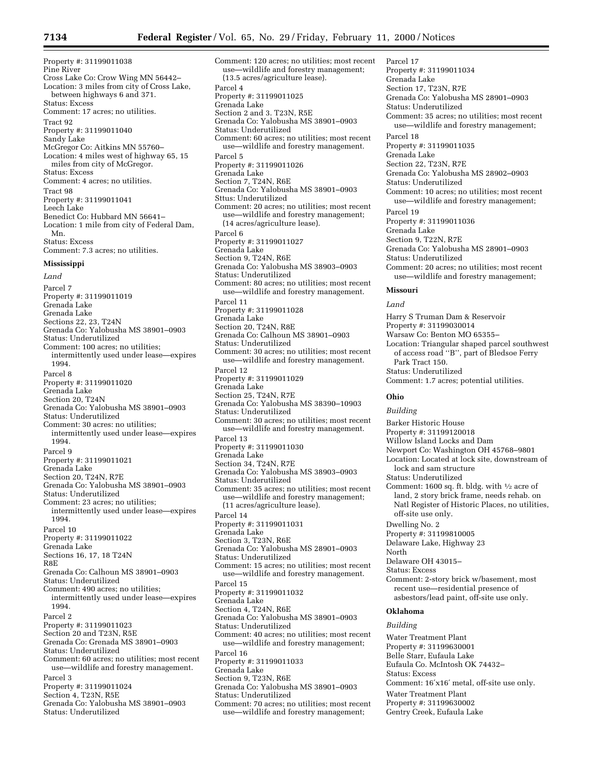Property #: 31199011038 Pine River Cross Lake Co: Crow Wing MN 56442– Location: 3 miles from city of Cross Lake, between highways 6 and 371. Status: Excess Comment: 17 acres; no utilities. Tract 92 Property #: 31199011040 Sandy Lake McGregor Co: Aitkins MN 55760– Location: 4 miles west of highway 65, 15 miles from city of McGregor. Status: Excess Comment: 4 acres; no utilities. Tract 98 Property #: 31199011041 Leech Lake Benedict Co: Hubbard MN 56641– Location: 1 mile from city of Federal Dam, Mn. Status: Excess Comment: 7.3 acres; no utilities.

#### **Mississippi**

*Land* Parcel 7 Property #: 31199011019 Grenada Lake Grenada Lake Sections 22, 23, T24N Grenada Co: Yalobusha MS 38901–0903 Status: Underutilized Comment: 100 acres; no utilities; intermittently used under lease—expires 1994. Parcel 8 Property #: 31199011020 Grenada Lake Section 20, T24N Grenada Co: Yalobusha MS 38901–0903 Status: Underutilized Comment: 30 acres: no utilities; intermittently used under lease—expires 1994. Parcel 9 Property #: 31199011021 Grenada Lake Section 20, T24N, R7E Grenada Co: Yalobusha MS 38901–0903 Status: Underutilized Comment: 23 acres; no utilities; intermittently used under lease—expires 1994. Parcel 10 Property #: 31199011022 Grenada Lake Sections 16, 17, 18 T24N R8E Grenada Co: Calhoun MS 38901–0903 Status: Underutilized Comment: 490 acres; no utilities; intermittently used under lease—expires 1994. Parcel 2 Property #: 31199011023 Section 20 and T23N, R5E Grenada Co: Grenada MS 38901–0903 Status: Underutilized Comment: 60 acres; no utilities; most recent use—wildlife and forestry management. Parcel 3 Property #: 31199011024 Section 4, T23N, R5E Grenada Co: Yalobusha MS 38901–0903 Status: Underutilized

Comment: 120 acres; no utilities; most recent use—wildlife and forestry management; (13.5 acres/agriculture lease). Parcel 4 Property #: 31199011025 Grenada Lake Section 2 and 3. T23N, R5E Grenada Co: Yalobusha MS 38901–0903 Status: Underutilized Comment: 60 acres; no utilities; most recent use—wildlife and forestry management. Parcel 5 Property #: 31199011026 Grenada Lake Section 7, T24N, R6E Grenada Co: Yalobusha MS 38901–0903 Sttus: Underutilized Comment: 20 acres; no utilities; most recent use—wildlife and forestry management; (14 acres/agriculture lease). Parcel 6 Property #: 31199011027 Grenada Lake Section 9, T24N, R6E Grenada Co: Yalobusha MS 38903–0903 Status: Underutilized Comment: 80 acres; no utilities; most recent use—wildlife and forestry management. Parcel 11 Property #: 31199011028 Grenada Lake Section 20, T24N, R8E Grenada Co: Calhoun MS 38901–0903 Status: Underutilized Comment: 30 acres; no utilities; most recent use—wildlife and forestry management. Parcel 12 Property #: 31199011029 Grenada Lake Section 25, T24N, R7E Grenada Co: Yalobusha MS 38390–10903 Status: Underutilized Comment: 30 acres; no utilities; most recent use—wildlife and forestry management. Parcel 13 Property #: 31199011030 Grenada Lake Section 34, T24N, R7E Grenada Co: Yalobusha MS 38903–0903 Status: Underutilized Comment: 35 acres; no utilities; most recent use—wildlife and forestry management; (11 acres/agriculture lease). Parcel 14 Property #: 31199011031 Grenada Lake Section 3, T23N, R6E Grenada Co: Yalobusha MS 28901–0903 Status: Underutilized Comment: 15 acres; no utilities; most recent use—wildlife and forestry management. Parcel 15 Property #: 31199011032 Grenada Lake Section 4, T24N, R6E Grenada Co: Yalobusha MS 38901–0903 Status: Underutilized Comment: 40 acres; no utilities; most recent use—wildlife and forestry management; Parcel 16 Property #: 31199011033 Grenada Lake Section 9, T23N, R6E Grenada Co: Yalobusha MS 38901–0903 Status: Underutilized Comment: 70 acres; no utilities; most recent use—wildlife and forestry management;

Parcel 17 Property #: 31199011034 Grenada Lake Section 17, T23N, R7E Grenada Co: Yalobusha MS 28901–0903 Status: Underutilized Comment: 35 acres; no utilities; most recent use—wildlife and forestry management; Parcel 18 Property #: 31199011035 Grenada Lake Section 22, T23N, R7E Grenada Co: Yalobusha MS 28902–0903 Status: Underutilized Comment: 10 acres; no utilities; most recent use—wildlife and forestry management; Parcel 19 Property #: 31199011036 Grenada Lake Section 9, T22N, R7E Grenada Co: Yalobusha MS 28901–0903 Status: Underutilized Comment: 20 acres; no utilities; most recent use—wildlife and forestry management; **Missouri** *Land* Harry S Truman Dam & Reservoir Property #: 31199030014 Warsaw Co: Benton MO 65355– Location: Triangular shaped parcel southwest of access road ''B'', part of Bledsoe Ferry Park Tract 150. Status: Underutilized

Comment: 1.7 acres; potential utilities.

#### **Ohio**

#### *Building*

Barker Historic House Property #: 31199120018 Willow Island Locks and Dam Newport Co: Washington OH 45768–9801 Location: Located at lock site, downstream of lock and sam structure Status: Underutilized Comment: 1600 sq. ft. bldg. with 1⁄2 acre of land, 2 story brick frame, needs rehab. on Natl Register of Historic Places, no utilities, off-site use only. Dwelling No. 2 Property #: 31199810005 Delaware Lake, Highway 23 North Delaware OH 43015– Status: Excess Comment: 2-story brick w/basement, most recent use—residential presence of asbestors/lead paint, off-site use only. **Oklahoma** *Building* Water Treatment Plant Property #: 31199630001 Belle Starr, Eufaula Lake Eufaula Co. McIntosh OK 74432–

Status: Excess

Comment: 16′x16′ metal, off-site use only.

Water Treatment Plant

Property #: 31199630002

Gentry Creek, Eufaula Lake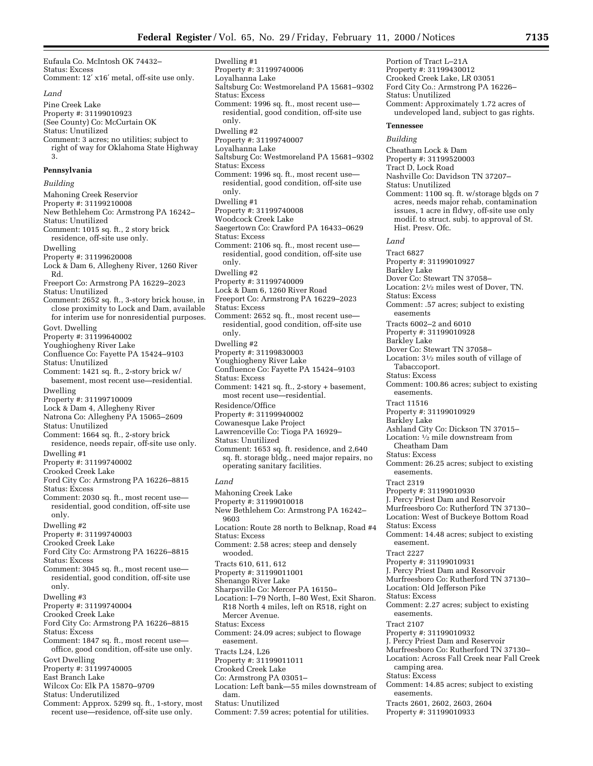Saltsburg Co: Westmoreland PA 15681–9302

Saltsburg Co: Westmoreland PA 15681–9302

Comment: 1996 sq. ft., most recent use residential, good condition, off-site use

Saegertown Co: Crawford PA 16433–0629

Comment: 2106 sq. ft., most recent use residential, good condition, off-site use

Comment: 1996 sq. ft., most recent use residential, good condition, off-site use

Dwelling #1

Status: Excess

Status: Excess

Status: Excess

only. Dwelling #2

only. Dwelling #1

only. Dwelling #2

Property #: 31199740006 Loyalhanna Lake

Property #: 31199740007 Loyalhanna Lake

Property #: 31199740008 Woodcock Creek Lake

Eufaula Co. McIntosh OK 74432– Status: Excess Comment: 12′ x16′ metal, off-site use only. *Land* Pine Creek Lake Property #: 31199010923 (See County) Co: McCurtain OK Status: Unutilized Comment: 3 acres; no utilities; subject to right of way for Oklahoma State Highway 3. **Pennsylvania** *Building* Mahoning Creek Reservior Property #: 31199210008 New Bethlehem Co: Armstrong PA 16242– Status: Unutilized Comment: 1015 sq. ft., 2 story brick residence, off-site use only. Dwelling Property #: 31199620008 Lock & Dam 6, Allegheny River, 1260 River Rd. Freeport Co: Armstrong PA 16229–2023 Status: Unutilized Comment: 2652 sq. ft., 3-story brick house, in close proximity to Lock and Dam, available for interim use for nonresidential purposes. Govt. Dwelling Property #: 31199640002 Youghiogheny River Lake Confluence Co: Fayette PA 15424–9103 Status: Unutilized Comment: 1421 sq. ft., 2-story brick w/ basement, most recent use—residential. Dwelling Property #: 31199710009 Lock & Dam 4, Allegheny River Natrona Co: Allegheny PA 15065–2609 Status: Unutilized Comment: 1664 sq. ft., 2-story brick residence, needs repair, off-site use only. Dwelling #1 Property #: 31199740002 Crooked Creek Lake Ford City Co: Armstrong PA 16226–8815 Status: Excess Comment: 2030 sq. ft., most recent use residential, good condition, off-site use only. Dwelling #2 Property #: 31199740003 Crooked Creek Lake Ford City Co: Armstrong PA 16226–8815 Status: Excess Comment: 3045 sq. ft., most recent use residential, good condition, off-site use only. Dwelling #3 Property #: 31199740004 Crooked Creek Lake Ford City Co: Armstrong PA 16226–8815 Status: Excess Comment: 1847 sq. ft., most recent use office, good condition, off-site use only. Govt Dwelling Property #: 31199740005 East Branch Lake Wilcox Co: Elk PA 15870–9709 Status: Underutilized Comment: Approx. 5299 sq. ft., 1-story, most recent use—residence, off-site use only.

Property #: 31199740009 Lock & Dam 6, 1260 River Road Freeport Co: Armstrong PA 16229–2023 Status: Excess Comment: 2652 sq. ft., most recent use residential, good condition, off-site use only. Dwelling #2 Property #: 31199830003 Youghiogheny River Lake Confluence Co: Fayette PA 15424–9103 Status: Excess Comment: 1421 sq. ft., 2-story + basement, most recent use—residential. Residence/Office Property #: 31199940002 Cowanesque Lake Project Lawrenceville Co: Tioga PA 16929– Status: Unutilized Comment: 1653 sq. ft. residence, and 2,640 sq. ft. storage bldg., need major repairs, no operating sanitary facilities. *Land* Mahoning Creek Lake Property #: 31199010018 New Bethlehem Co: Armstrong PA 16242– 9603 Location: Route 28 north to Belknap, Road #4 Status: Excess Comment: 2.58 acres; steep and densely wooded. Tracts 610, 611, 612 Property #: 31199011001 Shenango River Lake Sharpsville Co: Mercer PA 16150– Location: I–79 North, I–80 West, Exit Sharon. R18 North 4 miles, left on R518, right on Mercer Avenue. Status: Excess Comment: 24.09 acres; subject to flowage easement. Tracts L24, L26 Property #: 31199011011 Crooked Creek Lake Co: Armstrong PA 03051– Location: Left bank—55 miles downstream of dam.

Status: Unutilized

Comment: 7.59 acres; potential for utilities.

Property #: 31199430012 Crooked Creek Lake, LR 03051 Ford City Co.: Armstrong PA 16226– Status: Unutilized Comment: Approximately 1.72 acres of undeveloped land, subject to gas rights. **Tennessee** *Building* Cheatham Lock & Dam Property #: 31199520003 Tract D, Lock Road Nashville Co: Davidson TN 37207– Status: Unutilized Comment: 1100 sq. ft. w/storage blgds on 7 acres, needs major rehab, contamination issues, 1 acre in fldwy, off-site use only modif. to struct. subj. to approval of St. Hist. Presv. Ofc. *Land* Tract 6827 Property #: 31199010927 Barkley Lake Dover Co: Stewart TN 37058– Location: 21⁄2 miles west of Dover, TN. Status: Excess Comment: .57 acres; subject to existing easements Tracts 6002–2 and 6010 Property #: 31199010928 Barkley Lake Dover Co: Stewart TN 37058– Location: 31⁄2 miles south of village of Tabaccoport. Status: Excess Comment: 100.86 acres; subject to existing easements. Tract 11516 Property #: 31199010929 Barkley Lake Ashland City Co: Dickson TN 37015– Location: 1⁄2 mile downstream from Cheatham Dam Status: Excess Comment: 26.25 acres; subject to existing easements. Tract 2319 Property #: 31199010930 J. Percy Priest Dam and Resorvoir Murfreesboro Co: Rutherford TN 37130– Location: West of Buckeye Bottom Road Status: Excess Comment: 14.48 acres; subject to existing easement. Tract 2227 Property #: 31199010931 J. Percy Priest Dam and Resorvoir Murfreesboro Co: Rutherford TN 37130– Location: Old Jefferson Pike Status: Excess Comment: 2.27 acres; subject to existing easements. Tract 2107 Property #: 31199010932 J. Percy Priest Dam and Reservoir Murfreesboro Co: Rutherford TN 37130– Location: Across Fall Creek near Fall Creek camping area. Status: Excess Comment: 14.85 acres; subject to existing easements. Tracts 2601, 2602, 2603, 2604 Property #: 31199010933

Portion of Tract L–21A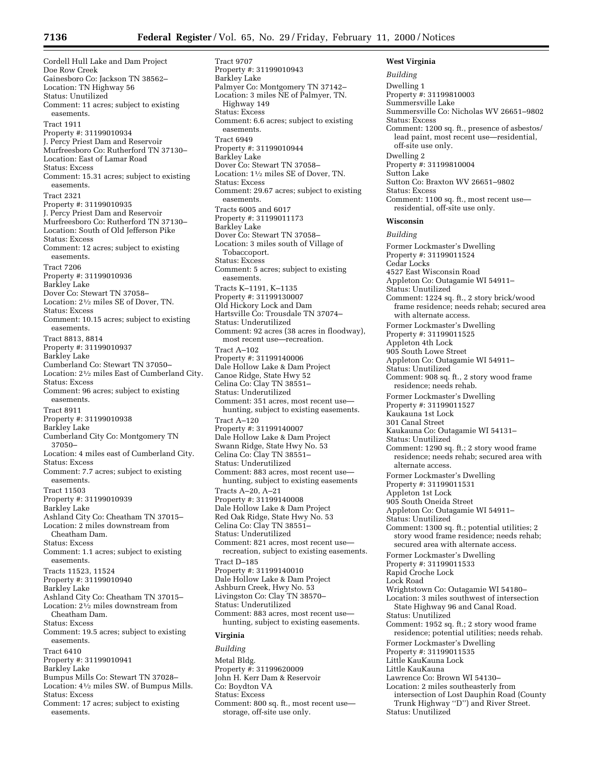Cordell Hull Lake and Dam Project Doe Row Creek Gainesboro Co: Jackson TN 38562– Location: TN Highway 56 Status: Unutilized Comment: 11 acres; subject to existing easements. Tract 1911 Property #: 31199010934 J. Percy Priest Dam and Reservoir Murfreesboro Co: Rutherford TN 37130– Location: East of Lamar Road Status: Excess Comment: 15.31 acres; subject to existing easements. Tract 2321 Property #: 31199010935 J. Percy Priest Dam and Reservoir Murfreesboro Co: Rutherford TN 37130– Location: South of Old Jefferson Pike Status: Excess Comment: 12 acres; subject to existing easements. Tract 7206 Property #: 31199010936 Barkley Lake Dover Co: Stewart TN 37058– Location: 21⁄2 miles SE of Dover, TN. Status: Excess Comment: 10.15 acres; subject to existing easements. Tract 8813, 8814 Property #: 31199010937 Barkley Lake Cumberland Co: Stewart TN 37050– Location: 21⁄2 miles East of Cumberland City. Status: Excess Comment: 96 acres; subject to existing easements. Tract 8911 Property #: 31199010938 Barkley Lake Cumberland City Co: Montgomery TN 37050– Location: 4 miles east of Cumberland City. Status: Excess Comment: 7.7 acres; subject to existing easements. Tract 11503 Property #: 31199010939 Barkley Lake Ashland City Co: Cheatham TN 37015– Location: 2 miles downstream from Cheatham Dam. Status: Excess Comment: 1.1 acres; subject to existing easements. Tracts 11523, 11524 Property #: 31199010940 Barkley Lake Ashland City Co: Cheatham TN 37015– Location: 21⁄2 miles downstream from Cheatham Dam. Status: Excess Comment: 19.5 acres; subject to existing easements. Tract 6410 Property #: 31199010941 Barkley Lake Bumpus Mills Co: Stewart TN 37028– Location: 41⁄2 miles SW. of Bumpus Mills. Status: Excess Comment: 17 acres; subject to existing easements.

Tract 9707 Property #: 31199010943 Barkley Lake Palmyer Co: Montgomery TN 37142– Location: 3 miles NE of Palmyer, TN. Highway 149 Status: Excess Comment: 6.6 acres; subject to existing easements. Tract 6949 Property #: 31199010944 Barkley Lake Dover Co: Stewart TN 37058– Location: 11⁄2 miles SE of Dover, TN. Status: Excess Comment: 29.67 acres; subject to existing easements. Tracts 6005 and 6017 Property #: 31199011173 Barkley Lake Dover Co: Stewart TN 37058– Location: 3 miles south of Village of Tobaccoport. Status: Excess Comment: 5 acres; subject to existing easements. Tracts K–1191, K–1135 Property #: 31199130007 Old Hickory Lock and Dam Hartsville Co: Trousdale TN 37074– Status: Underutilized Comment: 92 acres (38 acres in floodway), most recent use—recreation. Tract A–102 Property #: 31199140006 Dale Hollow Lake & Dam Project Canoe Ridge, State Hwy 52 Celina Co: Clay TN 38551– Status: Underutilized Comment: 351 acres, most recent use hunting, subject to existing easements. Tract A–120 Property #: 31199140007 Dale Hollow Lake & Dam Project Swann Ridge, State Hwy No. 53 Celina Co: Clay TN 38551– Status: Underutilized Comment: 883 acres, most recent use hunting, subject to existing easements Tracts A–20, A–21 Property #: 31199140008 Dale Hollow Lake & Dam Project Red Oak Ridge, State Hwy No. 53 Celina Co: Clay TN 38551– Status: Underutilized Comment: 821 acres, most recent use recreation, subject to existing easements. Tract D–185 Property #: 31199140010 Dale Hollow Lake & Dam Project Ashburn Creek, Hwy No. 53 Livingston Co: Clay TN 38570– Status: Underutilized Comment: 883 acres, most recent use hunting, subject to existing easements. **Virginia**

# *Building* Metal Bldg. Property #: 31199620009 John H. Kerr Dam & Reservoir Co: Boydton VA Status: Excess Comment: 800 sq. ft., most recent use storage, off-site use only.

**West Virginia** *Building* Dwelling 1 Property #: 31199810003 Summersville Lake Summersville Co: Nicholas WV 26651–9802 Status: Excess Comment: 1200 sq. ft., presence of asbestos/ lead paint, most recent use—residential, off-site use only. Dwelling 2 Property #: 31199810004 Sutton Lake Sutton Co: Braxton WV 26651–9802 Status: Excess Comment: 1100 sq. ft., most recent use residential, off-site use only. **Wisconsin** *Building* Former Lockmaster's Dwelling Property #: 31199011524 Cedar Locks 4527 East Wisconsin Road Appleton Co: Outagamie WI 54911– Status: Unutilized Comment: 1224 sq. ft., 2 story brick/wood frame residence; needs rehab; secured area with alternate access. Former Lockmaster's Dwelling Property #: 31199011525 Appleton 4th Lock 905 South Lowe Street Appleton Co: Outagamie WI 54911– Status: Unutilized Comment: 908 sq. ft., 2 story wood frame residence; needs rehab. Former Lockmaster's Dwelling Property #: 31199011527 Kaukauna 1st Lock 301 Canal Street Kaukauna Co: Outagamie WI 54131– Status: Unutilized Comment: 1290 sq. ft.; 2 story wood frame residence; needs rehab; secured area with alternate access. Former Lockmaster's Dwelling Property #: 31199011531 Appleton 1st Lock 905 South Oneida Street Appleton Co: Outagamie WI 54911– Status: Unutilized Comment: 1300 sq. ft.; potential utilities; 2 story wood frame residence; needs rehab; secured area with alternate access. Former Lockmaster's Dwelling Property #: 31199011533 Rapid Croche Lock Lock Road Wrightstown Co: Outagamie WI 54180– Location: 3 miles southwest of intersection State Highway 96 and Canal Road. Status: Unutilized Comment: 1952 sq. ft.; 2 story wood frame residence; potential utilities; needs rehab. Former Lockmaster's Dwelling Property #: 31199011535 Little KauKauna Lock Little KauKauna Lawrence Co: Brown WI 54130– Location: 2 miles southeasterly from intersection of Lost Dauphin Road (County Trunk Highway ''D'') and River Street. Status: Unutilized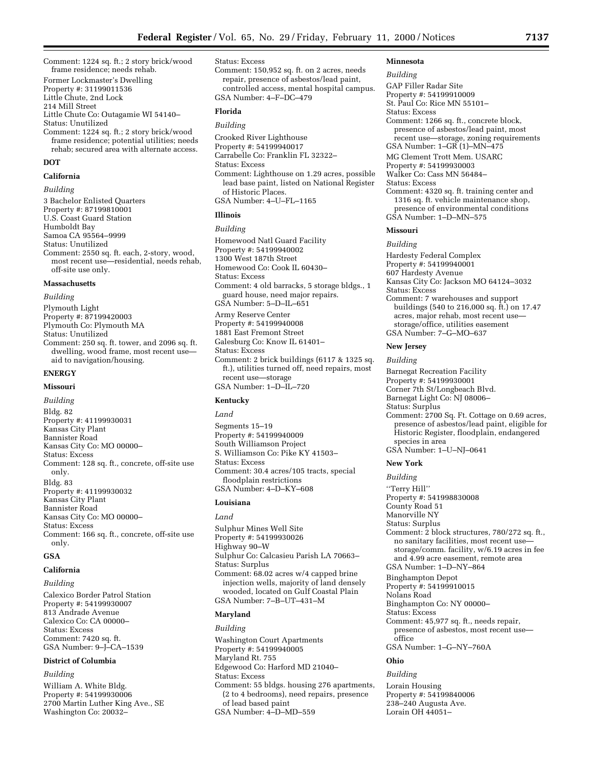Comment: 1224 sq. ft.; 2 story brick/wood frame residence; needs rehab.

Former Lockmaster's Dwelling

- Property #: 31199011536
- Little Chute, 2nd Lock

214 Mill Street

Little Chute Co: Outagamie WI 54140– Status: Unutilized

Comment: 1224 sq. ft.; 2 story brick/wood frame residence; potential utilities; needs rehab; secured area with alternate access.

# **DOT**

# **California**

# *Building*

3 Bachelor Enlisted Quarters Property #: 87199810001 U.S. Coast Guard Station Humboldt Bay Samoa CA 95564–9999 Status: Unutilized Comment: 2550 sq. ft. each, 2-story, wood, most recent use—residential, needs rehab, off-site use only.

# **Massachusetts**

*Building*

Plymouth Light Property #: 87199420003 Plymouth Co: Plymouth MA Status: Unutilized Comment: 250 sq. ft. tower, and 2096 sq. ft. dwelling, wood frame, most recent use aid to navigation/housing.

# **ENERGY**

#### **Missouri**

*Building* Bldg. 82 Property #: 41199930031 Kansas City Plant Bannister Road Kansas City Co: MO 00000– Status: Excess Comment: 128 sq. ft., concrete, off-site use only. Bldg. 83 Property #: 41199930032 Kansas City Plant Bannister Road Kansas City Co: MO 00000– Status: Excess Comment: 166 sq. ft., concrete, off-site use only.

# **GSA**

# **California**

*Building*

Calexico Border Patrol Station Property #: 54199930007 813 Andrade Avenue Calexico Co: CA 00000– Status: Excess Comment: 7420 sq. ft. GSA Number: 9–J–CA–1539

# **District of Columbia**

*Building*

William A. White Bldg. Property #: 54199930006 2700 Martin Luther King Ave., SE Washington Co: 20032–

# Status: Excess

Comment: 150,952 sq. ft. on 2 acres, needs repair, presence of asbestos/lead paint, controlled access, mental hospital campus. GSA Number: 4–F–DC–479

# **Florida**

# *Building*

Crooked River Lighthouse Property #: 54199940017 Carrabelle Co: Franklin FL 32322– Status: Excess Comment: Lighthouse on 1.29 acres, possible lead base paint, listed on National Register of Historic Places. GSA Number: 4–U–FL–1165

# **Illinois**

#### *Building*

Homewood Natl Guard Facility Property #: 54199940002 1300 West 187th Street Homewood Co: Cook IL 60430– Status: Excess Comment: 4 old barracks, 5 storage bldgs., 1 guard house, need major repairs. GSA Number: 5–D–IL–651 Army Reserve Center Property #: 54199940008 1881 East Fremont Street Galesburg Co: Know IL 61401– Status: Excess Comment: 2 brick buildings (6117 & 1325 sq. ft.), utilities turned off, need repairs, most recent use—storage GSA Number: 1–D–IL–720

# **Kentucky**

# *Land* Segments 15–19 Property #: 54199940009 South Williamson Project S. Williamson Co: Pike KY 41503– Status: Excess Comment: 30.4 acres/105 tracts, special floodplain restrictions GSA Number: 4–D–KY–608

# **Louisiana**

# *Land*

Sulphur Mines Well Site Property #: 54199930026 Highway 90–W Sulphur Co: Calcasieu Parish LA 70663– Status: Surplus Comment: 68.02 acres w/4 capped brine injection wells, majority of land densely wooded, located on Gulf Coastal Plain GSA Number: 7–B–UT–431–M

# **Maryland**

*Building* Washington Court Apartments Property #: 54199940005 Maryland Rt. 755 Edgewood Co: Harford MD 21040– Status: Excess Comment: 55 bldgs. housing 276 apartments, (2 to 4 bedrooms), need repairs, presence of lead based paint GSA Number: 4–D–MD–559

#### **Minnesota**

#### *Building*

GAP Filler Radar Site Property #: 54199910009 St. Paul Co: Rice MN 55101– Status: Excess Comment: 1266 sq. ft., concrete block, presence of asbestos/lead paint, most recent use—storage, zoning requirements GSA Number: 1–GR (1)–MN–475 MG Clement Trott Mem. USARC Property #: 54199930003 Walker Co: Cass MN 56484– Status: Excess Comment: 4320 sq. ft. training center and 1316 sq. ft. vehicle maintenance shop, presence of environmental conditions GSA Number: 1–D–MN–575 **Missouri** *Building*

Hardesty Federal Complex Property #: 54199940001 607 Hardesty Avenue Kansas City Co: Jackson MO 64124–3032 Status: Excess Comment: 7 warehouses and support buildings (540 to 216,000 sq. ft.) on 17.47 acres, major rehab, most recent use storage/office, utilities easement GSA Number: 7–G–MO–637 **New Jersey** *Building*

Barnegat Recreation Facility Property #: 54199930001 Corner 7th St/Longbeach Blvd. Barnegat Light Co: NJ 08006– Status: Surplus Comment: 2700 Sq. Ft. Cottage on 0.69 acres, presence of asbestos/lead paint, eligible for Historic Register, floodplain, endangered species in area GSA Number: 1–U–NJ–0641 **New York**

*Building* ''Terry Hill'' Property #: 541998830008 County Road 51 Manorville NY Status: Surplus Comment: 2 block structures, 780/272 sq. ft., no sanitary facilities, most recent use storage/comm. facility, w/6.19 acres in fee and 4.99 acre easement, remote area GSA Number: 1–D–NY–864 Binghampton Depot Property #: 54199910015 Nolans Road Binghampton Co: NY 00000– Status: Excess Comment: 45,977 sq. ft., needs repair, presence of asbestos, most recent use office GSA Number: 1–G–NY–760A **Ohio**

# *Building*

Lorain Housing Property #: 54199840006 238–240 Augusta Ave. Lorain OH 44051–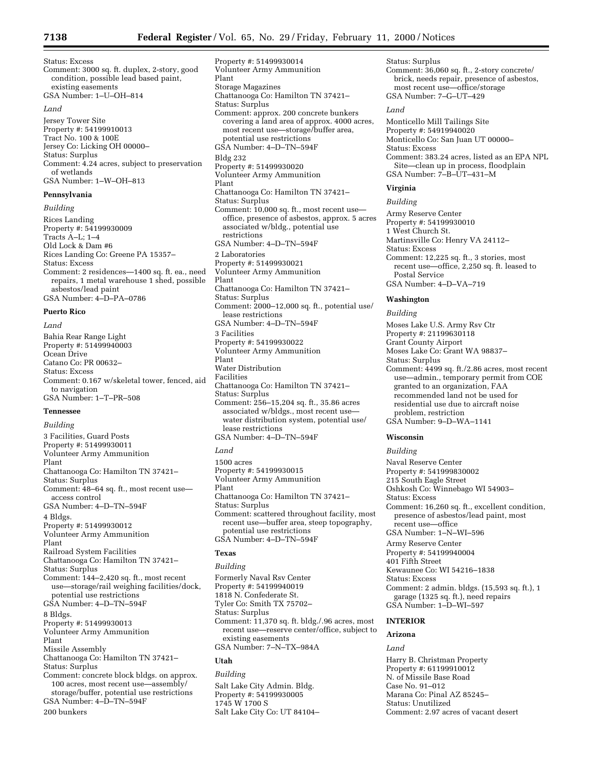Status: Excess Comment: 3000 sq. ft. duplex, 2-story, good condition, possible lead based paint, existing easements GSA Number: 1–U–OH–814 *Land* Jersey Tower Site Property #: 54199910013 Tract No. 100 & 100E Jersey Co: Licking OH 00000– Status: Surplus Comment: 4.24 acres, subject to preservation of wetlands

GSA Number: 1–W–OH–813

# **Pennsylvania**

*Building*

Rices Landing Property #: 54199930009 Tracts A–L; 1–4 Old Lock & Dam #6 Rices Landing Co: Greene PA 15357– Status: Excess Comment: 2 residences—1400 sq. ft. ea., need repairs, 1 metal warehouse 1 shed, possible asbestos/lead paint GSA Number: 4–D–PA–0786

# **Puerto Rico**

*Land*

Bahia Rear Range Light Property #: 51499940003 Ocean Drive Catano Co: PR 00632– Status: Excess Comment: 0.167 w/skeletal tower, fenced, aid to navigation GSA Number: 1–T–PR–508

# **Tennessee**

*Building*

3 Facilities, Guard Posts Property #: 51499930011 Volunteer Army Ammunition Plant Chattanooga Co: Hamilton TN 37421– Status: Surplus Comment: 48–64 sq. ft., most recent use access control GSA Number: 4–D–TN–594F 4 Bldgs. Property #: 51499930012 Volunteer Army Ammunition Plant Railroad System Facilities Chattanooga Co: Hamilton TN 37421– Status: Surplus Comment: 144–2,420 sq. ft., most recent use—storage/rail weighing facilities/dock, potential use restrictions GSA Number: 4–D–TN–594F 8 Bldgs. Property #: 51499930013 Volunteer Army Ammunition Plant Missile Assembly Chattanooga Co: Hamilton TN 37421– Status: Surplus Comment: concrete block bldgs. on approx. 100 acres, most recent use—assembly/ storage/buffer, potential use restrictions GSA Number: 4–D–TN–594F 200 bunkers

Property #: 51499930014 Volunteer Army Ammunition Plant Storage Magazines Chattanooga Co: Hamilton TN 37421– Status: Surplus Comment: approx. 200 concrete bunkers covering a land area of approx. 4000 acres, most recent use—storage/buffer area, potential use restrictions GSA Number: 4–D–TN–594F Bldg 232 Property #: 51499930020 Volunteer Army Ammunition Plant Chattanooga Co: Hamilton TN 37421– Status: Surplus Comment: 10,000 sq. ft., most recent use office, presence of asbestos, approx. 5 acres associated w/bldg., potential use restrictions GSA Number: 4–D–TN–594F 2 Laboratories Property #: 51499930021 Volunteer Army Ammunition Plant Chattanooga Co: Hamilton TN 37421– Status: Surplus Comment: 2000–12,000 sq. ft., potential use/ lease restrictions GSA Number: 4–D–TN–594F 3 Facilities Property #: 54199930022 Volunteer Army Ammunition Plant Water Distribution Facilities Chattanooga Co: Hamilton TN 37421– Status: Surplus Comment: 256–15,204 sq. ft., 35.86 acres associated w/bldgs., most recent use water distribution system, potential use/ lease restrictions GSA Number: 4–D–TN–594F *Land* 1500 acres Property #: 54199930015 Volunteer Army Ammunition

Plant Chattanooga Co: Hamilton TN 37421– Status: Surplus Comment: scattered throughout facility, most recent use—buffer area, steep topography, potential use restrictions GSA Number: 4–D–TN–594F

# **Texas**

*Building* Formerly Naval Rsv Center Property #: 54199940019 1818 N. Confederate St. Tyler Co: Smith TX 75702– Status: Surplus Comment: 11,370 sq. ft. bldg./.96 acres, most recent use—reserve center/office, subject to existing easements GSA Number: 7–N–TX–984A

# **Utah**

*Building*

Salt Lake City Admin. Bldg. Property #: 54199930005 1745 W 1700 S Salt Lake City Co: UT 84104–

most recent use—office/storage GSA Number: 7–G–UT–429 *Land* Monticello Mill Tailings Site Property #: 54919940020 Monticello Co: San Juan UT 00000– Status: Excess Comment: 383.24 acres, listed as an EPA NPL Site—clean up in process, floodplain GSA Number: 7–B–UT–431–M **Virginia** *Building* Army Reserve Center Property #: 54199930010 1 West Church St. Martinsville Co: Henry VA 24112– Status: Excess Comment: 12,225 sq. ft., 3 stories, most recent use—office, 2,250 sq. ft. leased to Postal Service GSA Number: 4–D–VA–719 **Washington** *Building* Moses Lake U.S. Army Rsv Ctr Property #: 21199630118 Grant County Airport Moses Lake Co: Grant WA 98837–

Comment: 36,060 sq. ft., 2-story concrete/ brick, needs repair, presence of asbestos,

Status: Surplus

Status: Surplus Comment: 4499 sq. ft./2.86 acres, most recent use—admin., temporary permit from COE granted to an organization, FAA recommended land not be used for residential use due to aircraft noise problem, restriction GSA Number: 9–D–WA–1141

# **Wisconsin**

*Building*

Naval Reserve Center Property #: 541999830002 215 South Eagle Street Oshkosh Co: Winnebago WI 54903– Status: Excess Comment: 16,260 sq. ft., excellent condition, presence of asbestos/lead paint, most recent use—office GSA Number: 1–N–WI–596 Army Reserve Center Property #: 54199940004 401 Fifth Street Kewaunee Co: WI 54216–1838 Status: Excess Comment: 2 admin. bldgs. (15,593 sq. ft.), 1 garage (1325 sq. ft.), need repairs GSA Number: 1–D–WI–597 **INTERIOR**

# **Arizona**

*Land*

Harry B. Christman Property Property #: 61199910012 N. of Missile Base Road Case No. 91–012 Marana Co: Pinal AZ 85245– Status: Unutilized Comment: 2.97 acres of vacant desert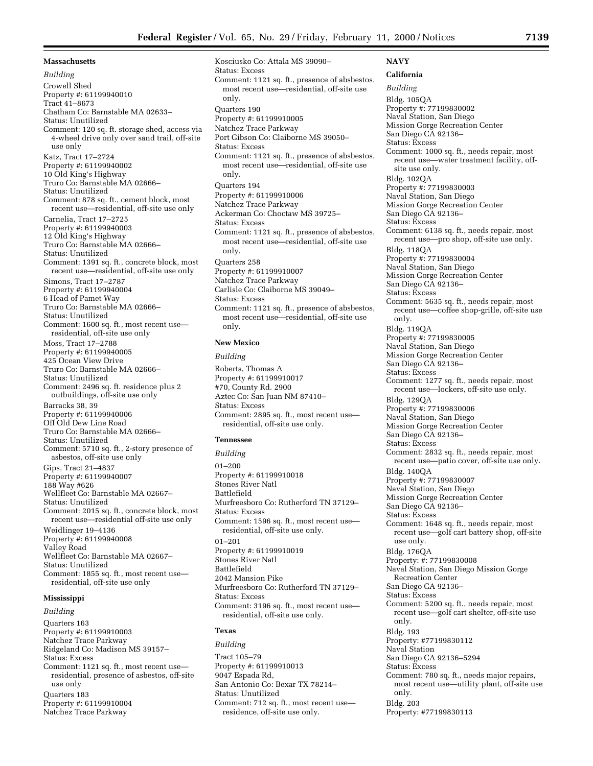**Massachusetts** *Building* Crowell Shed Property #: 61199940010 Tract 41–8673 Chatham Co: Barnstable MA 02633– Status: Unutilized Comment: 120 sq. ft. storage shed, access via 4-wheel drive only over sand trail, off-site use only Katz, Tract 17–2724 Property #: 61199940002 10 Old King's Highway Truro Co: Barnstable MA 02666– Status: Unutilized Comment: 878 sq. ft., cement block, most recent use—residential, off-site use only Carnelia, Tract 17–2725 Property #: 61199940003 12 Old King's Highway Truro Co: Barnstable MA 02666– Status: Unutilized Comment: 1391 sq. ft., concrete block, most recent use—residential, off-site use only Simons, Tract 17–2787 Property #: 61199940004 6 Head of Pamet Way Truro Co: Barnstable MA 02666– Status: Unutilized Comment: 1600 sq. ft., most recent use residential, off-site use only Moss, Tract 17–2788 Property #: 61199940005 425 Ocean View Drive Truro Co: Barnstable MA 02666– Status: Unutilized Comment: 2496 sq. ft. residence plus 2 outbuildings, off-site use only Barracks 38, 39 Property #: 61199940006 Off Old Dew Line Road Truro Co: Barnstable MA 02666– Status: Unutilized Comment: 5710 sq. ft., 2-story presence of asbestos, off-site use only Gips, Tract 21–4837 Property #: 61199940007 188 Way #626 Wellfleet Co: Barnstable MA 02667– Status: Unutilized Comment: 2015 sq. ft., concrete block, most recent use—residential off-site use only Weidlinger 19–4136 Property #: 61199940008 Valley Road Wellfleet Co: Barnstable MA 02667– Status: Unutilized Comment: 1855 sq. ft., most recent use residential, off-site use only

# **Mississippi**

#### *Building*

Quarters 163 Property #: 61199910003 Natchez Trace Parkway Ridgeland Co: Madison MS 39157– Status: Excess Comment: 1121 sq. ft., most recent use residential, presence of asbestos, off-site use only Quarters 183 Property #: 61199910004 Natchez Trace Parkway

Kosciusko Co: Attala MS 39090– Status: Excess Comment: 1121 sq. ft., presence of absbestos, most recent use—residential, off-site use only. Quarters 190 Property #: 61199910005 Natchez Trace Parkway Port Gibson Co: Claiborne MS 39050– Status: Excess Comment: 1121 sq. ft., presence of absbestos, most recent use—residential, off-site use only. Quarters 194 Property #: 61199910006 Natchez Trace Parkway Ackerman Co: Choctaw MS 39725– Status: Excess Comment: 1121 sq. ft., presence of absbestos, most recent use—residential, off-site use only. Quarters 258 Property #: 61199910007 Natchez Trace Parkway Carlisle Co: Claiborne MS 39049– Status: Excess Comment: 1121 sq. ft., presence of absbestos, most recent use—residential, off-site use only.

#### **New Mexico**

*Building* Roberts, Thomas A Property #: 61199910017 #70, County Rd. 2900 Aztec Co: San Juan NM 87410– Status: Excess Comment: 2895 sq. ft., most recent use residential, off-site use only.

# **Tennessee**

*Building* 01–200 Property #: 61199910018 Stones River Natl Battlefield Murfreesboro Co: Rutherford TN 37129– Status: Excess Comment: 1596 sq. ft., most recent use residential, off-site use only. 01–201 Property #: 61199910019 Stones River Natl Battlefield 2042 Mansion Pike Murfreesboro Co: Rutherford TN 37129– Status: Excess Comment: 3196 sq. ft., most recent use residential, off-site use only.

# **Texas**

*Building* Tract 105–79 Property #: 61199910013 9047 Espada Rd, San Antonio Co: Bexar TX 78214– Status: Unutilized Comment: 712 sq. ft., most recent use residence, off-site use only.

# **NAVY**

**California**

*Building* Bldg. 105QA Property #: 77199830002 Naval Station, San Diego Mission Gorge Recreation Center San Diego CA 92136– Status: Excess Comment: 1000 sq. ft., needs repair, most recent use—water treatment facility, offsite use only. Bldg. 102QA Property #: 77199830003 Naval Station, San Diego Mission Gorge Recreation Center San Diego CA 92136– Status: Excess Comment: 6138 sq. ft., needs repair, most recent use—pro shop, off-site use only. Bldg. 118QA Property #: 77199830004 Naval Station, San Diego Mission Gorge Recreation Center San Diego CA 92136-Status: Excess Comment: 5635 sq. ft., needs repair, most recent use—coffee shop-grille, off-site use only. Bldg. 119QA Property #: 77199830005 Naval Station, San Diego Mission Gorge Recreation Center San Diego CA 92136– Status: Excess Comment: 1277 sq. ft., needs repair, most recent use—lockers, off-site use only. Bldg. 129QA Property #: 77199830006 Naval Station, San Diego Mission Gorge Recreation Center San Diego CA 92136– Status: Excess Comment: 2832 sq. ft., needs repair, most recent use—patio cover, off-site use only. Bldg. 140QA Property #: 77199830007 Naval Station, San Diego Mission Gorge Recreation Center San Diego CA 92136– Status: Excess Comment: 1648 sq. ft., needs repair, most recent use—golf cart battery shop, off-site use only. Bldg. 176QA Property: #: 77199830008 Naval Station, San Diego Mission Gorge Recreation Center San Diego CA 92136– Status: Excess Comment: 5200 sq. ft., needs repair, most recent use—golf cart shelter, off-site use only. Bldg. 193 Property: #77199830112 Naval Station San Diego CA 92136–5294 Status: Excess Comment: 780 sq. ft., needs major repairs, most recent use—utility plant, off-site use only. Bldg. 203 Property: #77199830113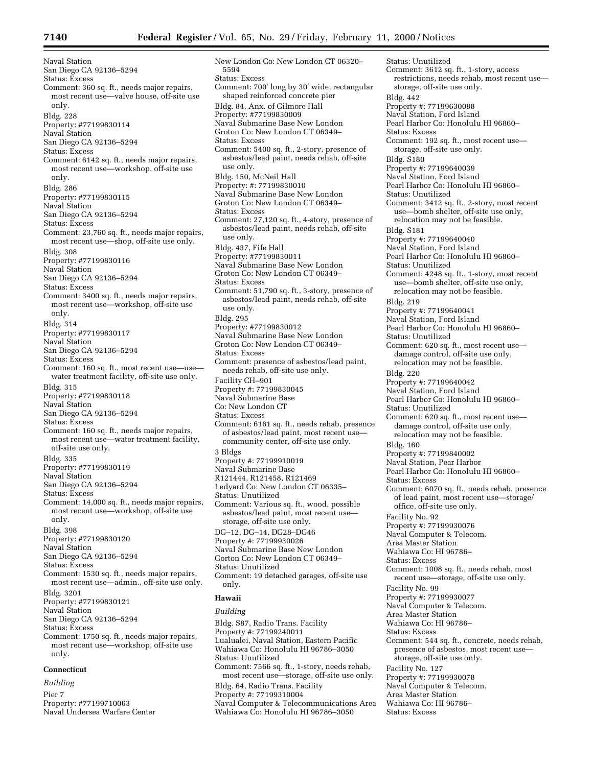Naval Station San Diego CA 92136–5294 Status: Excess Comment: 360 sq. ft., needs major repairs, most recent use—valve house, off-site use only. Bldg. 228 Property: #77199830114 Naval Station San Diego CA 92136–5294 Status: Excess Comment: 6142 sq. ft., needs major repairs, most recent use—workshop, off-site use only. Bldg. 286 Property: #77199830115 Naval Station San Diego CA 92136–5294 Status: Excess Comment: 23,760 sq. ft., needs major repairs, most recent use—shop, off-site use only. Bldg. 308 Property: #77199830116 Naval Station San Diego CA 92136–5294 Status: Excess Comment: 3400 sq. ft., needs major repairs, most recent use—workshop, off-site use only. Bldg. 314 Property: #77199830117 Naval Station San Diego CA 92136–5294 Status: Excess Comment: 160 sq. ft., most recent use—use water treatment facility, off-site use only. Bldg. 315 Property: #77199830118 Naval Station San Diego CA 92136–5294 Status: Excess Comment: 160 sq. ft., needs major repairs, most recent use—water treatment facility, off-site use only. Bldg. 335 Property: #77199830119 Naval Station San Diego CA 92136–5294 Status: Excess Comment: 14,000 sq. ft., needs major repairs, most recent use—workshop, off-site use only. Bldg. 398 Property: #77199830120 Naval Station San Diego CA 92136–5294 Status: Excess Comment: 1530 sq. ft., needs major repairs, most recent use—admin., off-site use only. Bldg. 3201 Property: #77199830121 Naval Station San Diego CA 92136–5294 Status: Excess Comment: 1750 sq. ft., needs major repairs, most recent use—workshop, off-site use only. **Connecticut**

*Building* Pier 7 Property: #77199710063 Naval Undersea Warfare Center

New London Co: New London CT 06320– 5594 Status: Excess Comment: 700′ long by 30′ wide, rectangular shaped reinforced concrete pier Bldg. 84, Anx. of Gilmore Hall Property: #77199830009 Naval Submarine Base New London Groton Co: New London CT 06349– Status: Excess Comment: 5400 sq. ft., 2-story, presence of asbestos/lead paint, needs rehab, off-site use only. Bldg. 150, McNeil Hall Property: #: 77199830010 Naval Submarine Base New London Groton Co: New London CT 06349– Status: Excess Comment: 27,120 sq. ft., 4-story, presence of asbestos/lead paint, needs rehab, off-site use only. Bldg. 437, Fife Hall Property: #77199830011 Naval Submarine Base New London Groton Co: New London CT 06349– Status: Excess Comment: 51,790 sq. ft., 3-story, presence of asbestos/lead paint, needs rehab, off-site use only. Bldg. 295 Property: #77199830012 Naval Submarine Base New London Groton Co: New London CT 06349– Status: Excess Comment: presence of asbestos/lead paint, needs rehab, off-site use only. Facility CH–901 Property #: 77199830045 Naval Submarine Base Co: New London CT Status: Excess Comment: 6161 sq. ft., needs rehab, presence of asbestos/lead paint, most recent use community center, off-site use only. 3 Bldgs Property #: 77199910019 Naval Submarine Base R121444, R121458, R121469 Ledyard Co: New London CT 06335– Status: Unutilized Comment: Various sq. ft., wood, possible asbestos/lead paint, most recent use storage, off-site use only. DG–12, DG–14, DG28–DG46 Property #: 77199930026 Naval Submarine Base New London Gorton Co: New London CT 06349– Status: Unutilized Comment: 19 detached garages, off-site use only. **Hawaii**

# *Building*

Bldg. S87, Radio Trans. Facility Property #: 77199240011 Lualualei, Naval Station, Eastern Pacific Wahiawa Co: Honolulu HI 96786–3050 Status: Unutilized Comment: 7566 sq. ft., 1-story, needs rehab, most recent use—storage, off-site use only. Bldg. 64, Radio Trans. Facility Property #: 77199310004 Naval Computer & Telecommunications Area Wahiawa Co: Honolulu HI 96786–3050

Status: Unutilized Comment: 3612 sq. ft., 1-story, access restrictions, needs rehab, most recent use storage, off-site use only. Bldg. 442 Property #: 77199630088 Naval Station, Ford Island Pearl Harbor Co: Honolulu HI 96860– Status: Excess Comment: 192 sq. ft., most recent use storage, off-site use only. Bldg. S180 Property #: 77199640039 Naval Station, Ford Island Pearl Harbor Co: Honolulu HI 96860– Status: Unutilized Comment: 3412 sq. ft., 2-story, most recent use—bomb shelter, off-site use only, relocation may not be feasible. Bldg. S181 Property #: 77199640040 Naval Station, Ford Island Pearl Harbor Co: Honolulu HI 96860– Status: Unutilized Comment: 4248 sq. ft., 1-story, most recent use—bomb shelter, off-site use only, relocation may not be feasible. Bldg. 219 Property #: 77199640041 Naval Station, Ford Island Pearl Harbor Co: Honolulu HI 96860– Status: Unutilized Comment: 620 sq. ft., most recent use damage control, off-site use only, relocation may not be feasible. Bldg. 220 Property #: 77199640042 Naval Station, Ford Island Pearl Harbor Co: Honolulu HI 96860– Status: Unutilized Comment: 620 sq. ft., most recent use damage control, off-site use only, relocation may not be feasible. Bldg. 160 Property #: 77199840002 Naval Station, Pear Harbor Pearl Harbor Co: Honolulu HI 96860– Status: Excess Comment: 6070 sq. ft., needs rehab, presence of lead paint, most recent use—storage/ office, off-site use only. Facility No. 92 Property #: 77199930076 Naval Computer & Telecom. Area Master Station Wahiawa Co: HI 96786– Status: Excess Comment: 1008 sq. ft., needs rehab, most recent use—storage, off-site use only. Facility No. 99 Property #: 77199930077 Naval Computer & Telecom. Area Master Station Wahiawa Co: HI 96786– Status: Excess Comment: 544 sq. ft., concrete, needs rehab, presence of asbestos, most recent use storage, off-site use only. Facility No. 127 Property #: 77199930078 Naval Computer & Telecom. Area Master Station Wahiawa Co: HI 96786– Status: Excess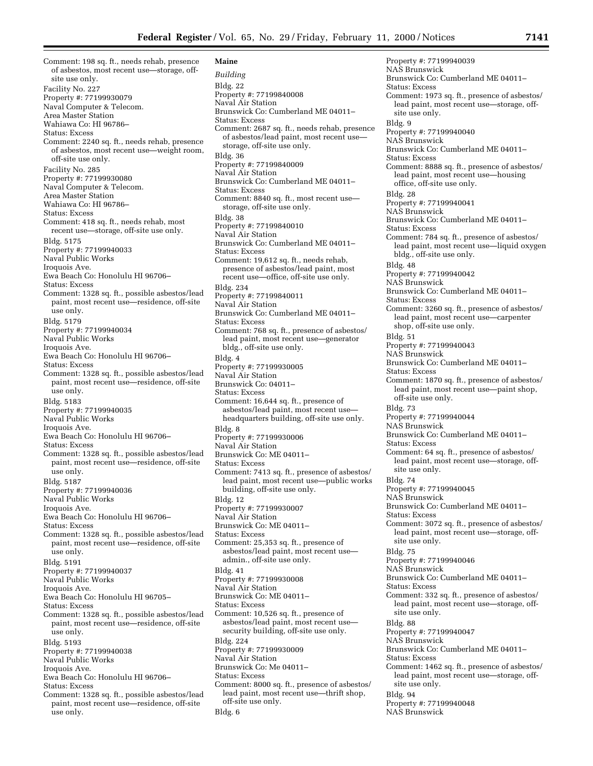Comment: 198 sq. ft., needs rehab, presence of asbestos, most recent use—storage, offsite use only. Facility No. 227 Property #: 77199930079 Naval Computer & Telecom. Area Master Station Wahiawa Co: HI 96786– Status: Excess Comment: 2240 sq. ft., needs rehab, presence of asbestos, most recent use—weight room, off-site use only. Facility No. 285 Property #: 77199930080 Naval Computer & Telecom. Area Master Station Wahiawa Co: HI 96786– Status: Excess Comment: 418 sq. ft., needs rehab, most recent use—storage, off-site use only. Bldg. 5175 Property #: 77199940033 Naval Public Works Iroquois Ave. Ewa Beach Co: Honolulu HI 96706– Status: Excess Comment: 1328 sq. ft., possible asbestos/lead paint, most recent use—residence, off-site use only. Bldg. 5179 Property #: 77199940034 Naval Public Works Iroquois Ave. Ewa Beach Co: Honolulu HI 96706– Status: Excess Comment: 1328 sq. ft., possible asbestos/lead paint, most recent use—residence, off-site use only. Bldg. 5183 Property #: 77199940035 Naval Public Works Iroquois Ave. Ewa Beach Co: Honolulu HI 96706– Status: Excess Comment: 1328 sq. ft., possible asbestos/lead paint, most recent use—residence, off-site use only. Bldg. 5187 Property #: 77199940036 Naval Public Works Iroquois Ave. Ewa Beach Co: Honolulu HI 96706– Status: Excess Comment: 1328 sq. ft., possible asbestos/lead paint, most recent use—residence, off-site use only. Bldg. 5191 Property #: 77199940037 Naval Public Works Iroquois Ave. Ewa Beach Co: Honolulu HI 96705– Status: Excess Comment: 1328 sq. ft., possible asbestos/lead paint, most recent use—residence, off-site use only. Bldg. 5193 Property #: 77199940038 Naval Public Works Iroquois Ave. Ewa Beach Co: Honolulu HI 96706– Status: Excess Comment: 1328 sq. ft., possible asbestos/lead paint, most recent use—residence, off-site use only.

**Maine** *Building* Bldg. 22 Property #: 77199840008 Naval Air Station Brunswick Co: Cumberland ME 04011– Status: Excess Comment: 2687 sq. ft., needs rehab, presence of asbestos/lead paint, most recent usestorage, off-site use only. Bldg. 36 Property #: 77199840009 Naval Air Station Brunswick Co: Cumberland ME 04011– Status: Excess Comment: 8840 sq. ft., most recent use storage, off-site use only. Bldg. 38 Property #: 77199840010 Naval Air Station Brunswick Co: Cumberland ME 04011– Status: Excess Comment: 19,612 sq. ft., needs rehab, presence of asbestos/lead paint, most recent use—office, off-site use only. Bldg. 234 Property #: 77199840011 Naval Air Station Brunswick Co: Cumberland ME 04011– Status: Excess Comment: 768 sq. ft., presence of asbestos/ lead paint, most recent use—generator bldg., off-site use only. Bldg. 4 Property #: 77199930005 Naval Air Station Brunswick Co: 04011– Status: Excess Comment: 16,644 sq. ft., presence of asbestos/lead paint, most recent use headquarters building, off-site use only. Bldg. 8 Property #: 77199930006 Naval Air Station Brunswick Co: ME 04011– Status: Excess Comment: 7413 sq. ft., presence of asbestos/ lead paint, most recent use—public works building, off-site use only. Bldg. 12 Property #: 77199930007 Naval Air Station Brunswick Co: ME 04011– Status: Excess Comment: 25,353 sq. ft., presence of asbestos/lead paint, most recent use admin., off-site use only. Bldg. 41 Property #: 77199930008 Naval Air Station Brunswick Co: ME 04011– Status: Excess Comment: 10,526 sq. ft., presence of asbestos/lead paint, most recent use security building, off-site use only. Bldg. 224 Property #: 77199930009 Naval Air Station Brunswick Co: Me 04011– Status: Excess Comment: 8000 sq. ft., presence of asbestos/ lead paint, most recent use—thrift shop, off-site use only. Bldg. 6

Property #: 77199940039 NAS Brunswick Brunswick Co: Cumberland ME 04011– Status: Excess Comment: 1973 sq. ft., presence of asbestos/ lead paint, most recent use—storage, offsite use only. Bldg. 9 Property #: 77199940040 NAS Brunswick Brunswick Co: Cumberland ME 04011– Status: Excess Comment: 8888 sq. ft., presence of asbestos/ lead paint, most recent use—housing office, off-site use only. Bldg. 28 Property #: 77199940041 NAS Brunswick Brunswick Co: Cumberland ME 04011– Status: Excess Comment: 784 sq. ft., presence of asbestos/ lead paint, most recent use—liquid oxygen bldg., off-site use only. Bldg. 48 Property #: 77199940042 NAS Brunswick Brunswick Co: Cumberland ME 04011– Status: Excess Comment: 3260 sq. ft., presence of asbestos/ lead paint, most recent use—carpenter shop, off-site use only. Bldg. 51 Property #: 77199940043 NAS Brunswick Brunswick Co: Cumberland ME 04011– Status: Excess Comment: 1870 sq. ft., presence of asbestos/ lead paint, most recent use—paint shop, off-site use only. Bldg. 73 Property #: 77199940044 NAS Brunswick Brunswick Co: Cumberland ME 04011– Status: Excess Comment: 64 sq. ft., presence of asbestos/ lead paint, most recent use—storage, offsite use only. Bldg. 74 Property #: 77199940045 NAS Brunswick Brunswick Co: Cumberland ME 04011– Status: Excess Comment: 3072 sq. ft., presence of asbestos/ lead paint, most recent use—storage, offsite use only. Bldg. 75 Property #: 77199940046 NAS Brunswick Brunswick Co: Cumberland ME 04011– Status: Excess Comment: 332 sq. ft., presence of asbestos/ lead paint, most recent use—storage, offsite use only. Bldg. 88 Property #: 77199940047 NAS Brunswick Brunswick Co: Cumberland ME 04011– Status: Excess Comment: 1462 sq. ft., presence of asbestos/ lead paint, most recent use—storage, offsite use only. Bldg. 94 Property #: 77199940048 NAS Brunswick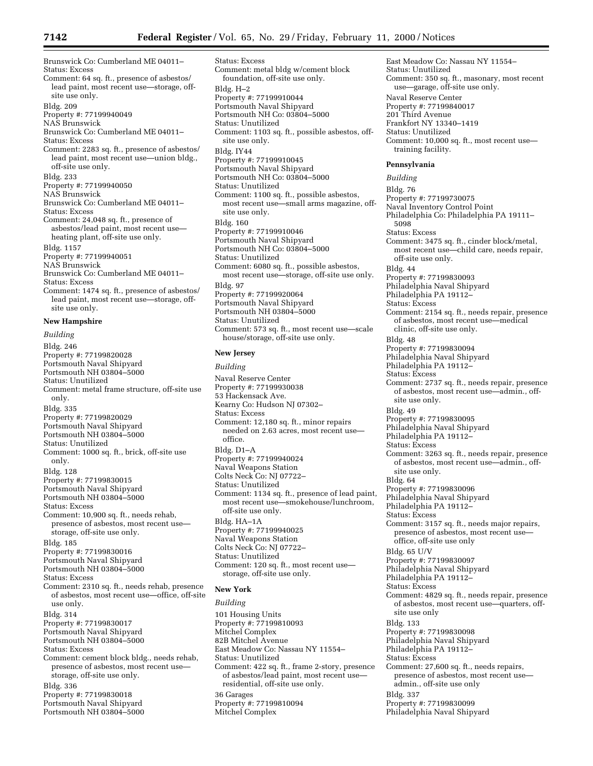Brunswick Co: Cumberland ME 04011– Status: Excess Comment: 64 sq. ft., presence of asbestos/ lead paint, most recent use—storage, offsite use only. Bldg. 209 Property #: 77199940049 NAS Brunswick Brunswick Co: Cumberland ME 04011– Status: Excess Comment: 2283 sq. ft., presence of asbestos/ lead paint, most recent use—union bldg., off-site use only. Bldg. 233 Property #: 77199940050 NAS Brunswick Brunswick Co: Cumberland ME 04011– Status: Excess Comment: 24,048 sq. ft., presence of asbestos/lead paint, most recent use heating plant, off-site use only. Bldg. 1157 Property #: 77199940051 NAS Brunswick Brunswick Co: Cumberland ME 04011– Status: Excess Comment: 1474 sq. ft., presence of asbestos/ lead paint, most recent use—storage, offsite use only. **New Hampshire** *Building* Bldg. 246 Property #: 77199820028 Portsmouth Naval Shipyard Portsmouth NH 03804–5000 Status: Unutilized Comment: metal frame structure, off-site use only. Bldg. 335 Property #: 77199820029 Portsmouth Naval Shipyard Portsmouth NH 03804–5000 Status: Unutilized Comment: 1000 sq. ft., brick, off-site use only. Bldg. 128 Property #: 77199830015 Portsmouth Naval Shipyard Portsmouth NH 03804–5000 Status: Excess Comment: 10,900 sq. ft., needs rehab, presence of asbestos, most recent use storage, off-site use only. Bldg. 185

Property #: 77199830016 Portsmouth Naval Shipyard Portsmouth NH 03804–5000

Status: Excess

Comment: 2310 sq. ft., needs rehab, presence of asbestos, most recent use—office, off-site use only. Bldg. 314 Property #: 77199830017 Portsmouth Naval Shipyard Portsmouth NH 03804–5000

Status: Excess

Comment: cement block bldg., needs rehab, presence of asbestos, most recent use storage, off-site use only. Bldg. 336 Property #: 77199830018

Portsmouth Naval Shipyard

Portsmouth NH 03804–5000

Status: Excess Comment: metal bldg w/cement block foundation, off-site use only. Bldg. H–2 Property #: 77199910044 Portsmouth Naval Shipyard Portsmouth NH Co: 03804–5000 Status: Unutilized Comment: 1103 sq. ft., possible asbestos, offsite use only. Bldg. IY44 Property #: 77199910045 Portsmouth Naval Shipyard Portsmouth NH Co: 03804–5000 Status: Unutilized Comment: 1100 sq. ft., possible asbestos, most recent use—small arms magazine, offsite use only. Bldg. 160 Property #: 77199910046 Portsmouth Naval Shipyard Portsmouth NH Co: 03804–5000 Status: Unutilized Comment: 6080 sq. ft., possible asbestos, most recent use—storage, off-site use only. Bldg. 97 Property #: 77199920064 Portsmouth Naval Shipyard Portsmouth NH 03804–5000 Status: Unutilized Comment: 573 sq. ft., most recent use—scale house/storage, off-site use only. **New Jersey**

*Building* Naval Reserve Center Property #: 77199930038 53 Hackensack Ave. Kearny Co: Hudson NJ 07302– Status: Excess Comment: 12,180 sq. ft., minor repairs needed on 2.63 acres, most recent use office. Bldg. D1–A Property #: 77199940024 Naval Weapons Station Colts Neck Co: NJ 07722– Status: Unutilized Comment: 1134 sq. ft., presence of lead paint, most recent use—smokehouse/lunchroom, off-site use only. Bldg. HA–1A Property #: 77199940025 Naval Weapons Station Colts Neck Co: NJ 07722– Status: Unutilized Comment: 120 sq. ft., most recent use storage, off-site use only.

# **New York**

*Building* 101 Housing Units Property #: 77199810093 Mitchel Complex 82B Mitchel Avenue East Meadow Co: Nassau NY 11554– Status: Unutilized Comment: 422 sq. ft., frame 2-story, presence of asbestos/lead paint, most recent use residential, off-site use only. 36 Garages Property #: 77199810094 Mitchel Complex

East Meadow Co: Nassau NY 11554– Status: Unutilized Comment: 350 sq. ft., masonary, most recent use—garage, off-site use only. Naval Reserve Center Property #: 77199840017 201 Third Avenue Frankfort NY 13340–1419 Status: Unutilized Comment: 10,000 sq. ft., most recent use training facility.

#### **Pennsylvania**

#### *Building*

Bldg. 76 Property #: 77199730075 Naval Inventory Control Point Philadelphia Co: Philadelphia PA 19111– 5098 Status: Excess Comment: 3475 sq. ft., cinder block/metal, most recent use—child care, needs repair, off-site use only. Bldg. 44 Property #: 77199830093 Philadelphia Naval Shipyard Philadelphia PA 19112-Status: Excess Comment: 2154 sq. ft., needs repair, presence of asbestos, most recent use—medical clinic, off-site use only. Bldg. 48 Property #: 77199830094 Philadelphia Naval Shipyard Philadelphia PA 19112-Status: Excess Comment: 2737 sq. ft., needs repair, presence of asbestos, most recent use—admin., offsite use only. Bldg. 49 Property #: 77199830095 Philadelphia Naval Shipyard Philadelphia PA 19112-Status: Excess Comment: 3263 sq. ft., needs repair, presence of asbestos, most recent use—admin., offsite use only. Bldg. 64 Property #: 77199830096 Philadelphia Naval Shipyard Philadelphia PA 19112-Status: Excess Comment: 3157 sq. ft., needs major repairs, presence of asbestos, most recent use office, off-site use only Bldg. 65 U/V Property #: 77199830097 Philadelphia Naval Shipyard Philadelphia PA 19112-Status: Excess Comment: 4829 sq. ft., needs repair, presence of asbestos, most recent use—quarters, offsite use only Bldg. 133 Property #: 77199830098 Philadelphia Naval Shipyard Philadelphia PA 19112– Status: Excess Comment: 27,600 sq. ft., needs repairs, presence of asbestos, most recent use admin., off-site use only Bldg. 337 Property #: 77199830099 Philadelphia Naval Shipyard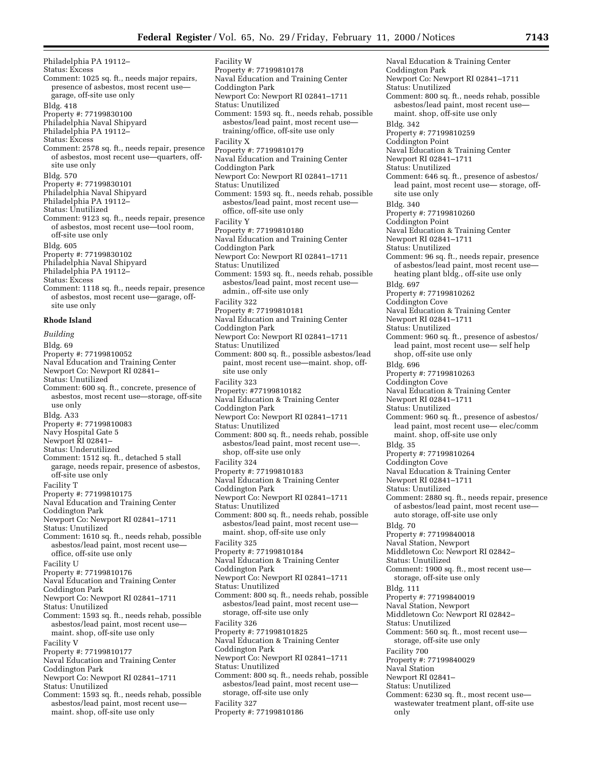Philadelphia PA 19112– Status: Excess Comment: 1025 sq. ft., needs major repairs, presence of asbestos, most recent use garage, off-site use only Bldg. 418 Property #: 77199830100 Philadelphia Naval Shipyard Philadelphia PA 19112– Status: Excess Comment: 2578 sq. ft., needs repair, presence of asbestos, most recent use—quarters, offsite use only Bldg. 570 Property #: 77199830101 Philadelphia Naval Shipyard Philadelphia PA 19112-Status: Unutilized Comment: 9123 sq. ft., needs repair, presence of asbestos, most recent use—tool room, off-site use only Bldg. 605 Property #: 77199830102 Philadelphia Naval Shipyard Philadelphia PA 19112– Status: Excess Comment: 1118 sq. ft., needs repair, presence of asbestos, most recent use—garage, offsite use only **Rhode Island** *Building* Bldg. 69 Property #: 77199810052 Naval Education and Training Center Newport Co: Newport RI 02841– Status: Unutilized Comment: 600 sq. ft., concrete, presence of asbestos, most recent use—storage, off-site

- use only Bldg. A33 Property #: 77199810083 Navy Hospital Gate 5
- Newport RI 02841–
- Status: Underutilized
- Comment: 1512 sq. ft., detached 5 stall garage, needs repair, presence of asbestos, off-site use only
- Facility T
- Property #: 77199810175 Naval Education and Training Center
- Coddington Park
- Newport Co: Newport RI 02841–1711
- Status: Unutilized
- Comment: 1610 sq. ft., needs rehab, possible asbestos/lead paint, most recent use office, off-site use only
- Facility U
- Property #: 77199810176
- Naval Education and Training Center
- Coddington Park
- Newport Co: Newport RI 02841–1711
- Status: Unutilized
- Comment: 1593 sq. ft., needs rehab, possible asbestos/lead paint, most recent use maint. shop, off-site use only
- Facility V
- Property #: 77199810177
- Naval Education and Training Center Coddington Park
- Newport Co: Newport RI 02841–1711
- Status: Unutilized
- Comment: 1593 sq. ft., needs rehab, possible asbestos/lead paint, most recent use maint. shop, off-site use only

Facility W Property #: 77199810178 Naval Education and Training Center Coddington Park Newport Co: Newport RI 02841–1711 Status: Unutilized Comment: 1593 sq. ft., needs rehab, possible asbestos/lead paint, most recent use training/office, off-site use only Facility X Property #: 77199810179 Naval Education and Training Center Coddington Park Newport Co: Newport RI 02841–1711 Status: Unutilized Comment: 1593 sq. ft., needs rehab, possible asbestos/lead paint, most recent use office, off-site use only Facility Y Property #: 77199810180 Naval Education and Training Center Coddington Park Newport Co: Newport RI 02841–1711 Status: Unutilized Comment: 1593 sq. ft., needs rehab, possible asbestos/lead paint, most recent use admin., off-site use only Facility 322 Property #: 77199810181 Naval Education and Training Center Coddington Park Newport Co: Newport RI 02841–1711 Status: Unutilized Comment: 800 sq. ft., possible asbestos/lead paint, most recent use—maint. shop, offsite use only Facility 323 Property: #77199810182 Naval Education & Training Center Coddington Park Newport Co: Newport RI 02841–1711 Status: Unutilized Comment: 800 sq. ft., needs rehab, possible asbestos/lead paint, most recent use—. shop, off-site use only Facility 324 Property #: 77199810183 Naval Education & Training Center Coddington Park Newport Co: Newport RI 02841–1711 Status: Unutilized Comment: 800 sq. ft., needs rehab, possible asbestos/lead paint, most recent use maint. shop, off-site use only Facility 325 Property #: 77199810184 Naval Education & Training Center Coddington Park Newport Co: Newport RI 02841–1711 Status: Unutilized Comment: 800 sq. ft., needs rehab, possible asbestos/lead paint, most recent use storage, off-site use only Facility 326 Property #: 771998101825 Naval Education & Training Center Coddington Park Newport Co: Newport RI 02841–1711 Status: Unutilized Comment: 800 sq. ft., needs rehab, possible asbestos/lead paint, most recent use storage, off-site use only Facility 327 Property #: 77199810186

Naval Education & Training Center Coddington Park Newport Co: Newport RI 02841–1711 Status: Unutilized Comment: 800 sq. ft., needs rehab, possible asbestos/lead paint, most recent use maint. shop, off-site use only Bldg. 342 Property #: 77199810259 Coddington Point Naval Education & Training Center Newport RI 02841–1711 Status: Unutilized Comment: 646 sq. ft., presence of asbestos/ lead paint, most recent use— storage, offsite use only Bldg. 340 Property #: 77199810260 Coddington Point Naval Education & Training Center Newport RI 02841–1711 Status: Unutilized Comment: 96 sq. ft., needs repair, presence of asbestos/lead paint, most recent use heating plant bldg., off-site use only Bldg. 697 Property #: 77199810262 Coddington Cove Naval Education & Training Center Newport RI 02841–1711 Status: Unutilized Comment: 960 sq. ft., presence of asbestos/ lead paint, most recent use— self help shop, off-site use only Bldg. 696 Property #: 77199810263 Coddington Cove Naval Education & Training Center Newport RI 02841–1711 Status: Unutilized Comment: 960 sq. ft., presence of asbestos/ lead paint, most recent use— elec/comm maint. shop, off-site use only Bldg. 35 Property #: 77199810264 Coddington Cove Naval Education & Training Center Newport RI 02841–1711 Status: Unutilized Comment: 2880 sq. ft., needs repair, presence of asbestos/lead paint, most recent use auto storage, off-site use only Bldg. 70 Property #: 77199840018 Naval Station, Newport Middletown Co: Newport RI 02842– Status: Unutilized Comment: 1900 sq. ft., most recent use storage, off-site use only Bldg. 111 Property #: 77199840019 Naval Station, Newport Middletown Co: Newport RI 02842– Status: Unutilized Comment: 560 sq. ft., most recent use storage, off-site use only Facility 700 Property #: 77199840029 Naval Station Newport RI 02841– Status: Unutilized Comment: 6230 sq. ft., most recent use wastewater treatment plant, off-site use only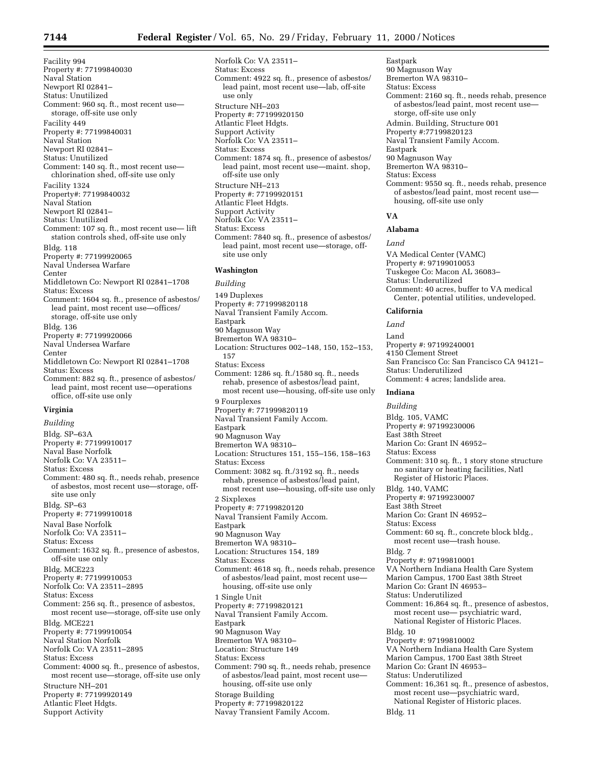Facility 994 Property #: 77199840030 Naval Station Newport RI 02841– Status: Unutilized Comment: 960 sq. ft., most recent use storage, off-site use only Facility 449 Property #: 77199840031 Naval Station Newport RI 02841– Status: Unutilized Comment: 140 sq. ft., most recent use chlorination shed, off-site use only Facility 1324 Property#: 77199840032 Naval Station Newport RI 02841– Status: Unutilized Comment: 107 sq. ft., most recent use— lift station controls shed, off-site use only Bldg. 118 Property #: 77199920065 Naval Undersea Warfare Center Middletown Co: Newport RI 02841–1708 Status: Excess Comment: 1604 sq. ft., presence of asbestos/ lead paint, most recent use—offices/ storage, off-site use only Bldg. 136 Property #: 77199920066 Naval Undersea Warfare Center Middletown Co: Newport RI 02841–1708 Status: Excess Comment: 882 sq. ft., presence of asbestos/ lead paint, most recent use—operations office, off-site use only **Virginia**

*Building* Bldg. SP–63A Property #: 77199910017 Naval Base Norfolk Norfolk Co: VA 23511– Status: Excess Comment: 480 sq. ft., needs rehab, presence of asbestos, most recent use—storage, offsite use only Bldg. SP–63 Property #: 77199910018 Naval Base Norfolk Norfolk Co: VA 23511– Status: Excess Comment: 1632 sq. ft., presence of asbestos, off-site use only Bldg. MCE223 Property #: 77199910053 Norfolk Co: VA 23511–2895 Status: Excess Comment: 256 sq. ft., presence of asbestos, most recent use—storage, off-site use only Bldg. MCE221 Property #: 77199910054 Naval Station Norfolk Norfolk Co: VA 23511–2895 Status: Excess Comment: 4000 sq. ft., presence of asbestos, most recent use—storage, off-site use only Structure NH–201 Property #: 77199920149 Atlantic Fleet Hdgts. Support Activity

Norfolk Co: VA 23511– Status: Excess Comment: 4922 sq. ft., presence of asbestos/ lead paint, most recent use—lab, off-site use only Structure NH–203 Property #: 77199920150 Atlantic Fleet Hdgts. Support Activity Norfolk Co: VA 23511– Status: Excess Comment: 1874 sq. ft., presence of asbestos/ lead paint, most recent use—maint. shop, off-site use only Structure NH–213 Property #: 77199920151 Atlantic Fleet Hdgts. Support Activity Norfolk Co: VA 23511– Status: Excess Comment: 7840 sq. ft., presence of asbestos/ lead paint, most recent use—storage, offsite use only

# **Washington**

*Building* 149 Duplexes Property #: 771999820118 Naval Transient Family Accom. Eastpark 90 Magnuson Way Bremerton WA 98310– Location: Structures 002–148, 150, 152–153, 157 Status: Excess Comment: 1286 sq. ft./1580 sq. ft., needs rehab, presence of asbestos/lead paint, most recent use—housing, off-site use only 9 Fourplexes Property #: 771999820119 Naval Transient Family Accom. Eastpark 90 Magnuson Way Bremerton WA 98310– Location: Structures 151, 155–156, 158–163 Status: Excess Comment: 3082 sq. ft./3192 sq. ft., needs rehab, presence of asbestos/lead paint, most recent use—housing, off-site use only 2 Sixplexes Property #: 77199820120 Naval Transient Family Accom. Eastpark 90 Magnuson Way Bremerton WA 98310– Location: Structures 154, 189 Status: Excess Comment: 4618 sq. ft., needs rehab, presence of asbestos/lead paint, most recent use housing, off-site use only 1 Single Unit Property #: 77199820121 Naval Transient Family Accom. Eastpark 90 Magnuson Way Bremerton WA 98310– Location: Structure 149 Status: Excess Comment: 790 sq. ft., needs rehab, presence of asbestos/lead paint, most recent use housing, off-site use only Storage Building Property #: 77199820122 Navay Transient Family Accom.

Eastpark 90 Magnuson Way Bremerton WA 98310– Status: Excess Comment: 2160 sq. ft., needs rehab, presence of asbestos/lead paint, most recent use storge, off-site use only Admin. Building, Structure 001 Property #:77199820123 Naval Transient Family Accom. Eastpark 90 Magnuson Way Bremerton WA 98310– Status: Excess Comment: 9550 sq. ft., needs rehab, presence of asbestos/lead paint, most recent use housing, off-site use only

# **VA**

# **Alabama**

*Land*

VA Medical Center (VAMC) Property #: 97199010053 Tuskegee Co: Macon AL 36083– Status: Underutilized Comment: 40 acres, buffer to VA medical Center, potential utilities, undeveloped.

#### **California**

*Land*

Land Property #: 97199240001 4150 Clement Street San Francisco Co: San Francisco CA 94121– Status: Underutilized Comment: 4 acres; landslide area.

# **Indiana**

*Building* Bldg. 105, VAMC Property #: 97199230006 East 38th Street Marion Co: Grant IN 46952– Status: Excess Comment: 310 sq. ft., 1 story stone structure no sanitary or heating facilities, Natl Register of Historic Places. Bldg. 140, VAMC Property #: 97199230007 East 38th Street Marion Co: Grant IN 46952– Status: Excess Comment: 60 sq. ft., concrete block bldg., most recent use—trash house. Bldg. 7 Property #: 97199810001 VA Northern Indiana Health Care System Marion Campus, 1700 East 38th Street Marion Co: Grant IN 46953– Status: Underutilized Comment: 16,864 sq. ft., presence of asbestos, most recent use— psychiatric ward, National Register of Historic Places. Bldg. 10 Property #: 97199810002 VA Northern Indiana Health Care System Marion Campus, 1700 East 38th Street Marion Co: Grant IN 46953– Status: Underutilized Comment: 16,361 sq. ft., presence of asbestos, most recent use—psychiatric ward, National Register of Historic places. Bldg. 11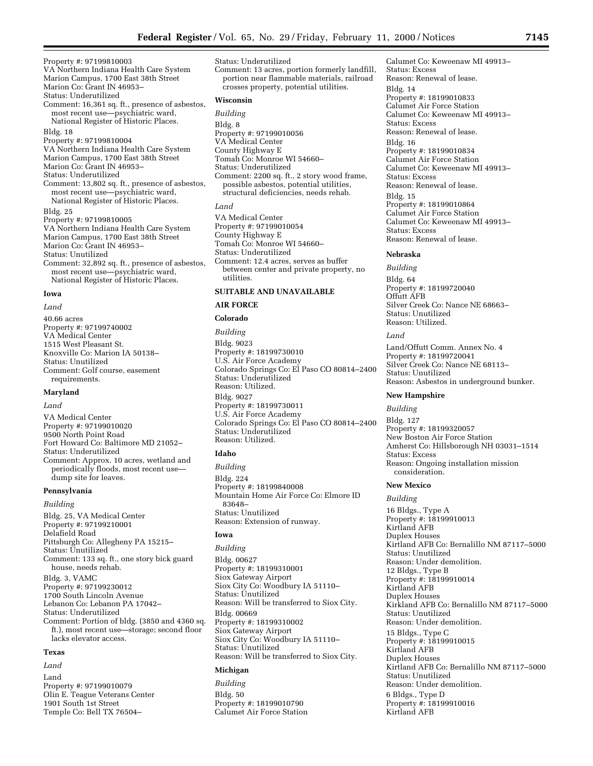Property #: 97199810003 VA Northern Indiana Health Care System Marion Campus, 1700 East 38th Street Marion Co: Grant IN 46953– Status: Underutilized Comment: 16,361 sq. ft., presence of asbestos, most recent use—psychiatric ward, National Register of Historic Places. Bldg. 18 Property #: 97199810004 VA Northern Indiana Health Care System Marion Campus, 1700 East 38th Street Marion Co: Grant IN 46953– Status: Underutilized Comment: 13,802 sq. ft., presence of asbestos, most recent use—psychiatric ward, National Register of Historic Places. Bldg. 25 Property #: 97199810005 VA Northern Indiana Health Care System Marion Campus, 1700 East 38th Street Marion Co: Grant IN 46953– Status: Unutilized Comment: 32,892 sq. ft., presence of asbestos, most recent use—psychiatric ward, National Register of Historic Places.

# **Iowa**

*Land* 40.66 acres Property #: 97199740002 VA Medical Center 1515 West Pleasant St. Knoxville Co: Marion IA 50138– Status: Unutilized Comment: Golf course, easement requirements.

#### **Maryland**

*Land*

VA Medical Center Property #: 97199010020 9500 North Point Road Fort Howard Co: Baltimore MD 21052– Status: Underutilized Comment: Approx. 10 acres, wetland and periodically floods, most recent use dump site for leaves.

# **Pennsylvania**

*Building*

Bldg. 25, VA Medical Center Property #: 97199210001 Delafield Road Pittsburgh Co: Allegheny PA 15215– Status: Unutilized Comment: 133 sq. ft., one story bick guard house, needs rehab. Bldg. 3, VAMC Property #: 97199230012 1700 South Lincoln Avenue Lebanon Co: Lebanon PA 17042– Status: Underutilized Comment: Portion of bldg. (3850 and 4360 sq. ft.), most recent use—storage; second floor lacks elevator access.

# **Texas**

*Land*

Land Property #: 97199010079 Olin E. Teague Veterans Center 1901 South 1st Street Temple Co: Bell TX 76504–

Status: Underutilized Comment: 13 acres, portion formerly landfill, portion near flammable materials, railroad crosses property, potential utilities.

# **Wisconsin**

*Building* Bldg. 8 Property #: 97199010056 VA Medical Center County Highway E Tomah Co: Monroe WI 54660– Status: Underutilized Comment: 2200 sq. ft., 2 story wood frame, possible asbestos, potential utilities, structural deficiencies, needs rehab. *Land*

VA Medical Center Property #: 97199010054 County Highway E Tomah Co: Monroe WI 54660– Status: Underutilized Comment: 12.4 acres, serves as buffer between center and private property, no utilities.

# **SUITABLE AND UNAVAILABLE**

# **AIR FORCE**

### **Colorado**

*Building* Bldg. 9023 Property #: 18199730010 U.S. Air Force Academy Colorado Springs Co: El Paso CO 80814–2400 Status: Underutilized Reason: Utilized. Bldg. 9027 Property #: 18199730011 U.S. Air Force Academy Colorado Springs Co: El Paso CO 80814–2400 Status: Underutilized

#### **Idaho**

Reason: Utilized.

*Building* Bldg. 224 Property #: 18199840008 Mountain Home Air Force Co: Elmore ID 83648– Status: Unutilized Reason: Extension of runway.

# **Iowa**

*Building* Bldg. 00627 Property #: 18199310001 Siox Gateway Airport Siox City Co: Woodbury IA 51110– Status: Unutilized Reason: Will be transferred to Siox City. Bldg. 00669 Property #: 18199310002 Siox Gateway Airport Siox City Co: Woodbury IA 51110– Status: Unutilized Reason: Will be transferred to Siox City.

# **Michigan**

*Building* Bldg. 50 Property #: 18199010790 Calumet Air Force Station

Calumet Co: Keweenaw MI 49913– Status: Excess Reason: Renewal of lease. Bldg. 14 Property #: 18199010833 Calumet Air Force Station Calumet Co: Keweenaw MI 49913– Status: Excess Reason: Renewal of lease. Bldg. 16 Property #: 18199010834 Calumet Air Force Station Calumet Co: Keweenaw MI 49913– Status: Excess Reason: Renewal of lease. Bldg. 15 Property #: 18199010864 Calumet Air Force Station Calumet Co: Keweenaw MI 49913– Status: Excess Reason: Renewal of lease.

#### **Nebraska**

*Building*

Bldg. 64 Property #: 18199720040 Offutt AFB Silver Creek Co: Nance NE 68663– Status: Unutilized Reason: Utilized.

#### *Land*

Land/Offutt Comm. Annex No. 4 Property #: 18199720041 Silver Creek Co: Nance NE 68113– Status: Unutilized Reason: Asbestos in underground bunker.

# **New Hampshire**

*Building*

Bldg. 127 Property #: 18199320057 New Boston Air Force Station Amherst Co: Hillsborough NH 03031–1514 Status: Excess Reason: Ongoing installation mission consideration.

# **New Mexico**

*Building* 16 Bldgs., Type A Property #: 18199910013 Kirtland AFB Duplex Houses Kirtland AFB Co: Bernalillo NM 87117–5000 Status: Unutilized Reason: Under demolition. 12 Bldgs., Type B Property #: 18199910014 Kirtland AFB Duplex Houses Kirkland AFB Co: Bernalillo NM 87117–5000 Status: Unutilized Reason: Under demolition. 15 Bldgs., Type C Property #: 18199910015 Kirtland AFB Duplex Houses Kirtland AFB Co: Bernalillo NM 87117–5000 Status: Unutilized Reason: Under demolition. 6 Bldgs., Type D Property #: 18199910016 Kirtland AFB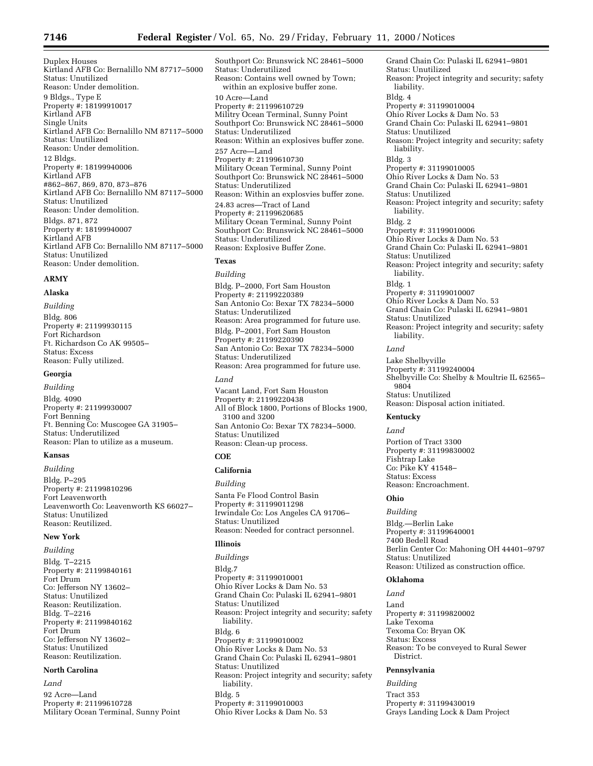Southport Co: Brunswick NC 28461–5000

Duplex Houses Kirtland AFB Co: Bernalillo NM 87717–5000 Status: Unutilized Reason: Under demolition. 9 Bldgs., Type E Property #: 18199910017 Kirtland AFB Single Units Kirtland AFB Co: Bernalillo NM 87117–5000 Status: Unutilized Reason: Under demolition. 12 Bldgs. Property #: 18199940006 Kirtland AFB #862–867, 869, 870, 873–876 Kirtland AFB Co: Bernalillo NM 87117–5000 Status: Unutilized Reason: Under demolition. Bldgs. 871, 872 Property #: 18199940007 Kirtland AFB Kirtland AFB Co: Bernalillo NM 87117–5000 Status: Unutilized Reason: Under demolition.

#### **ARMY**

# **Alaska**

*Building* Bldg. 806 Property #: 21199930115 Fort Richardson Ft. Richardson Co AK 99505– Status: Excess Reason: Fully utilized.

# **Georgia**

*Building* Bldg. 4090 Property #: 21199930007 Fort Benning Ft. Benning Co: Muscogee GA 31905– Status: Underutilized Reason: Plan to utilize as a museum.

# **Kansas**

*Building* Bldg. P–295 Property #: 21199810296 Fort Leavenworth Leavenworth Co: Leavenworth KS 66027– Status: Unutilized Reason: Reutilized.

# **New York**

*Building* Bldg. T–2215 Property #: 21199840161 Fort Drum Co: Jefferson NY 13602– Status: Unutilized Reason: Reutilization. Bldg. T–2216 Property #: 21199840162 Fort Drum Co: Jefferson NY 13602– Status: Unutilized Reason: Reutilization.

# **North Carolina**

*Land*

92 Acre—Land Property #: 21199610728 Military Ocean Terminal, Sunny Point Status: Underutilized Reason: Contains well owned by Town; within an explosive buffer zone. 10 Acre—Land Property #: 21199610729 Militry Ocean Terminal, Sunny Point Southport Co: Brunswick NC 28461–5000 Status: Underutilized Reason: Within an explosives buffer zone. 257 Acre—Land Property #: 21199610730 Military Ocean Terminal, Sunny Point Southport Co: Brunswick NC 28461–5000 Status: Underutilized Reason: Within an explosvies buffer zone. 24.83 acres—Tract of Land Property #: 21199620685 Military Ocean Terminal, Sunny Point Southport Co: Brunswick NC 28461–5000 Status: Underutilized Reason: Explosive Buffer Zone.

# **Texas**

*Building* Bldg. P–2000, Fort Sam Houston Property #: 21199220389 San Antonio Co: Bexar TX 78234–5000 Status: Underutilized Reason: Area programmed for future use. Bldg. P–2001, Fort Sam Houston Property #: 21199220390 San Antonio Co: Bexar TX 78234–5000 Status: Underutilized Reason: Area programmed for future use. *Land* Vacant Land, Fort Sam Houston Property #: 21199220438

All of Block 1800, Portions of Blocks 1900, 3100 and 3200 San Antonio Co: Bexar TX 78234–5000. Status: Unutilized Reason: Clean-up process.

# **COE**

# **California**

#### *Building*

Santa Fe Flood Control Basin Property #: 31199011298 Irwindale Co: Los Angeles CA 91706– Status: Unutilized Reason: Needed for contract personnel.

# **Illinois**

*Buildings* Bldg.7 Property #: 31199010001 Ohio River Locks & Dam No. 53 Grand Chain Co: Pulaski IL 62941–9801 Status: Unutilized Reason: Project integrity and security; safety liability. Bldg. 6 Property #: 31199010002 Ohio River Locks & Dam No. 53 Grand Chain Co: Pulaski IL 62941–9801 Status: Unutilized Reason: Project integrity and security; safety liability. Bldg. 5 Property #: 31199010003 Ohio River Locks & Dam No. 53

Grand Chain Co: Pulaski IL 62941–9801 Status: Unutilized Reason: Project integrity and security; safety liability. Bldg. 4 Property #: 31199010004 Ohio River Locks & Dam No. 53 Grand Chain Co: Pulaski IL 62941–9801 Status: Unutilized Reason: Project integrity and security; safety liability. Bldg. 3 Property #: 31199010005 Ohio River Locks & Dam No. 53 Grand Chain Co: Pulaski IL 62941–9801 Status: Unutilized Reason: Project integrity and security; safety liability. Bldg. 2 Property #: 31199010006 Ohio River Locks & Dam No. 53 Grand Chain Co: Pulaski IL 62941–9801 Status: Unutilized Reason: Project integrity and security; safety liability. Bldg. 1 Property #: 31199010007 Ohio River Locks & Dam No. 53 Grand Chain Co: Pulaski IL 62941–9801 Status: Unutilized Reason: Project integrity and security; safety liability.

# *Land*

Lake Shelbyville Property #: 31199240004 Shelbyville Co: Shelby & Moultrie IL 62565– 9804 Status: Unutilized Reason: Disposal action initiated.

#### **Kentucky**

#### *Land*

Portion of Tract 3300 Property #: 31199830002 Fishtrap Lake Co: Pike KY 41548– Status: Excess Reason: Encroachment.

# **Ohio**

*Building*

Bldg.—Berlin Lake Property #: 31199640001 7400 Bedell Road Berlin Center Co: Mahoning OH 44401–9797 Status: Unutilized Reason: Utilized as construction office.

# **Oklahoma**

# *Land*

Land Property #: 31199820002 Lake Texoma Texoma Co: Bryan OK Status: Excess Reason: To be conveyed to Rural Sewer District.

# **Pennsylvania**

*Building* Tract 353 Property #: 31199430019 Grays Landing Lock & Dam Project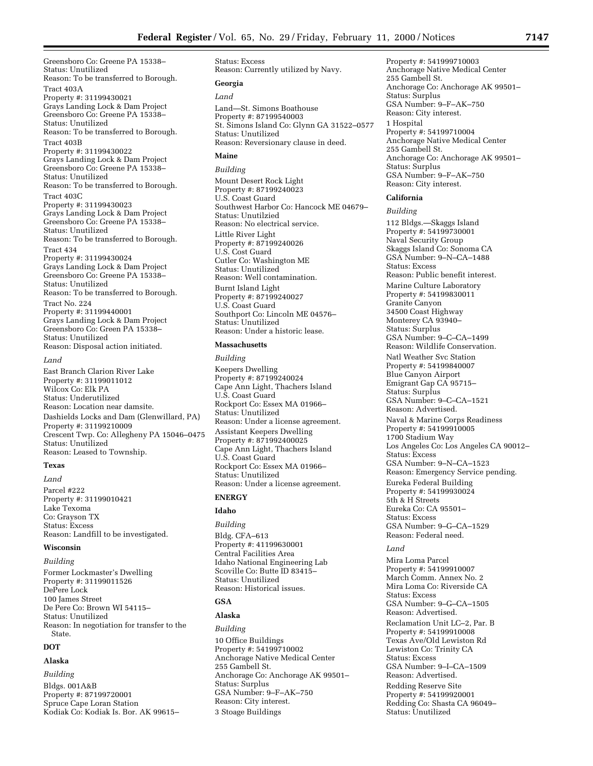Greensboro Co: Greene PA 15338– Status: Unutilized Reason: To be transferred to Borough. Tract 403A Property #: 31199430021 Grays Landing Lock & Dam Project Greensboro Co: Greene PA 15338– Status: Unutilized Reason: To be transferred to Borough. Tract 403B Property #: 31199430022 Grays Landing Lock & Dam Project Greensboro Co: Greene PA 15338– Status: Unutilized Reason: To be transferred to Borough. Tract 403C Property #: 31199430023 Grays Landing Lock & Dam Project Greensboro Co: Greene PA 15338– Status: Unutilized Reason: To be transferred to Borough. Tract 434 Property #: 31199430024 Grays Landing Lock & Dam Project Greensboro Co: Greene PA 15338– Status: Unutilized Reason: To be transferred to Borough. Tract No. 224 Property #: 31199440001 Grays Landing Lock & Dam Project Greensboro Co: Green PA 15338– Status: Unutilized Reason: Disposal action initiated. *Land* East Branch Clarion River Lake

Property #: 31199011012 Wilcox Co: Elk PA Status: Underutilized Reason: Location near damsite. Dashields Locks and Dam (Glenwillard, PA) Property #: 31199210009 Crescent Twp. Co: Allegheny PA 15046–0475 Status: Unutilized Reason: Leased to Township.

#### **Texas**

*Land*

Parcel #222 Property #: 31199010421 Lake Texoma Co: Grayson TX Status: Excess Reason: Landfill to be investigated.

#### **Wisconsin**

*Building* Former Lockmaster's Dwelling Property #: 31199011526 DePere Lock 100 James Street De Pere Co: Brown WI 54115–

Status: Unutilized Reason: In negotiation for transfer to the State.

# **DOT**

# **Alaska**

*Building* Bldgs. 001A&B Property #: 87199720001 Spruce Cape Loran Station Kodiak Co: Kodiak Is. Bor. AK 99615– Status: Excess Reason: Currently utilized by Navy.

# **Georgia**

*Land* Land—St. Simons Boathouse Property #: 87199540003 St. Simons Island Co: Glynn GA 31522–0577 Status: Unutilized Reason: Reversionary clause in deed.

# **Maine**

*Building* Mount Desert Rock Light Property #: 87199240023 U.S. Coast Guard Southwest Harbor Co: Hancock ME 04679– Status: Unutilzied Reason: No electrical service. Little River Light Property #: 87199240026 U.S. Cost Guard Cutler Co: Washington ME Status: Unutilized Reason: Well contamination. Burnt Island Light Property #: 87199240027 U.S. Coast Guard Southport Co: Lincoln ME 04576– Status: Unutilized Reason: Under a historic lease.

# **Massachusetts**

*Building* Keepers Dwelling Property #: 87199240024 Cape Ann Light, Thachers Island U.S. Coast Guard Rockport Co: Essex MA 01966– Status: Unutilized Reason: Under a license agreement. Assistant Keepers Dwelling Property #: 871992400025 Cape Ann Light, Thachers Island U.S. Coast Guard Rockport Co: Essex MA 01966– Status: Unutilized Reason: Under a license agreement.

# **ENERGY**

# **Idaho**

*Building* Bldg. CFA–613 Property #: 41199630001 Central Facilities Area Idaho National Engineering Lab Scoville Co: Butte ID 83415– Status: Unutilized Reason: Historical issues.

# **GSA**

# **Alaska**

*Building* 10 Office Buildings Property #: 54199710002 Anchorage Native Medical Center 255 Gambell St. Anchorage Co: Anchorage AK 99501– Status: Surplus GSA Number: 9–F–AK–750 Reason: City interest. 3 Stoage Buildings

Property #: 541999710003 Anchorage Native Medical Center 255 Gambell St. Anchorage Co: Anchorage AK 99501– Status: Surplus GSA Number: 9–F–AK–750 Reason: City interest. 1 Hospital Property #: 54199710004 Anchorage Native Medical Center 255 Gambell St. Anchorage Co: Anchorage AK 99501– Status: Surplus

GSA Number: 9–F–AK–750 Reason: City interest.

# **California**

*Building* 112 Bldgs.—Skaggs Island Property #: 54199730001 Naval Security Group Skaggs Island Co: Sonoma CA GSA Number: 9–N–CA–1488 Status: Excess Reason: Public benefit interest. Marine Culture Laboratory Property #: 54199830011 Granite Canyon 34500 Coast Highway Monterey CA 93940– Status: Surplus GSA Number: 9–C–CA–1499 Reason: Wildlife Conservation. Natl Weather Svc Station Property #: 54199840007 Blue Canyon Airport Emigrant Gap CA 95715– Status: Surplus GSA Number: 9–C–CA–1521 Reason: Advertised. Naval & Marine Corps Readiness Property #: 54199910005 1700 Stadium Way Los Angeles Co: Los Angeles CA 90012– Status: Excess GSA Number: 9–N–CA–1523 Reason: Emergency Service pending. Eureka Federal Building Property #: 54199930024 5th & H Streets Eureka Co: CA 95501– Status: Excess GSA Number: 9–G–CA–1529 Reason: Federal need.

# *Land*

Mira Loma Parcel Property #: 54199910007 March Comm. Annex No. 2 Mira Loma Co: Riverside CA Status: Excess GSA Number: 9–G–CA–1505 Reason: Advertised. Reclamation Unit LC–2, Par. B Property #: 54199910008 Texas Ave/Old Lewiston Rd Lewiston Co: Trinity CA Status: Excess GSA Number: 9–I–CA–1509 Reason: Advertised. Redding Reserve Site Property #: 54199920001 Redding Co: Shasta CA 96049– Status: Unutilized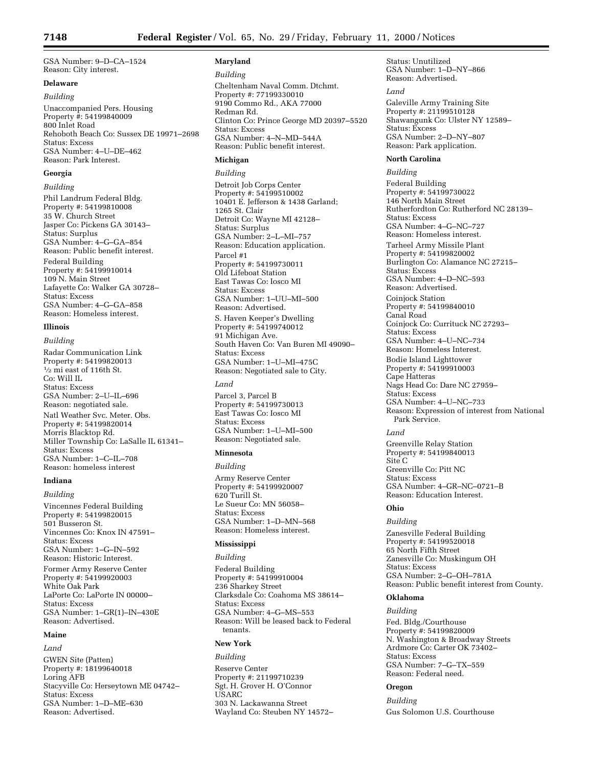GSA Number: 9–D–CA–1524 Reason: City interest.

# **Delaware**

# *Building*

Unaccompanied Pers. Housing Property #: 54199840009 800 Inlet Road Rehoboth Beach Co: Sussex DE 19971–2698 Status: Excess GSA Number: 4–U–DE–462 Reason: Park Interest.

# **Georgia**

# *Building*

Phil Landrum Federal Bldg. Property #: 54199810008 35 W. Church Street Jasper Co: Pickens GA 30143– Status: Surplus GSA Number: 4–G–GA–854 Reason: Public benefit interest. Federal Building Property #: 54199910014 109 N. Main Street Lafayette Co: Walker GA 30728– Status: Excess GSA Number: 4–G–GA–858 Reason: Homeless interest.

# **Illinois**

# *Building*

Radar Communication Link Property #: 54199820013 1⁄2 mi east of 116th St. Co: Will IL Status: Excess GSA Number: 2–U–IL–696 Reason: negotiated sale. Natl Weather Svc. Meter. Obs. Property #: 54199820014 Morris Blacktop Rd. Miller Township Co: LaSalle IL 61341– Status: Excess GSA Number: 1–C–IL–708 Reason: homeless interest

# **Indiana**

*Building* Vincennes Federal Building Property #: 54199820015 501 Busseron St. Vincennes Co: Knox IN 47591– Status: Excess GSA Number: 1–G–IN–592 Reason: Historic Interest. Former Army Reserve Center Property #: 54199920003 White Oak Park LaPorte Co: LaPorte IN 00000– Status: Excess GSA Number: 1–GR(1)–IN–430E Reason: Advertised.

#### **Maine**

### *Land*

GWEN Site (Patten) Property #: 18199640018 Loring AFB Stacyville Co: Herseytown ME 04742– Status: Excess GSA Number: 1–D–ME–630 Reason: Advertised.

# **Maryland**

#### *Building*

Cheltenham Naval Comm. Dtchmt. Property #: 77199330010 9190 Commo Rd., AKA 77000 Redman Rd. Clinton Co: Prince George MD 20397–5520 Status: Excess GSA Number: 4–N–MD–544A Reason: Public benefit interest.

#### **Michigan**

*Building*

Detroit Job Corps Center Property #: 54199510002 10401 E. Jefferson & 1438 Garland; 1265 St. Clair Detroit Co: Wayne MI 42128– Status: Surplus GSA Number: 2–L–MI–757 Reason: Education application. Parcel #1 Property #: 54199730011 Old Lifeboat Station East Tawas Co: Iosco MI Status: Excess GSA Number: 1–UU–MI–500 Reason: Advertised. S. Haven Keeper's Dwelling Property #: 54199740012 91 Michigan Ave. South Haven Co: Van Buren MI 49090– Status: Excess GSA Number: 1–U–MI–475C Reason: Negotiated sale to City. *Land* Parcel 3, Parcel B Property #: 54199730013 East Tawas Co: Iosco MI Status: Excess GSA Number: 1–U–MI–500 Reason: Negotiated sale.

# **Minnesota**

# *Building*

Army Reserve Center Property #: 54199920007 620 Turill St. Le Sueur Co: MN 56058– Status: Excess GSA Number: 1–D–MN–568 Reason: Homeless interest.

#### **Mississippi**

# *Building*

Federal Building Property #: 54199910004 236 Sharkey Street Clarksdale Co: Coahoma MS 38614– Status: Excess GSA Number: 4–G–MS–553 Reason: Will be leased back to Federal tenants.

# **New York**

*Building* Reserve Center Property #: 21199710239 Sgt. H. Grover H. O'Connor USARC 303 N. Lackawanna Street Wayland Co: Steuben NY 14572–

Status: Unutilized GSA Number: 1–D–NY–866 Reason: Advertised.

#### *Land*

Galeville Army Training Site Property #: 21199510128 Shawangunk Co: Ulster NY 12589– Status: Excess GSA Number: 2–D–NY–807 Reason: Park application.

# **North Carolina**

*Building*

Federal Building Property #: 54199730022 146 North Main Street Rutherfordton Co: Rutherford NC 28139– Status: Excess GSA Number: 4–G–NC–727 Reason: Homeless interest. Tarheel Army Missile Plant Property #: 54199820002 Burlington Co: Alamance NC 27215– Status: Excess GSA Number: 4–D–NC–593 Reason: Advertised. Coinjock Station Property #: 54199840010 Canal Road Coinjock Co: Currituck NC 27293– Status: Excess GSA Number: 4–U–NC–734 Reason: Homeless Interest. Bodie Island Lighttower Property #: 54199910003 Cape Hatteras Nags Head Co: Dare NC 27959– Status: Excess GSA Number: 4–U–NC–733 Reason: Expression of interest from National Park Service.

#### *Land*

Greenville Relay Station Property #: 54199840013 Site C Greenville Co: Pitt NC Status: Excess GSA Number: 4–GR–NC–0721–B Reason: Education Interest.

#### **Ohio**

# *Building*

Zanesville Federal Building Property #: 54199520018 65 North Fifth Street Zanesville Co: Muskingum OH Status: Excess GSA Number: 2–G–OH–781A Reason: Public benefit interest from County.

# **Oklahoma**

# *Building*

Fed. Bldg./Courthouse Property #: 54199820009 N. Washington & Broadway Streets Ardmore Co: Carter OK 73402– Status: Excess GSA Number: 7–G–TX–559 Reason: Federal need.

# **Oregon**

# *Building*

Gus Solomon U.S. Courthouse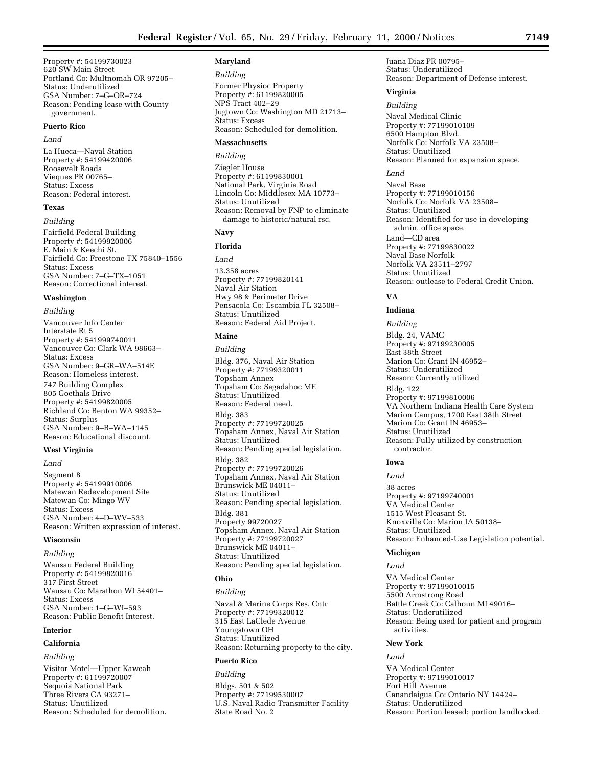Property #: 54199730023 620 SW Main Street Portland Co: Multnomah OR 97205– Status: Underutilized GSA Number: 7–G–OR–724 Reason: Pending lease with County government.

# **Puerto Rico**

#### *Land*

La Hueca—Naval Station Property #: 54199420006 Roosevelt Roads Vieques PR 00765– Status: Excess Reason: Federal interest.

# **Texas**

*Building* Fairfield Federal Building Property #: 54199920006 E. Main & Keechi St. Fairfield Co: Freestone TX 75840–1556 Status: Excess GSA Number: 7–G–TX–1051 Reason: Correctional interest.

# **Washington**

*Building* Vancouver Info Center Interstate Rt 5 Property #: 541999740011 Vancouver Co: Clark WA 98663– Status: Excess GSA Number: 9–GR–WA–514E Reason: Homeless interest. 747 Building Complex 805 Goethals Drive Property #: 54199820005 Richland Co: Benton WA 99352– Status: Surplus GSA Number: 9–B–WA–1145 Reason: Educational discount.

#### **West Virginia**

*Land*

Segment 8 Property #: 54199910006 Matewan Redevelopment Site Matewan Co: Mingo WV Status: Excess GSA Number: 4–D–WV–533 Reason: Written expression of interest.

#### **Wisconsin**

# *Building*

Wausau Federal Building Property #: 54199820016 317 First Street Wausau Co: Marathon WI 54401– Status: Excess GSA Number: 1–G–WI–593 Reason: Public Benefit Interest.

# **Interior**

# **California**

*Building*

Visitor Motel—Upper Kaweah Property #: 61199720007 Sequoia National Park Three Rivers CA 93271– Status: Unutilized Reason: Scheduled for demolition.

#### **Maryland**

*Building* Former Physioc Property Property #: 61199820005 NPS Tract 402–29 Jugtown Co: Washington MD 21713– Status: Excess Reason: Scheduled for demolition.

# **Massachusetts**

# *Building*

Ziegler House Property #: 61199830001 National Park, Virginia Road Lincoln Co: Middlesex MA 10773– Status: Unutilized Reason: Removal by FNP to eliminate damage to historic/natural rsc.

# **Navy**

# **Florida**

*Land* 13.358 acres Property #: 77199820141 Naval Air Station Hwy 98 & Perimeter Drive Pensacola Co: Escambia FL 32508– Status: Unutilized Reason: Federal Aid Project.

# **Maine**

*Building* Bldg. 376, Naval Air Station Property #: 77199320011 Topsham Annex Topsham Co: Sagadahoc ME Status: Unutilized Reason: Federal need. Bldg. 383 Property #: 77199720025 Topsham Annex, Naval Air Station Status: Unutilized Reason: Pending special legislation. Bldg. 382 Property #: 77199720026 Topsham Annex, Naval Air Station Brunswick ME 04011– Status: Unutilized Reason: Pending special legislation. Bldg. 381 Property 99720027 Topsham Annex, Naval Air Station Property #: 77199720027 Brunswick ME 04011– Status: Unutilized Reason: Pending special legislation.

# **Ohio**

*Building* Naval & Marine Corps Res. Cntr Property #: 77199320012 315 East LaClede Avenue Youngstown OH Status: Unutilized Reason: Returning property to the city.

#### **Puerto Rico**

*Building* Bldgs. 501 & 502 Property #: 77199530007 U.S. Naval Radio Transmitter Facility State Road No. 2

Juana Diaz PR 00795– Status: Underutilized Reason: Department of Defense interest.

#### **Virginia**

#### *Building*

Naval Medical Clinic Property #: 77199010109 6500 Hampton Blvd. Norfolk Co: Norfolk VA 23508– Status: Unutilized Reason: Planned for expansion space.

# *Land*

Naval Base Property #: 77199010156 Norfolk Co: Norfolk VA 23508– Status: Unutilized Reason: Identified for use in developing admin. office space. Land—CD area Property #: 77199830022 Naval Base Norfolk Norfolk VA 23511–2797 Status: Unutilized Reason: outlease to Federal Credit Union.

# **VA**

# **Indiana**

*Building* Bldg. 24, VAMC Property #: 97199230005 East 38th Street Marion Co: Grant IN 46952– Status: Underutilized Reason: Currently utilized Bldg. 122 Property #: 97199810006 VA Northern Indiana Health Care System Marion Campus, 1700 East 38th Street Marion Co: Grant IN 46953– Status: Unutilized Reason: Fully utilized by construction contractor.

# **Iowa**

# *Land*

38 acres Property #: 97199740001 VA Medical Center 1515 West Pleasant St. Knoxville Co: Marion IA 50138– Status: Unutilized Reason: Enhanced-Use Legislation potential.

#### **Michigan**

*Land* VA Medical Center Property #: 97199010015 5500 Armstrong Road Battle Creek Co: Calhoun MI 49016– Status: Underutilized Reason: Being used for patient and program activities.

#### **New York**

#### *Land*

VA Medical Center Property #: 97199010017 Fort Hill Avenue Canandaigua Co: Ontario NY 14424– Status: Underutilized Reason: Portion leased; portion landlocked.